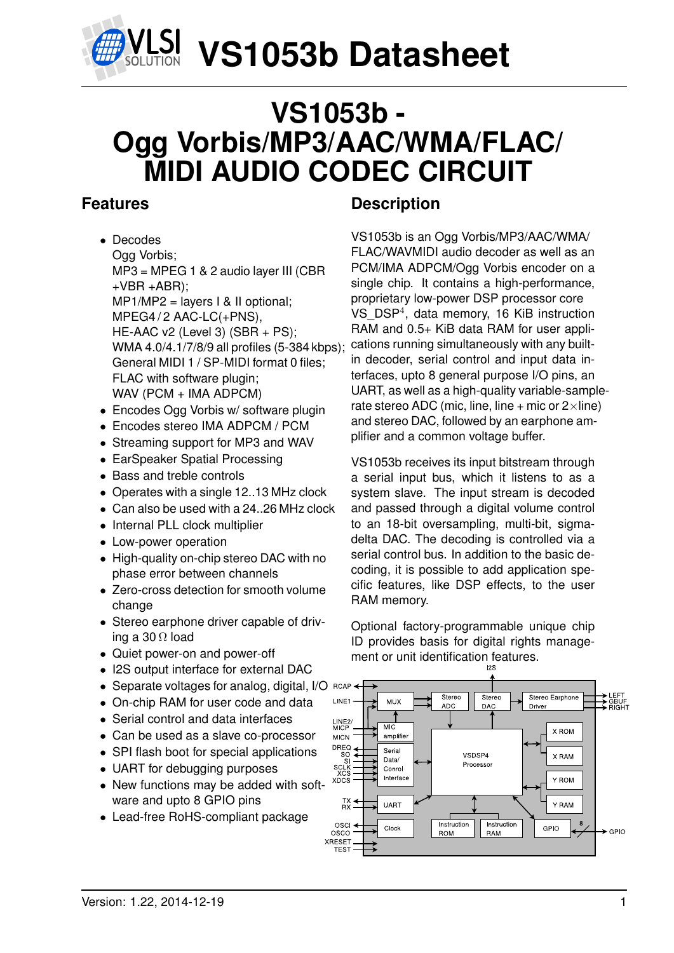

## **VS1053b - Ogg Vorbis/MP3/AAC/WMA/FLAC/ MIDI AUDIO CODEC CIRCUIT**

## **Features**

- Decodes Ogg Vorbis; MP3 = MPEG 1 & 2 audio layer III (CBR  $+VBR + ABR$ ): MP1/MP2 = layers I & II optional; MPEG4/2 AAC-LC(+PNS). HE-AAC v2 (Level 3) (SBR + PS); WMA 4.0/4.1/7/8/9 all profiles (5-384 kbps); General MIDI 1 / SP-MIDI format 0 files; FLAC with software plugin; WAV (PCM + IMA ADPCM)
- Encodes Ogg Vorbis w/ software plugin
- Encodes stereo IMA ADPCM / PCM
- Streaming support for MP3 and WAV
- EarSpeaker Spatial Processing
- Bass and treble controls
- Operates with a single 12..13 MHz clock
- Can also be used with a 24..26 MHz clock
- Internal PLL clock multiplier
- Low-power operation
- High-quality on-chip stereo DAC with no phase error between channels
- Zero-cross detection for smooth volume change
- Stereo earphone driver capable of driving a 30  $\Omega$  load
- Quiet power-on and power-off
- I2S output interface for external DAC
- Separate voltages for analog, digital, I/O RCAF
- On-chip RAM for user code and data
- Serial control and data interfaces
- Can be used as a slave co-processor
- SPI flash boot for special applications
- UART for debugging purposes
- New functions may be added with software and upto 8 GPIO pins
- Lead-free RoHS-compliant package

## **Description**

VS1053b is an Ogg Vorbis/MP3/AAC/WMA/ FLAC/WAVMIDI audio decoder as well as an PCM/IMA ADPCM/Ogg Vorbis encoder on a single chip. It contains a high-performance, proprietary low-power DSP processor core VS\_DSP<sup>4</sup> , data memory, 16 KiB instruction RAM and 0.5+ KiB data RAM for user applications running simultaneously with any builtin decoder, serial control and input data interfaces, upto 8 general purpose I/O pins, an UART, as well as a high-quality variable-samplerate stereo ADC (mic, line, line + mic or  $2 \times$ line) and stereo DAC, followed by an earphone amplifier and a common voltage buffer.

VS1053b receives its input bitstream through a serial input bus, which it listens to as a system slave. The input stream is decoded and passed through a digital volume control to an 18-bit oversampling, multi-bit, sigmadelta DAC. The decoding is controlled via a serial control bus. In addition to the basic decoding, it is possible to add application specific features, like DSP effects, to the user RAM memory.

Optional factory-programmable unique chip ID provides basis for digital rights management or unit identification features.

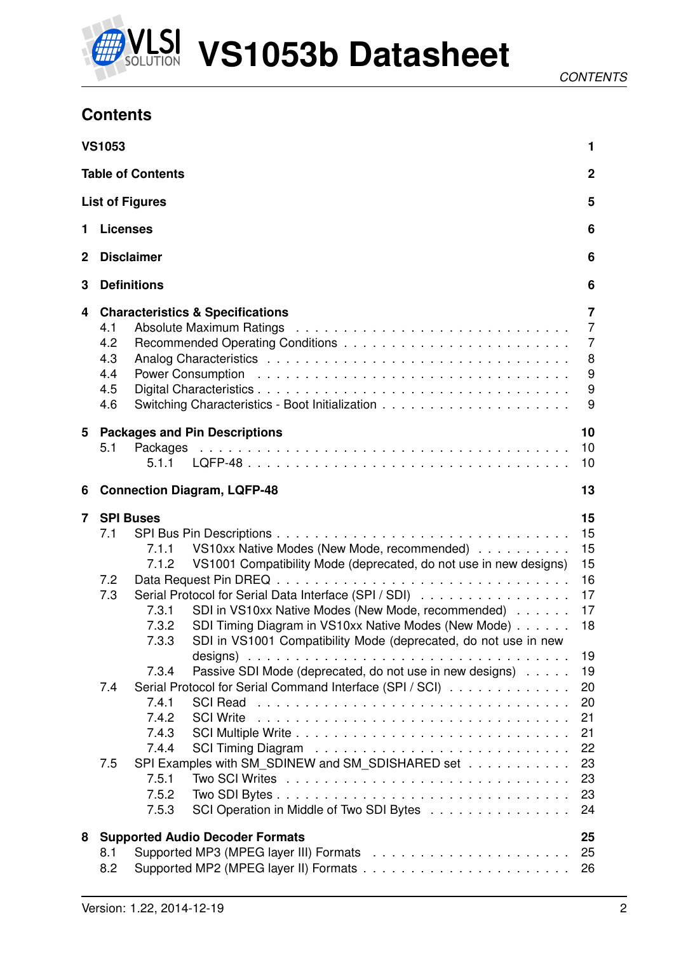

## **Contents**

|                | <b>VS1053</b>                          |                                                                      |                                                                                                                                                                                                                                                                                                                                                            | 1                                                                        |
|----------------|----------------------------------------|----------------------------------------------------------------------|------------------------------------------------------------------------------------------------------------------------------------------------------------------------------------------------------------------------------------------------------------------------------------------------------------------------------------------------------------|--------------------------------------------------------------------------|
|                |                                        | <b>Table of Contents</b>                                             |                                                                                                                                                                                                                                                                                                                                                            | $\overline{2}$                                                           |
|                |                                        | <b>List of Figures</b>                                               |                                                                                                                                                                                                                                                                                                                                                            | 5                                                                        |
| 1              | <b>Licenses</b>                        |                                                                      |                                                                                                                                                                                                                                                                                                                                                            | 6                                                                        |
| $\mathbf 2$    |                                        | <b>Disclaimer</b>                                                    |                                                                                                                                                                                                                                                                                                                                                            | 6                                                                        |
| 3              |                                        | <b>Definitions</b>                                                   |                                                                                                                                                                                                                                                                                                                                                            | 6                                                                        |
| 4              | 4.1<br>4.2<br>4.3<br>4.4<br>4.5<br>4.6 |                                                                      | <b>Characteristics &amp; Specifications</b>                                                                                                                                                                                                                                                                                                                | 7<br>$\overline{7}$<br>$\overline{7}$<br>8<br>$\boldsymbol{9}$<br>9<br>9 |
| 5              | 5.1                                    | 5.1.1                                                                | <b>Packages and Pin Descriptions</b>                                                                                                                                                                                                                                                                                                                       | 10<br>10<br>10                                                           |
| 6              |                                        |                                                                      | <b>Connection Diagram, LQFP-48</b>                                                                                                                                                                                                                                                                                                                         | 13                                                                       |
| $\overline{7}$ | <b>SPI Buses</b><br>7.1<br>7.2<br>7.3  | 7.1.1<br>7.1.2<br>7.3.1<br>7.3.2<br>7.3.3                            | VS10xx Native Modes (New Mode, recommended)<br>VS1001 Compatibility Mode (deprecated, do not use in new designs)<br>Serial Protocol for Serial Data Interface (SPI / SDI)<br>SDI in VS10xx Native Modes (New Mode, recommended)<br>SDI Timing Diagram in VS10xx Native Modes (New Mode)<br>SDI in VS1001 Compatibility Mode (deprecated, do not use in new | 15<br>15<br>15<br>15<br>16<br>17<br>17<br>18                             |
|                | 7.4<br>7.5                             | 7.3.4<br>7.4.1<br>7.4.2<br>7.4.3<br>7.4.4<br>7.5.1<br>7.5.2<br>7.5.3 | Passive SDI Mode (deprecated, do not use in new designs)<br>Serial Protocol for Serial Command Interface (SPI / SCI)<br><b>SCI Write</b><br>SPI Examples with SM_SDINEW and SM_SDISHARED set<br>SCI Operation in Middle of Two SDI Bytes                                                                                                                   | 19<br>19<br>20<br>20<br>21<br>21<br>22<br>23<br>23<br>23<br>24           |
| 8              | 8.1<br>8.2                             |                                                                      | <b>Supported Audio Decoder Formats</b>                                                                                                                                                                                                                                                                                                                     | 25<br>25<br>26                                                           |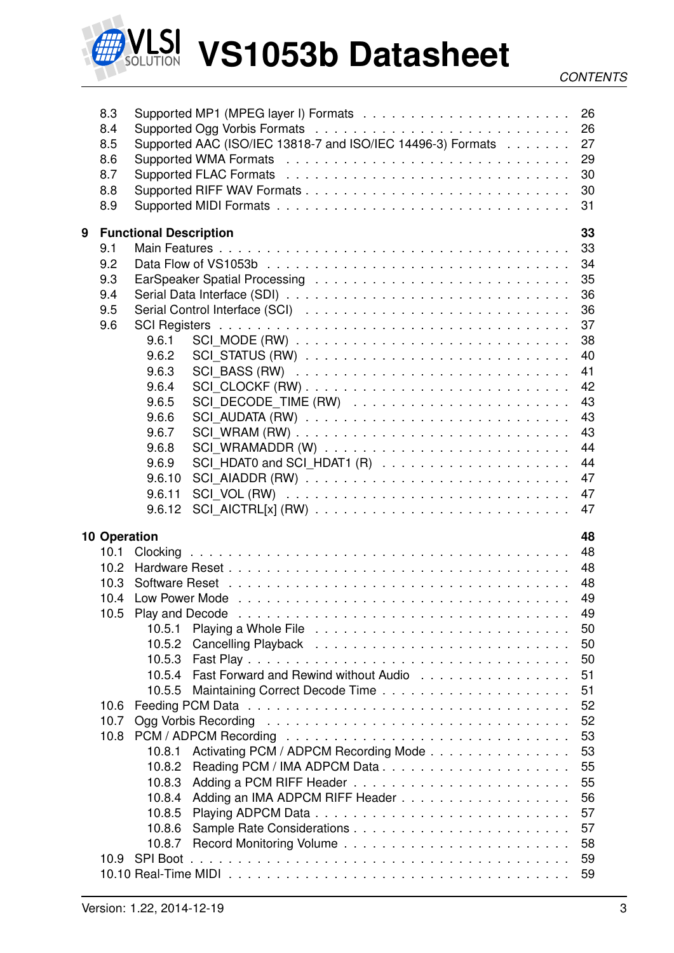

|   | 8.3<br>8.4<br>8.5<br>8.6<br>8.7<br>8.8<br>8.9 |                               | Supported AAC (ISO/IEC 13818-7 and ISO/IEC 14496-3) Formats 27<br>Supported WMA Formats (also contained a series and contained a series and contained a series and the Support of M<br>30<br>30<br>31 |  |
|---|-----------------------------------------------|-------------------------------|-------------------------------------------------------------------------------------------------------------------------------------------------------------------------------------------------------|--|
| 9 |                                               | <b>Functional Description</b> | 33                                                                                                                                                                                                    |  |
|   | 9.1                                           |                               | 33                                                                                                                                                                                                    |  |
|   | 9.2                                           |                               | 34                                                                                                                                                                                                    |  |
|   | 9.3                                           |                               |                                                                                                                                                                                                       |  |
|   | 9.4                                           |                               | 36                                                                                                                                                                                                    |  |
|   | 9.5                                           |                               | 36                                                                                                                                                                                                    |  |
|   | 9.6                                           |                               | 37                                                                                                                                                                                                    |  |
|   |                                               | 9.6.1                         | 38                                                                                                                                                                                                    |  |
|   |                                               | 9.6.2                         | 40                                                                                                                                                                                                    |  |
|   |                                               | 9.6.3                         | 41                                                                                                                                                                                                    |  |
|   |                                               | 9.6.4                         | 42                                                                                                                                                                                                    |  |
|   |                                               | 9.6.5                         | 43                                                                                                                                                                                                    |  |
|   |                                               | 9.6.6                         | 43                                                                                                                                                                                                    |  |
|   |                                               | 9.6.7                         | 43                                                                                                                                                                                                    |  |
|   |                                               | 9.6.8                         | 44                                                                                                                                                                                                    |  |
|   |                                               | 9.6.9                         | 44                                                                                                                                                                                                    |  |
|   |                                               | 9.6.10                        | 47                                                                                                                                                                                                    |  |
|   |                                               | 9.6.11                        | 47                                                                                                                                                                                                    |  |
|   |                                               | 9.6.12                        | 47                                                                                                                                                                                                    |  |
|   |                                               |                               | 48                                                                                                                                                                                                    |  |
|   | <b>10 Operation</b><br>10.1                   |                               | 48                                                                                                                                                                                                    |  |
|   | 10.2 <sub>1</sub>                             |                               | 48                                                                                                                                                                                                    |  |
|   | 10.3                                          |                               | 48                                                                                                                                                                                                    |  |
|   |                                               |                               |                                                                                                                                                                                                       |  |
|   |                                               |                               | 49                                                                                                                                                                                                    |  |
|   |                                               | 10.5.1                        | 50                                                                                                                                                                                                    |  |
|   |                                               | 10.5.2                        | 50                                                                                                                                                                                                    |  |
|   |                                               | 10.5.3                        | 50                                                                                                                                                                                                    |  |
|   |                                               | 10.5.4                        | Fast Forward and Rewind without Audio<br>51                                                                                                                                                           |  |
|   |                                               | 10.5.5                        | 51                                                                                                                                                                                                    |  |
|   | 10.6                                          |                               | 52                                                                                                                                                                                                    |  |
|   | 10.7                                          |                               | 52                                                                                                                                                                                                    |  |
|   | 10.8                                          |                               | 53                                                                                                                                                                                                    |  |
|   |                                               |                               | Activating PCM / ADPCM Recording Mode                                                                                                                                                                 |  |
|   |                                               | 10.8.1<br>10.8.2              | 53<br>55                                                                                                                                                                                              |  |
|   |                                               | 10.8.3                        | 55                                                                                                                                                                                                    |  |
|   |                                               |                               |                                                                                                                                                                                                       |  |
|   |                                               | 10.8.4<br>10.8.5              | 56                                                                                                                                                                                                    |  |
|   |                                               |                               | 57                                                                                                                                                                                                    |  |
|   |                                               | 10.8.6                        | 57                                                                                                                                                                                                    |  |
|   |                                               | 10.8.7                        | 58                                                                                                                                                                                                    |  |
|   |                                               |                               |                                                                                                                                                                                                       |  |
|   | 10.9                                          | <b>SPI Boot</b>               | 59<br>59                                                                                                                                                                                              |  |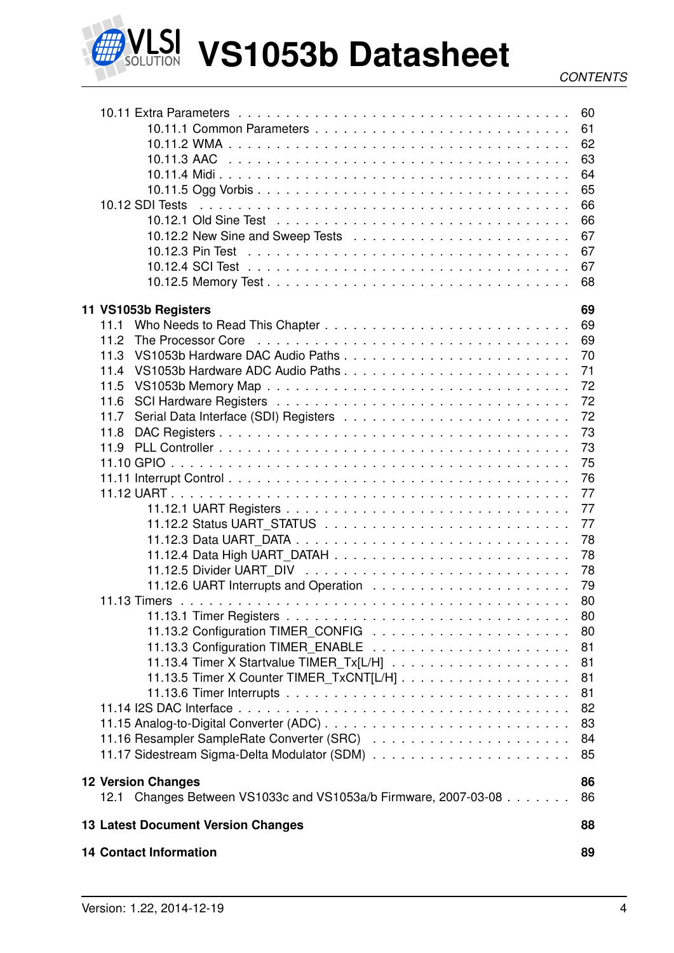

LSI VS1053b Datasheet

| 10.12 SDI Tests                                                                              | 60<br>61<br>62<br>63<br>64<br>65<br>66<br>66<br>67<br>67<br>67<br>68 |
|----------------------------------------------------------------------------------------------|----------------------------------------------------------------------|
| 11 VS1053b Registers<br>11.1                                                                 | 69<br>69                                                             |
| The Processor Core<br>11.2                                                                   | 69                                                                   |
| 11.3                                                                                         | 70                                                                   |
| VS1053b Hardware ADC Audio Paths                                                             |                                                                      |
| 11.4                                                                                         | 71                                                                   |
| 11.5                                                                                         | 72                                                                   |
| 11.6                                                                                         | 72                                                                   |
| 11.7                                                                                         | 72                                                                   |
| 11.8                                                                                         | 73                                                                   |
| 11.9                                                                                         | 73                                                                   |
|                                                                                              | 75                                                                   |
|                                                                                              | 76                                                                   |
|                                                                                              | 77                                                                   |
|                                                                                              | 77                                                                   |
|                                                                                              | 77                                                                   |
|                                                                                              | 78                                                                   |
|                                                                                              | 78                                                                   |
|                                                                                              | 78                                                                   |
|                                                                                              | 79                                                                   |
|                                                                                              | 80                                                                   |
|                                                                                              | 80                                                                   |
|                                                                                              | 80                                                                   |
|                                                                                              | 81                                                                   |
|                                                                                              | 81                                                                   |
|                                                                                              | 81                                                                   |
|                                                                                              | 81                                                                   |
|                                                                                              | 82                                                                   |
|                                                                                              | 83                                                                   |
|                                                                                              | 84                                                                   |
|                                                                                              | 85                                                                   |
|                                                                                              |                                                                      |
| <b>12 Version Changes</b><br>12.1 Changes Between VS1033c and VS1053a/b Firmware, 2007-03-08 | 86<br>86                                                             |
| <b>13 Latest Document Version Changes</b>                                                    | 88                                                                   |
| <b>14 Contact Information</b>                                                                | 89                                                                   |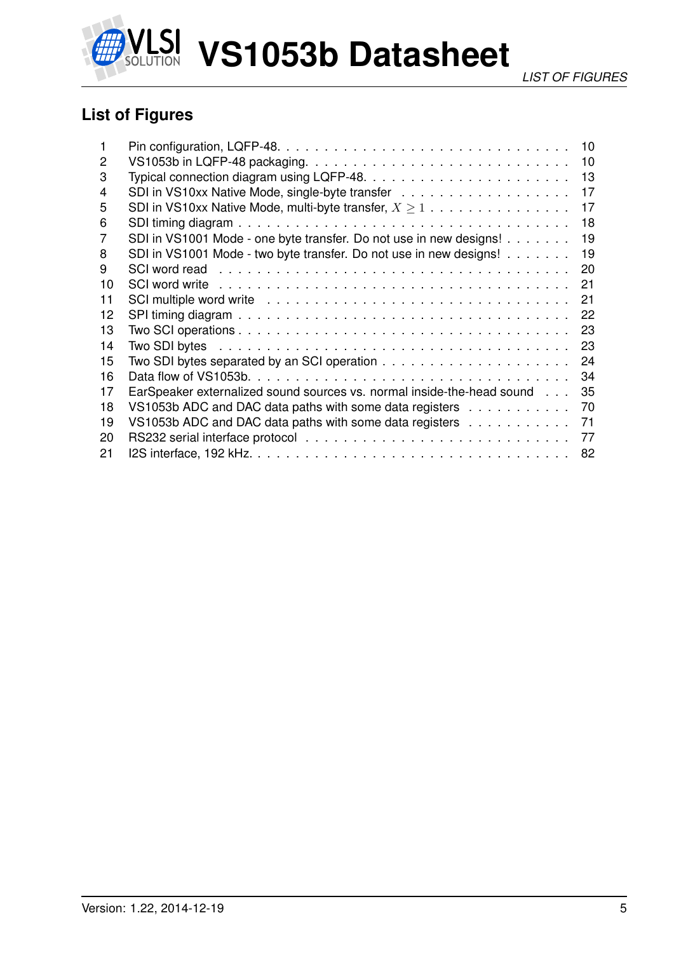

## **List of Figures**

|    |                                                                                                                | 10 |
|----|----------------------------------------------------------------------------------------------------------------|----|
| 2  |                                                                                                                | 10 |
| 3  |                                                                                                                | 13 |
| 4  |                                                                                                                | 17 |
| 5  | SDI in VS10xx Native Mode, multi-byte transfer, $X \geq 1$                                                     | 17 |
| 6  |                                                                                                                | 18 |
| 7  | SDI in VS1001 Mode - one byte transfer. Do not use in new designs!                                             | 19 |
| 8  | SDI in VS1001 Mode - two byte transfer. Do not use in new designs!                                             | 19 |
| 9  |                                                                                                                | 20 |
| 10 |                                                                                                                | 21 |
| 11 | SCI multiple word write enterpresent contained and service contained and service containing to multiple word w | 21 |
| 12 |                                                                                                                | 22 |
| 13 |                                                                                                                | 23 |
| 14 |                                                                                                                | 23 |
| 15 | Two SDI bytes separated by an SCI operation $\ldots \ldots \ldots \ldots \ldots \ldots \ldots$                 | 24 |
| 16 |                                                                                                                | 34 |
| 17 | EarSpeaker externalized sound sources vs. normal inside-the-head sound                                         | 35 |
| 18 | VS1053b ADC and DAC data paths with some data registers                                                        | 70 |
| 19 | VS1053b ADC and DAC data paths with some data registers $\dots \dots \dots$                                    | 71 |
| 20 |                                                                                                                | 77 |
| 21 |                                                                                                                | 82 |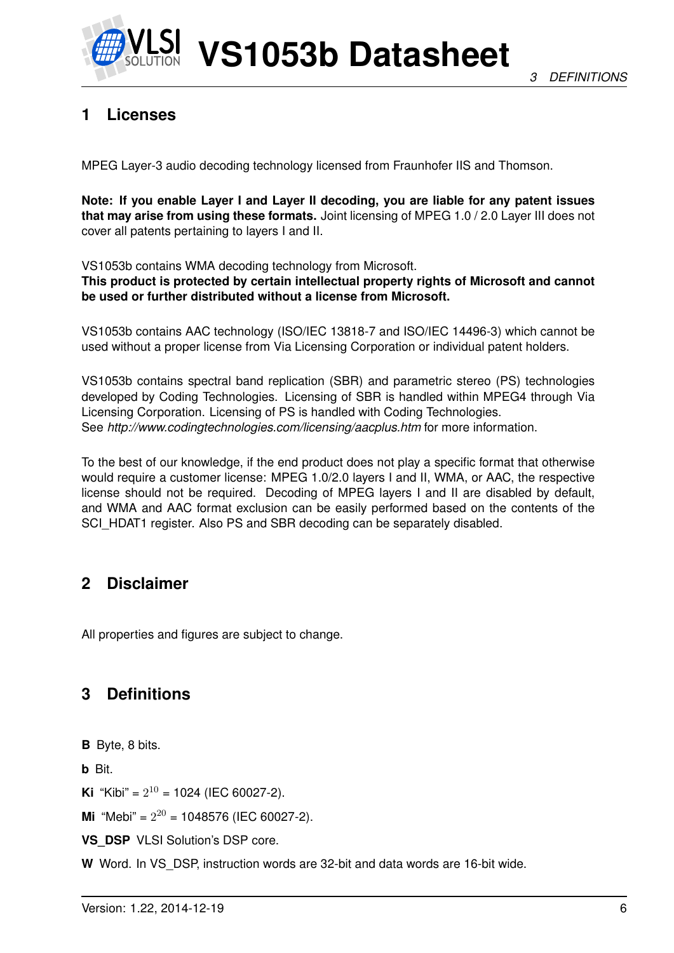

## **1 Licenses**

MPEG Layer-3 audio decoding technology licensed from Fraunhofer IIS and Thomson.

**Note: If you enable Layer I and Layer II decoding, you are liable for any patent issues that may arise from using these formats.** Joint licensing of MPEG 1.0 / 2.0 Layer III does not cover all patents pertaining to layers I and II.

VS1053b contains WMA decoding technology from Microsoft.

**This product is protected by certain intellectual property rights of Microsoft and cannot be used or further distributed without a license from Microsoft.**

VS1053b contains AAC technology (ISO/IEC 13818-7 and ISO/IEC 14496-3) which cannot be used without a proper license from Via Licensing Corporation or individual patent holders.

VS1053b contains spectral band replication (SBR) and parametric stereo (PS) technologies developed by Coding Technologies. Licensing of SBR is handled within MPEG4 through Via Licensing Corporation. Licensing of PS is handled with Coding Technologies. See *http://www.codingtechnologies.com/licensing/aacplus.htm* for more information.

To the best of our knowledge, if the end product does not play a specific format that otherwise would require a customer license: MPEG 1.0/2.0 layers I and II, WMA, or AAC, the respective license should not be required. Decoding of MPEG layers I and II are disabled by default, and WMA and AAC format exclusion can be easily performed based on the contents of the SCI\_HDAT1 register. Also PS and SBR decoding can be separately disabled.

## **2 Disclaimer**

All properties and figures are subject to change.

## **3 Definitions**

**B** Byte, 8 bits.

**b** Bit.

**Ki** "Kibi" =  $2^{10}$  = 1024 (IEC 60027-2).

**Mi** "Mebi" =  $2^{20}$  = 1048576 (IEC 60027-2).

**VS\_DSP** VLSI Solution's DSP core.

**W** Word. In VS\_DSP, instruction words are 32-bit and data words are 16-bit wide.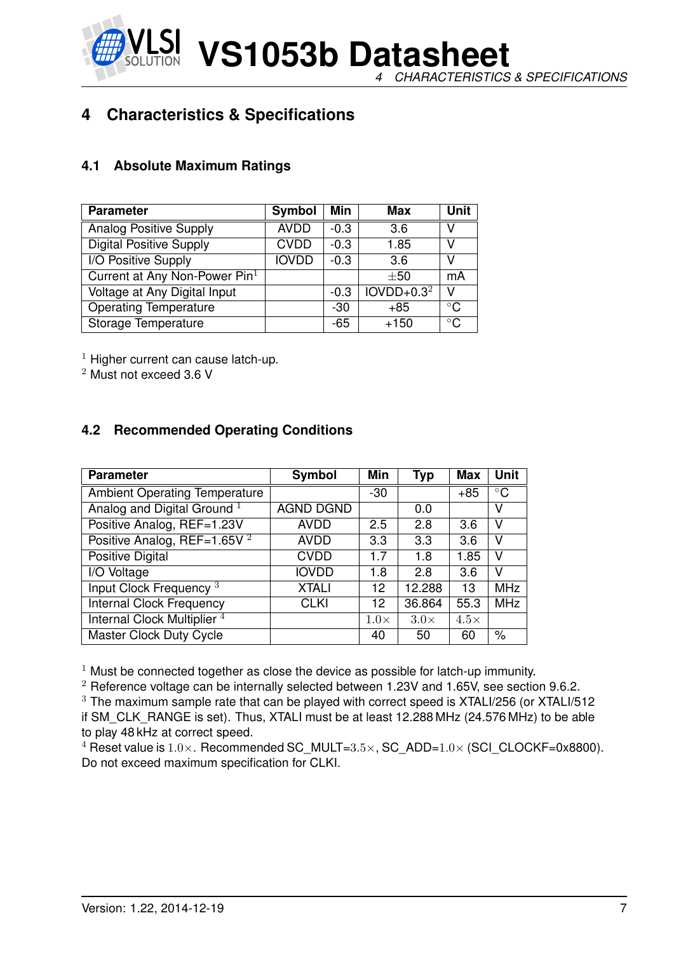**VS1053b Datasheet** *4 CHARACTERISTICS & SPECIFICATIONS*

## **4 Characteristics & Specifications**

#### **4.1 Absolute Maximum Ratings**

| <b>Parameter</b>                | Symbol       | Min    | Max          | <b>Unit</b>  |
|---------------------------------|--------------|--------|--------------|--------------|
| <b>Analog Positive Supply</b>   | <b>AVDD</b>  | $-0.3$ | 3.6          | V            |
| <b>Digital Positive Supply</b>  | <b>CVDD</b>  | $-0.3$ | 1.85         | V            |
| I/O Positive Supply             | <b>IOVDD</b> | $-0.3$ | 3.6          | V            |
| Current at Any Non-Power $Pin1$ |              |        | $\pm 50$     | mA           |
| Voltage at Any Digital Input    |              | $-0.3$ | $IOVDD+0.32$ | v            |
| <b>Operating Temperature</b>    |              | -30    | $+85$        | $^{\circ}$ C |
| Storage Temperature             |              | -65    | $+150$       | $^{\circ}$ C |

 $1$  Higher current can cause latch-up.

<sup>2</sup> Must not exceed 3.6 V

#### **4.2 Recommended Operating Conditions**

| <b>Parameter</b>                        | Symbol           | Min         | Typ         | <b>Max</b>  | <b>Unit</b> |
|-----------------------------------------|------------------|-------------|-------------|-------------|-------------|
| <b>Ambient Operating Temperature</b>    |                  | $-30$       |             | $+85$       | $\circ$ C   |
| Analog and Digital Ground <sup>1</sup>  | <b>AGND DGND</b> |             | 0.0         |             | v           |
| Positive Analog, REF=1.23V              | <b>AVDD</b>      | 2.5         | 2.8         | 3.6         | v           |
| Positive Analog, REF=1.65V <sup>2</sup> | <b>AVDD</b>      | 3.3         | 3.3         | 3.6         | v           |
| Positive Digital                        | <b>CVDD</b>      | 1.7         | 1.8         | 1.85        | v           |
| I/O Voltage                             | <b>IOVDD</b>     | 1.8         | 2.8         | 3.6         | v           |
| Input Clock Frequency <sup>3</sup>      | <b>XTALI</b>     | 12          | 12.288      | 13          | <b>MHz</b>  |
| <b>Internal Clock Frequency</b>         | <b>CLKI</b>      | 12          | 36.864      | 55.3        | <b>MHz</b>  |
| Internal Clock Multiplier <sup>4</sup>  |                  | $1.0\times$ | $3.0\times$ | $4.5\times$ |             |
| <b>Master Clock Duty Cycle</b>          |                  | 40          | 50          | 60          | $\%$        |

 $1$  Must be connected together as close the device as possible for latch-up immunity.

 $2$  Reference voltage can be internally selected between 1.23V and 1.65V, see section 9.6.2. <sup>3</sup> The maximum sample rate that can be played with correct speed is XTALI/256 (or XTALI/512 if SM\_CLK\_RANGE is set). Thus, XTALI must be at least 12.288 MHz (24.576 MHz) to be able to play 48 kHz at correct speed.

<sup>4</sup> Reset value is  $1.0\times$ . Recommended SC\_MULT= $3.5\times$ , SC\_ADD= $1.0\times$  (SCI\_CLOCKF=0x8800). Do not exceed maximum specification for CLKI.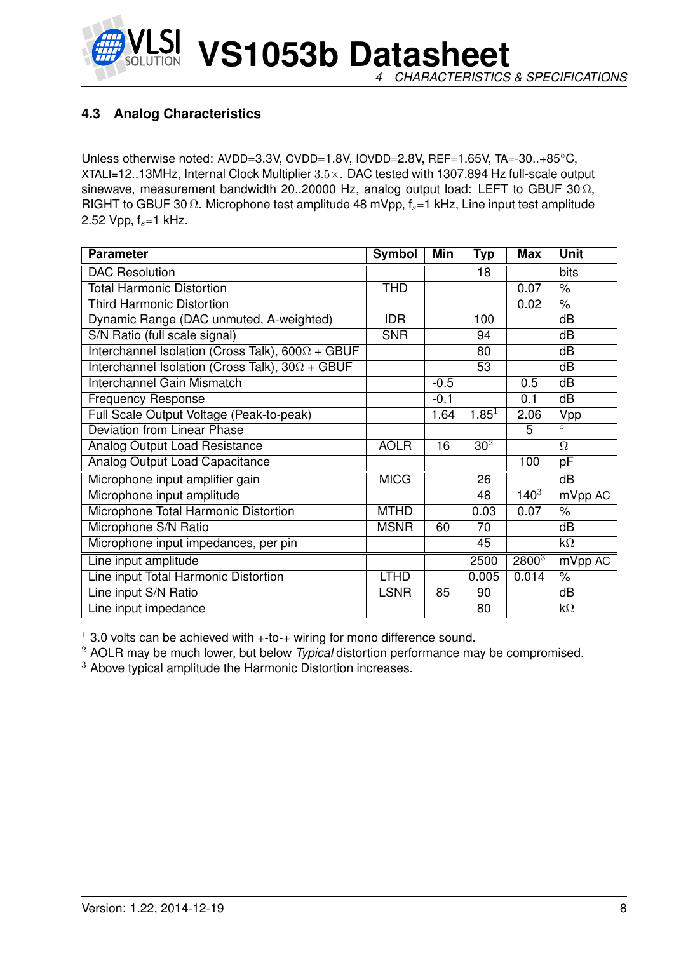

#### **4.3 Analog Characteristics**

Unless otherwise noted: AVDD=3.3V, CVDD=1.8V, IOVDD=2.8V, REF=1.65V, TA=-30..+85◦C, XTALI=12..13MHz, Internal Clock Multiplier 3.5×. DAC tested with 1307.894 Hz full-scale output sinewave, measurement bandwidth 20..20000 Hz, analog output load: LEFT to GBUF 30  $\Omega$ , RIGHT to GBUF 30  $\Omega$ . Microphone test amplitude 48 mVpp,  $f_s$ =1 kHz, Line input test amplitude 2.52 Vpp,  $f_s = 1$  kHz.

| <b>Parameter</b>                                        | <b>Symbol</b> | Min    | Typ             | <b>Max</b>        | <b>Unit</b> |
|---------------------------------------------------------|---------------|--------|-----------------|-------------------|-------------|
| <b>DAC Resolution</b>                                   |               |        | 18              |                   | bits        |
| <b>Total Harmonic Distortion</b>                        | <b>THD</b>    |        |                 | 0.07              | $\%$        |
| <b>Third Harmonic Distortion</b>                        |               |        |                 | 0.02              | $\%$        |
| Dynamic Range (DAC unmuted, A-weighted)                 | <b>IDR</b>    |        | 100             |                   | dB          |
| S/N Ratio (full scale signal)                           | <b>SNR</b>    |        | 94              |                   | dB          |
| Interchannel Isolation (Cross Talk), $600\Omega + GBUF$ |               |        | 80              |                   | dB          |
| Interchannel Isolation (Cross Talk), $30\Omega + GBUF$  |               |        | 53              |                   | dB          |
| <b>Interchannel Gain Mismatch</b>                       |               | $-0.5$ |                 | 0.5               | dB          |
| <b>Frequency Response</b>                               |               | $-0.1$ |                 | 0.1               | dB          |
| Full Scale Output Voltage (Peak-to-peak)                |               | 1.64   | $1.85^{1}$      | 2.06              | Vpp         |
| <b>Deviation from Linear Phase</b>                      |               |        |                 | 5                 | $\circ$     |
| Analog Output Load Resistance                           | <b>AOLR</b>   | 16     | 30 <sup>2</sup> |                   | $\Omega$    |
| Analog Output Load Capacitance                          |               |        |                 | 100               | pF          |
| Microphone input amplifier gain                         | <b>MICG</b>   |        | 26              |                   | dB          |
| Microphone input amplitude                              |               |        | 48              | $140^{3}$         | mVpp AC     |
| Microphone Total Harmonic Distortion                    | <b>MTHD</b>   |        | 0.03            | 0.07              | $\%$        |
| Microphone S/N Ratio                                    | <b>MSNR</b>   | 60     | 70              |                   | dB          |
| Microphone input impedances, per pin                    |               |        | 45              |                   | $k\Omega$   |
| Line input amplitude                                    |               |        | 2500            | 2800 <sup>3</sup> | mVpp AC     |
| Line input Total Harmonic Distortion                    | <b>LTHD</b>   |        | 0.005           | 0.014             | $\%$        |
| Line input S/N Ratio                                    | <b>LSNR</b>   | 85     | 90              |                   | dB          |
| Line input impedance                                    |               |        | 80              |                   | $k\Omega$   |

 $1$  3.0 volts can be achieved with  $++$  to $-+$  wiring for mono difference sound.

<sup>2</sup> AOLR may be much lower, but below *Typical* distortion performance may be compromised.

<sup>3</sup> Above typical amplitude the Harmonic Distortion increases.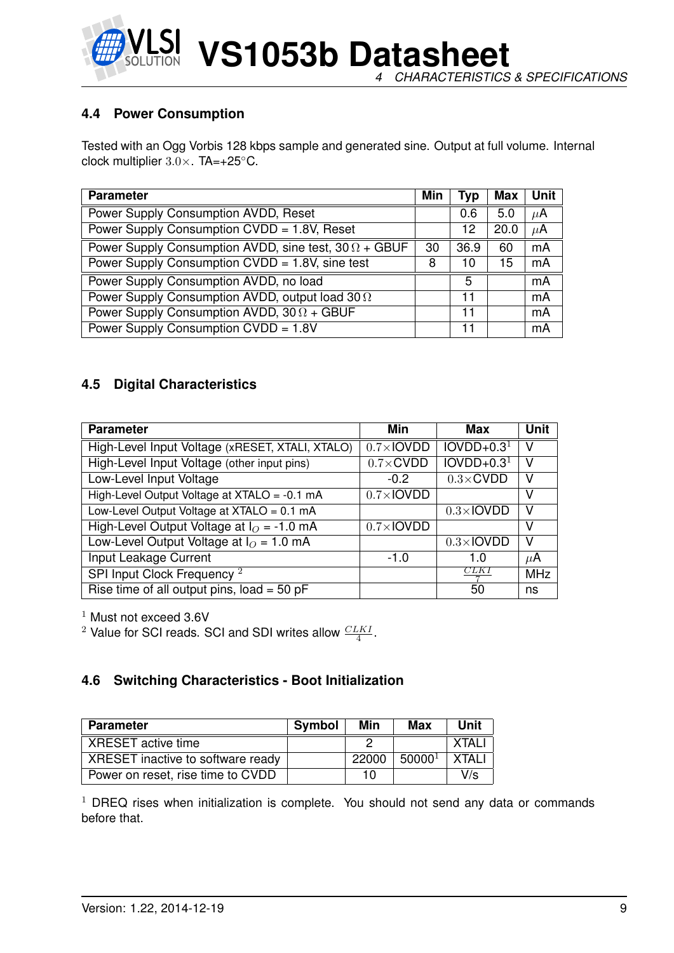

**VS1053b Datasheet** *4 CHARACTERISTICS & SPECIFICATIONS*

#### **4.4 Power Consumption**

Tested with an Ogg Vorbis 128 kbps sample and generated sine. Output at full volume. Internal clock multiplier 3.0×. TA=+25◦C.

| <b>Parameter</b>                                             | Min | Typ  | Max  | Unit    |
|--------------------------------------------------------------|-----|------|------|---------|
| Power Supply Consumption AVDD, Reset                         |     | 0.6  | 5.0  | $\mu$ A |
| Power Supply Consumption CVDD = 1.8V, Reset                  |     | 12   | 20.0 | $\mu$ A |
| Power Supply Consumption AVDD, sine test, $30 \Omega + GBUF$ | 30  | 36.9 | 60   | mA      |
| Power Supply Consumption CVDD = 1.8V, sine test              | 8   | 10   | 15   | mA      |
| Power Supply Consumption AVDD, no load                       |     | 5    |      | mA      |
| Power Supply Consumption AVDD, output load 30 $\Omega$       |     | 11   |      | mA      |
| Power Supply Consumption AVDD, $30 \Omega + GBUF$            |     | 11   |      | mA      |
| Power Supply Consumption CVDD = 1.8V                         |     | 11   |      | mA      |

#### **4.5 Digital Characteristics**

| <b>Parameter</b>                                | Min                       | Max               | Unit       |
|-------------------------------------------------|---------------------------|-------------------|------------|
| High-Level Input Voltage (xRESET, XTALI, XTALO) | $0.7 \times$ <b>IOVDD</b> | $IOVDD+0.31$      | ν          |
| High-Level Input Voltage (other input pins)     | $0.7 \times$ CVDD         | $IOVDD+0.31$      | v          |
| Low-Level Input Voltage                         | $-0.2$                    | $0.3 \times$ CVDD | v          |
| High-Level Output Voltage at XTALO = -0.1 mA    | $0.7\times$ IOVDD         |                   | v          |
| Low-Level Output Voltage at XTALO = 0.1 mA      |                           | $0.3\times$ IOVDD | v          |
| High-Level Output Voltage at $IO = -1.0$ mA     | $0.7\times$ IOVDD         |                   | v          |
| Low-Level Output Voltage at $IO = 1.0$ mA       |                           | $0.3\times$ IOVDD | V          |
| Input Leakage Current                           | $-1.0$                    | 1 O               | $\mu$ A    |
| SPI Input Clock Frequency <sup>2</sup>          |                           | CLK I             | <b>MHz</b> |
| Rise time of all output pins, $load = 50$ pF    |                           | 50                | ns         |

 $1$  Must not exceed 3.6V

<sup>2</sup> Value for SCI reads. SCI and SDI writes allow  $\frac{CLKI}{4}$ .

#### **4.6 Switching Characteristics - Boot Initialization**

| <b>Parameter</b>                  | Symbol | Min   | Max         | Unit   |
|-----------------------------------|--------|-------|-------------|--------|
| XRESET active time                |        |       |             | XTAL.  |
| XRESET inactive to software ready |        | 22000 | $50000^{1}$ | XTAL I |
| Power on reset, rise time to CVDD |        | 10    |             | V/s    |

 $1$  DREQ rises when initialization is complete. You should not send any data or commands before that.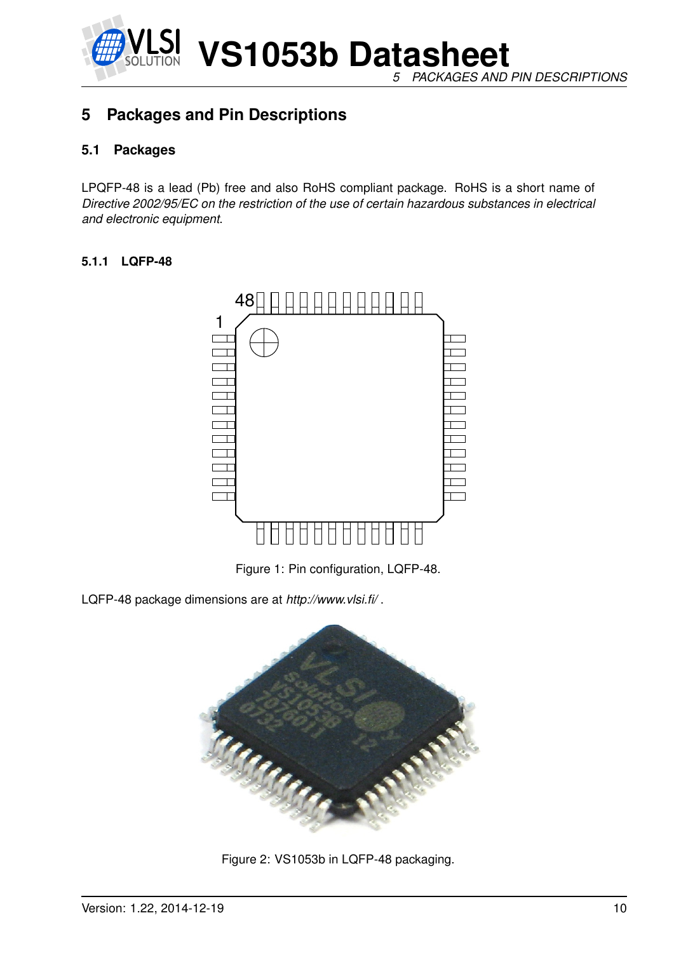

*5 PACKAGES AND PIN DESCRIPTIONS*

## **5 Packages and Pin Descriptions**

#### **5.1 Packages**

LPQFP-48 is a lead (Pb) free and also RoHS compliant package. RoHS is a short name of *Directive 2002/95/EC on the restriction of the use of certain hazardous substances in electrical and electronic equipment*.

#### **5.1.1 LQFP-48**



Figure 1: Pin configuration, LQFP-48.

LQFP-48 package dimensions are at *http://www.vlsi.fi/* .



Figure 2: VS1053b in LQFP-48 packaging.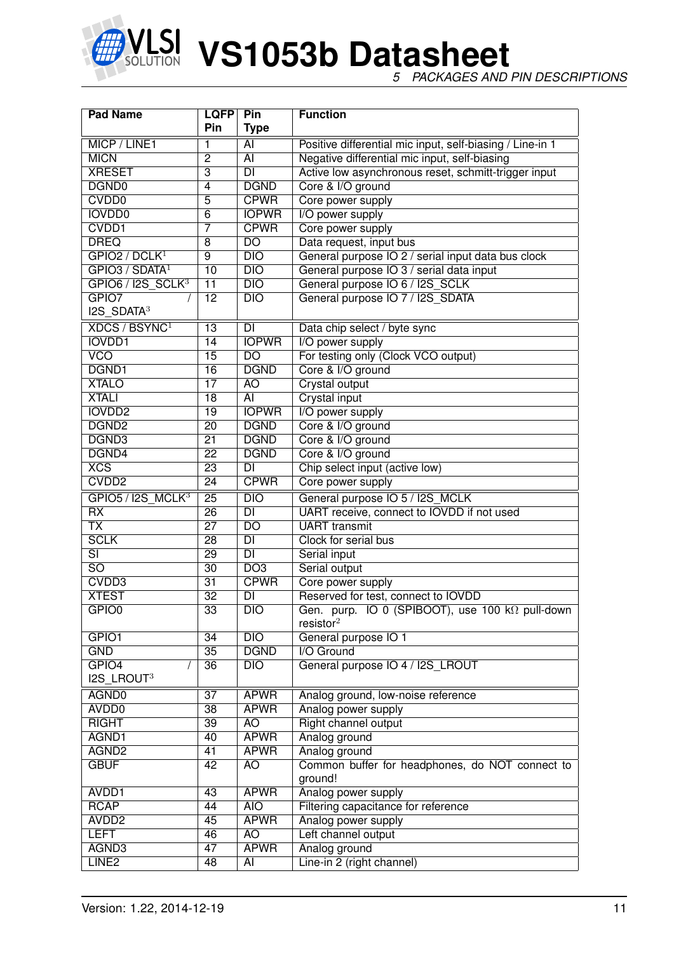

*5 PACKAGES AND PIN DESCRIPTIONS*

| <b>Pad Name</b><br><b>LQFP</b>   |                 | Pin                      | <b>Function</b>                                            |
|----------------------------------|-----------------|--------------------------|------------------------------------------------------------|
|                                  | Pin             | <b>Type</b>              |                                                            |
| MICP / LINE1                     | 1               | AI                       | Positive differential mic input, self-biasing / Line-in 1  |
| <b>MICN</b>                      | $\overline{2}$  | $\overline{AI}$          | Negative differential mic input, self-biasing              |
| <b>XRESET</b>                    | $\overline{3}$  | DI                       | Active low asynchronous reset, schmitt-trigger input       |
| DGND <sub>0</sub>                | $\overline{4}$  | <b>DGND</b>              | Core & I/O ground                                          |
| CVDD <sub>0</sub>                | $\overline{5}$  | <b>CPWR</b>              | Core power supply                                          |
| <b>IOVDD0</b>                    | $\overline{6}$  | <b>IOPWR</b>             | I/O power supply                                           |
| CVDD1                            | 7               | <b>CPWR</b>              | Core power supply                                          |
| <b>DREQ</b>                      | 8               | $\overline{D}$           | Data request, input bus                                    |
| GPIO2 / DCLK <sup>1</sup>        | $\overline{9}$  | DIO                      | General purpose IO 2 / serial input data bus clock         |
| GPIO3 / SDATA <sup>1</sup>       | 10              | $\overline{DIO}$         | General purpose IO 3 / serial data input                   |
| $GPIO6 / I2S_SCLK3$              | $\overline{11}$ | $\overline{DIO}$         | General purpose IO 6 / I2S_SCLK                            |
| GPIO7                            | $\overline{12}$ | $\overline{DIO}$         | General purpose IO 7 / I2S SDATA                           |
| $I2S$ SDATA <sup>3</sup>         |                 |                          |                                                            |
| <b>XDCS / BSYNC</b> <sup>1</sup> | $\overline{13}$ | <b>DI</b>                | Data chip select / byte sync                               |
| <b>IOVDD1</b>                    | 14              | <b>IOPWR</b>             | I/O power supply                                           |
| <b>VCO</b>                       | $\overline{15}$ | $\overline{DO}$          | For testing only (Clock VCO output)                        |
| DGND1                            | $\overline{16}$ | <b>DGND</b>              | Core & I/O ground                                          |
| <b>XTALO</b>                     | $\overline{17}$ | $\overline{AO}$          | <b>Crystal output</b>                                      |
| <b>XTALI</b>                     | $\overline{18}$ | $\overline{AI}$          | <b>Crystal input</b>                                       |
| <b>IOVDD2</b>                    | $\overline{19}$ | <b>IOPWR</b>             | I/O power supply                                           |
| DGND <sub>2</sub>                | $\overline{20}$ | <b>DGND</b>              | Core & I/O ground                                          |
| DGND3                            | $\overline{21}$ | <b>DGND</b>              | Core & I/O ground                                          |
| DGND4                            | $\overline{22}$ | <b>DGND</b>              | Core & I/O ground                                          |
| XCS                              | $\overline{23}$ | $\overline{DI}$          | Chip select input (active low)                             |
| CVDD <sub>2</sub>                | $\overline{24}$ | <b>CPWR</b>              | Core power supply                                          |
| GPIO5 / I2S MCLK <sup>3</sup>    | $\overline{25}$ | $\overline{DIO}$         | General purpose IO 5 / I2S_MCLK                            |
| $\overline{RX}$                  | $\overline{26}$ | $\overline{\mathsf{DI}}$ | UART receive, connect to IOVDD if not used                 |
| $\overline{\mathsf{TX}}$         | $\overline{27}$ | $\overline{DO}$          | <b>UART</b> transmit                                       |
| <b>SCLK</b>                      | $\overline{28}$ | $\overline{\mathsf{DI}}$ | Clock for serial bus                                       |
| $\overline{\text{SI}}$           | $\overline{29}$ | $\overline{\mathsf{DI}}$ | Serial input                                               |
| $\overline{SO}$                  | $\overline{30}$ | DO3                      | Serial output                                              |
| CVDD3                            | $\overline{31}$ | <b>CPWR</b>              | Core power supply                                          |
| <b>XTEST</b>                     | $\overline{32}$ | $\overline{\mathsf{DI}}$ | Reserved for test, connect to IOVDD                        |
| GPIO <sub>0</sub>                | $\overline{33}$ | DIO                      | Gen. purp. IO 0 (SPIBOOT), use 100 kΩ pull-down            |
|                                  |                 |                          | resistor <sup>2</sup>                                      |
| GPIO1                            | 34              | DIO                      | General purpose IO 1                                       |
| <b>GND</b>                       | $\overline{35}$ | <b>DGND</b>              | I/O Ground                                                 |
| GPIO4                            | 36              | $\overline{DIO}$         | General purpose IO 4 / I2S_LROUT                           |
| I2S_LROUT3                       |                 |                          |                                                            |
| AGND <sub>0</sub>                | $\overline{37}$ | <b>APWR</b>              | Analog ground, low-noise reference                         |
| AVDD <sub>0</sub>                | $\overline{38}$ | <b>APWR</b>              | Analog power supply                                        |
| <b>RIGHT</b>                     | $\overline{39}$ | AO                       | Right channel output                                       |
| AGND1                            | 40              | <b>APWR</b>              | Analog ground                                              |
| AGND <sub>2</sub>                | 41              | <b>APWR</b>              | Analog ground                                              |
| <b>GBUF</b>                      | 42              | <b>AO</b>                | Common buffer for headphones, do NOT connect to<br>ground! |
| AVDD1                            | 43              | <b>APWR</b>              | Analog power supply                                        |
| <b>RCAP</b>                      | 44              | <b>AIO</b>               | Filtering capacitance for reference                        |
| AVDD <sub>2</sub>                | 45              | <b>APWR</b>              | Analog power supply                                        |
| <b>LEFT</b>                      | 46              | AO                       | Left channel output                                        |
| AGND3                            | $\overline{47}$ | <b>APWR</b>              | Analog ground                                              |
| LINE <sub>2</sub>                | 48              | $\overline{AI}$          | Line-in 2 (right channel)                                  |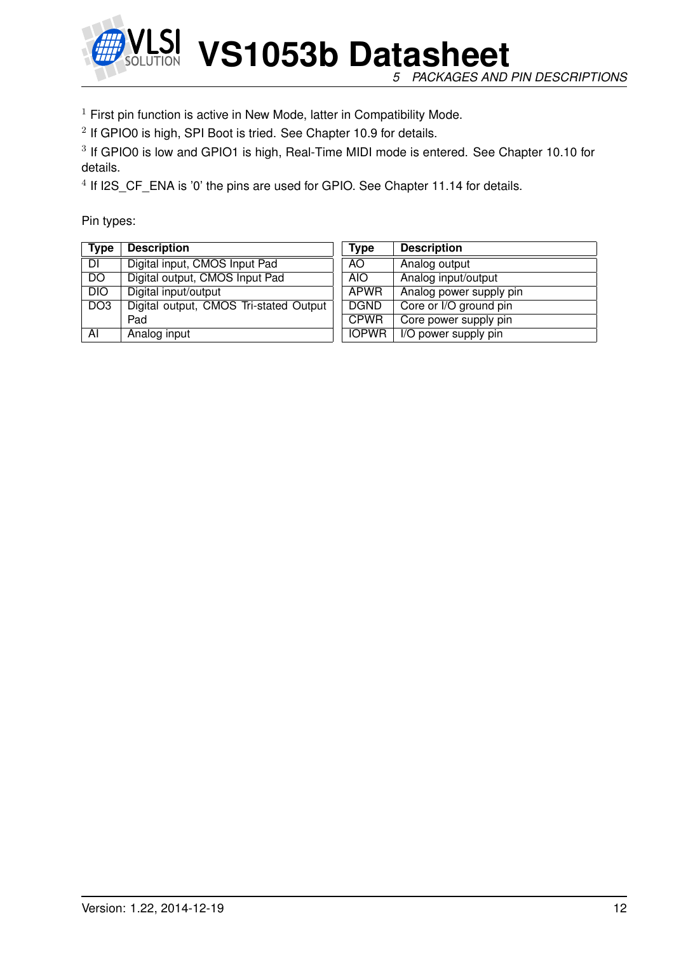

*5 PACKAGES AND PIN DESCRIPTIONS*

 $1$  First pin function is active in New Mode, latter in Compatibility Mode.

 $2$  If GPIO0 is high, SPI Boot is tried. See Chapter 10.9 for details.

<sup>3</sup> If GPIO0 is low and GPIO1 is high, Real-Time MIDI mode is entered. See Chapter 10.10 for details.

<sup>4</sup> If I2S\_CF\_ENA is '0' the pins are used for GPIO. See Chapter 11.14 for details.

Pin types:

| <b>Type</b>     | <b>Description</b>                     | Type         | <b>Description</b>      |
|-----------------|----------------------------------------|--------------|-------------------------|
| DI              | Digital input, CMOS Input Pad          | AO.          | Analog output           |
| DO              | Digital output, CMOS Input Pad         | AIO.         | Analog input/output     |
| DIO             | Digital input/output                   | <b>APWR</b>  | Analog power supply pin |
| DO <sub>3</sub> | Digital output, CMOS Tri-stated Output | <b>DGND</b>  | Core or I/O ground pin  |
|                 | Pad                                    | <b>CPWR</b>  | Core power supply pin   |
| AI              | Analog input                           | <b>IOPWR</b> | I/O power supply pin    |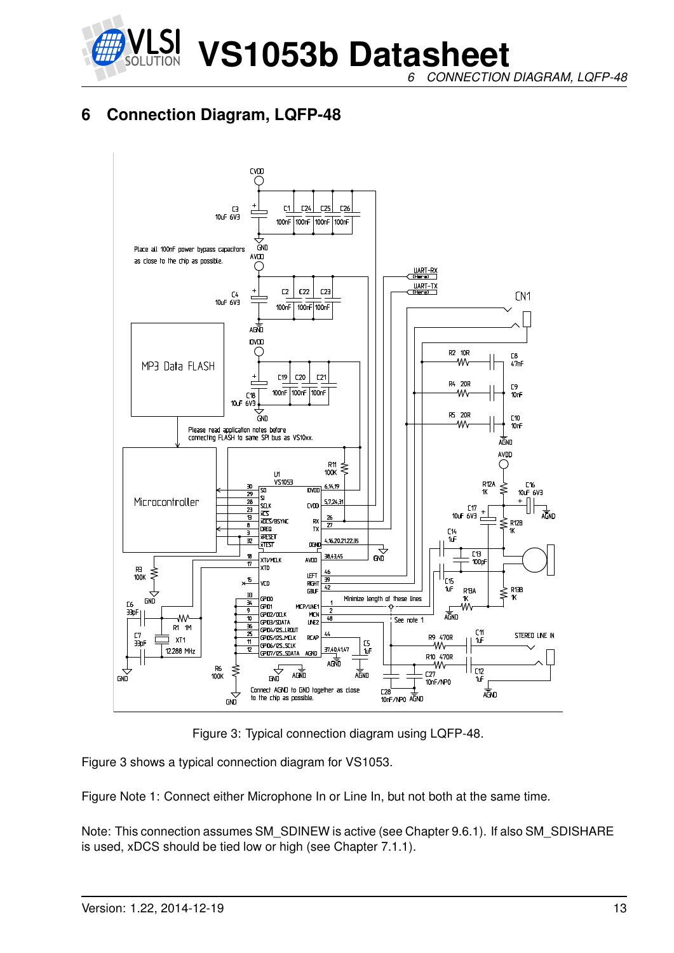

*6 CONNECTION DIAGRAM, LQFP-48*

## **6 Connection Diagram, LQFP-48**



Figure 3: Typical connection diagram using LQFP-48.

Figure 3 shows a typical connection diagram for VS1053.

Figure Note 1: Connect either Microphone In or Line In, but not both at the same time.

Note: This connection assumes SM\_SDINEW is active (see Chapter 9.6.1). If also SM\_SDISHARE is used, xDCS should be tied low or high (see Chapter 7.1.1).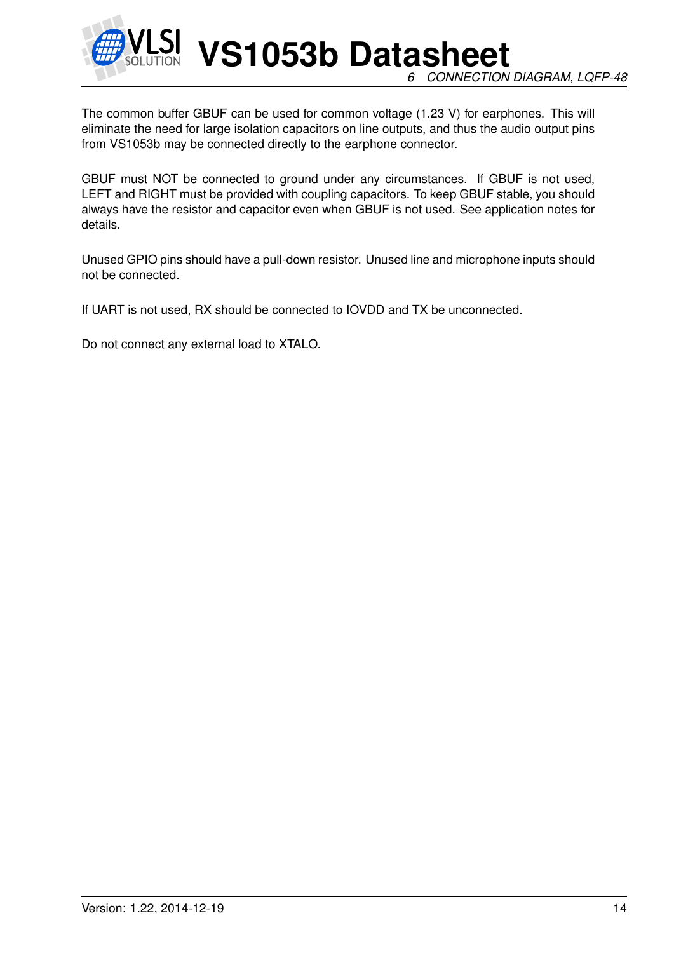

**VS1053b Datasheet** *6 CONNECTION DIAGRAM, LQFP-48*

The common buffer GBUF can be used for common voltage (1.23 V) for earphones. This will eliminate the need for large isolation capacitors on line outputs, and thus the audio output pins from VS1053b may be connected directly to the earphone connector.

GBUF must NOT be connected to ground under any circumstances. If GBUF is not used, LEFT and RIGHT must be provided with coupling capacitors. To keep GBUF stable, you should always have the resistor and capacitor even when GBUF is not used. See application notes for details.

Unused GPIO pins should have a pull-down resistor. Unused line and microphone inputs should not be connected.

If UART is not used, RX should be connected to IOVDD and TX be unconnected.

Do not connect any external load to XTALO.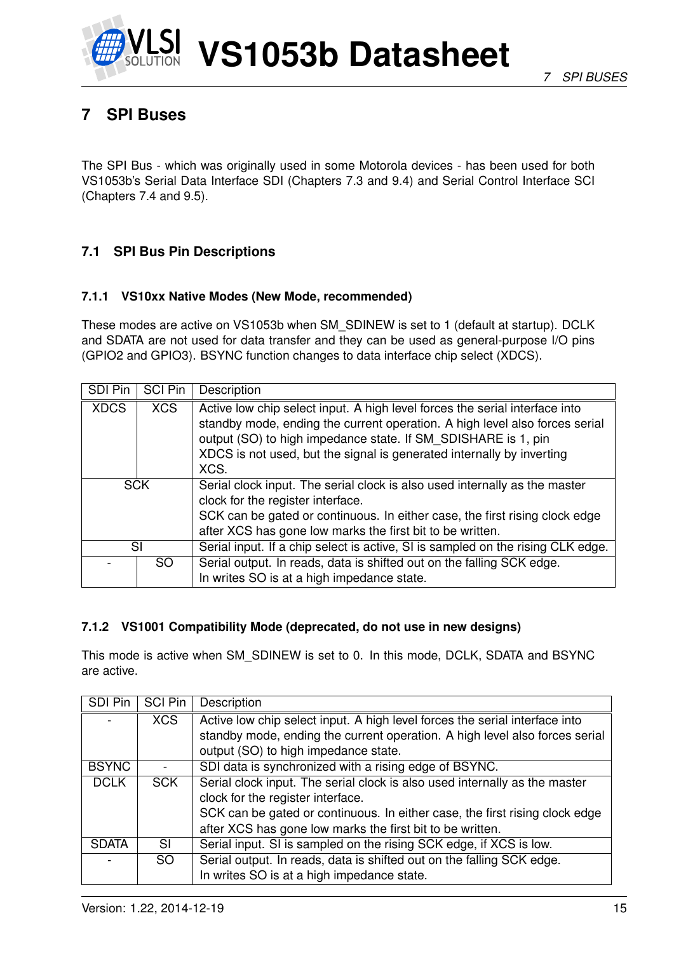

## **7 SPI Buses**

The SPI Bus - which was originally used in some Motorola devices - has been used for both VS1053b's Serial Data Interface SDI (Chapters 7.3 and 9.4) and Serial Control Interface SCI (Chapters 7.4 and 9.5).

#### **7.1 SPI Bus Pin Descriptions**

#### **7.1.1 VS10xx Native Modes (New Mode, recommended)**

These modes are active on VS1053b when SM\_SDINEW is set to 1 (default at startup). DCLK and SDATA are not used for data transfer and they can be used as general-purpose I/O pins (GPIO2 and GPIO3). BSYNC function changes to data interface chip select (XDCS).

| SDI Pin     | <b>SCI Pin</b> | Description                                                                                                                                                                                                                                                                                                  |
|-------------|----------------|--------------------------------------------------------------------------------------------------------------------------------------------------------------------------------------------------------------------------------------------------------------------------------------------------------------|
| <b>XDCS</b> | <b>XCS</b>     | Active low chip select input. A high level forces the serial interface into<br>standby mode, ending the current operation. A high level also forces serial<br>output (SO) to high impedance state. If SM_SDISHARE is 1, pin<br>XDCS is not used, but the signal is generated internally by inverting<br>XCS. |
| <b>SCK</b>  |                | Serial clock input. The serial clock is also used internally as the master<br>clock for the register interface.<br>SCK can be gated or continuous. In either case, the first rising clock edge<br>after XCS has gone low marks the first bit to be written.                                                  |
|             | SI             | Serial input. If a chip select is active, SI is sampled on the rising CLK edge.                                                                                                                                                                                                                              |
|             | SO.            | Serial output. In reads, data is shifted out on the falling SCK edge.<br>In writes SO is at a high impedance state.                                                                                                                                                                                          |

#### **7.1.2 VS1001 Compatibility Mode (deprecated, do not use in new designs)**

This mode is active when SM\_SDINEW is set to 0. In this mode, DCLK, SDATA and BSYNC are active.

| SDI Pin      | <b>SCI Pin</b> | Description                                                                 |
|--------------|----------------|-----------------------------------------------------------------------------|
|              | <b>XCS</b>     | Active low chip select input. A high level forces the serial interface into |
|              |                | standby mode, ending the current operation. A high level also forces serial |
|              |                | output (SO) to high impedance state.                                        |
| <b>BSYNC</b> |                | SDI data is synchronized with a rising edge of BSYNC.                       |
| <b>DCLK</b>  | <b>SCK</b>     | Serial clock input. The serial clock is also used internally as the master  |
|              |                | clock for the register interface.                                           |
|              |                | SCK can be gated or continuous. In either case, the first rising clock edge |
|              |                | after XCS has gone low marks the first bit to be written.                   |
| <b>SDATA</b> | SL             | Serial input. SI is sampled on the rising SCK edge, if XCS is low.          |
|              | SO.            | Serial output. In reads, data is shifted out on the falling SCK edge.       |
|              |                | In writes SO is at a high impedance state.                                  |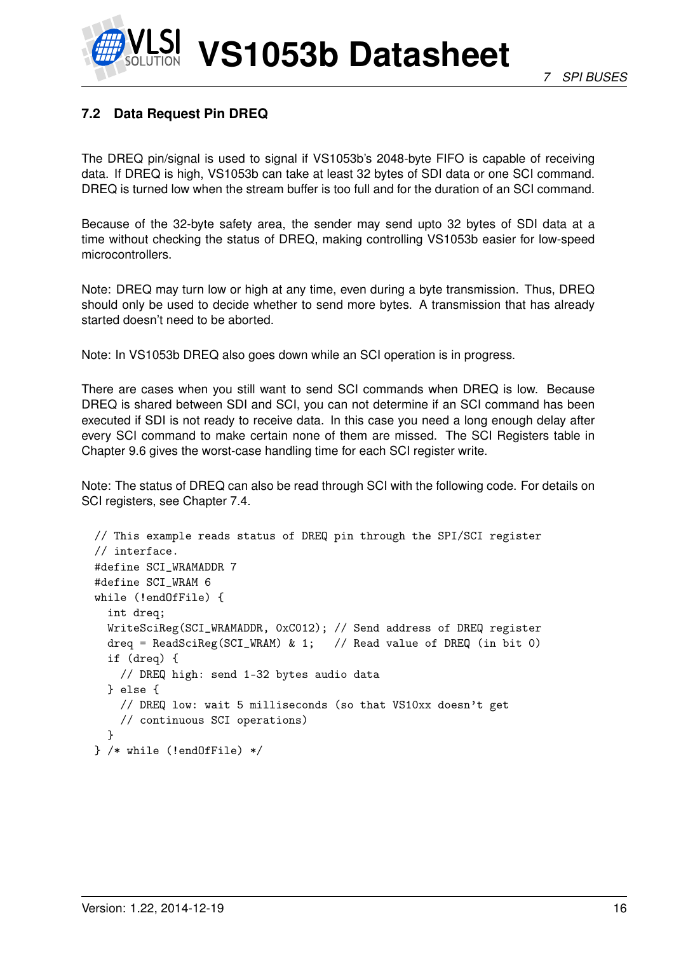## **7.2 Data Request Pin DREQ**

The DREQ pin/signal is used to signal if VS1053b's 2048-byte FIFO is capable of receiving data. If DREQ is high, VS1053b can take at least 32 bytes of SDI data or one SCI command. DREQ is turned low when the stream buffer is too full and for the duration of an SCI command.

Because of the 32-byte safety area, the sender may send upto 32 bytes of SDI data at a time without checking the status of DREQ, making controlling VS1053b easier for low-speed microcontrollers.

Note: DREQ may turn low or high at any time, even during a byte transmission. Thus, DREQ should only be used to decide whether to send more bytes. A transmission that has already started doesn't need to be aborted.

Note: In VS1053b DREQ also goes down while an SCI operation is in progress.

There are cases when you still want to send SCI commands when DREQ is low. Because DREQ is shared between SDI and SCI, you can not determine if an SCI command has been executed if SDI is not ready to receive data. In this case you need a long enough delay after every SCI command to make certain none of them are missed. The SCI Registers table in Chapter 9.6 gives the worst-case handling time for each SCI register write.

Note: The status of DREQ can also be read through SCI with the following code. For details on SCI registers, see Chapter 7.4.

```
// This example reads status of DREQ pin through the SPI/SCI register
// interface.
#define SCI WRAMADDR 7
#define SCI_WRAM 6
while (!endOfFile) {
  int dreq;
 WriteSciReg(SCI_WRAMADDR, 0xC012); // Send address of DREQ register
 dreq = ReadSciReg(SCI_WRAM) & 1; // Read value of DREQ (in bit 0)
  if (dreq) {
   // DREQ high: send 1-32 bytes audio data
 } else {
    // DREQ low: wait 5 milliseconds (so that VS10xx doesn't get
   // continuous SCI operations)
 }
} /* while (!endOfFile) */
```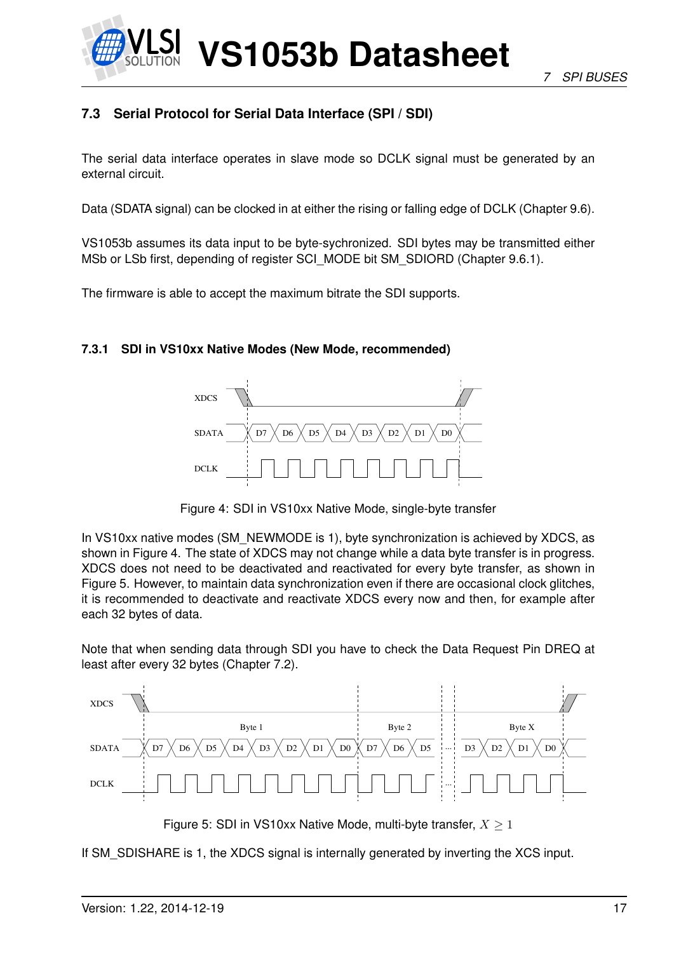

#### **7.3 Serial Protocol for Serial Data Interface (SPI / SDI)**

The serial data interface operates in slave mode so DCLK signal must be generated by an external circuit.

Data (SDATA signal) can be clocked in at either the rising or falling edge of DCLK (Chapter 9.6).

VS1053b assumes its data input to be byte-sychronized. SDI bytes may be transmitted either MSb or LSb first, depending of register SCI\_MODE bit SM\_SDIORD (Chapter 9.6.1).

The firmware is able to accept the maximum bitrate the SDI supports.

#### **7.3.1 SDI in VS10xx Native Modes (New Mode, recommended)**



Figure 4: SDI in VS10xx Native Mode, single-byte transfer

In VS10xx native modes (SM\_NEWMODE is 1), byte synchronization is achieved by XDCS, as shown in Figure 4. The state of XDCS may not change while a data byte transfer is in progress. XDCS does not need to be deactivated and reactivated for every byte transfer, as shown in Figure 5. However, to maintain data synchronization even if there are occasional clock glitches, it is recommended to deactivate and reactivate XDCS every now and then, for example after each 32 bytes of data.

Note that when sending data through SDI you have to check the Data Request Pin DREQ at least after every 32 bytes (Chapter 7.2).



Figure 5: SDI in VS10xx Native Mode, multi-byte transfer,  $X \geq 1$ 

If SM\_SDISHARE is 1, the XDCS signal is internally generated by inverting the XCS input.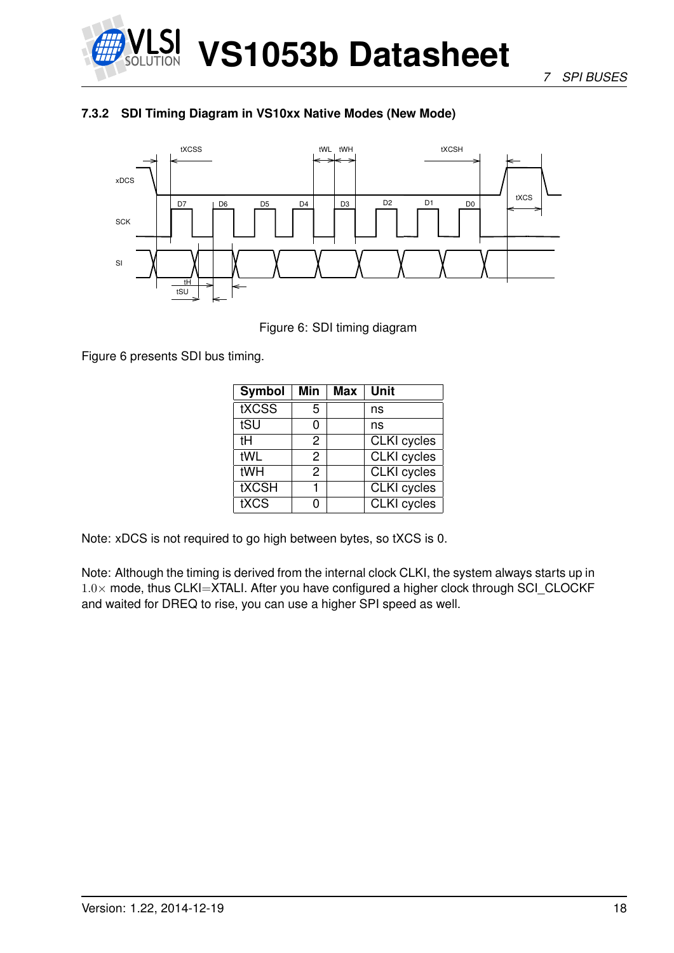

*7 SPI BUSES*

#### **7.3.2 SDI Timing Diagram in VS10xx Native Modes (New Mode)**



Figure 6: SDI timing diagram

Figure 6 presents SDI bus timing.

| <b>Symbol</b> | Min | Max | Unit               |
|---------------|-----|-----|--------------------|
| tXCSS         | 5   |     | ns                 |
| tSU           | 0   |     | ns                 |
| tН            | 2   |     | <b>CLKI</b> cycles |
| tWL           | 2   |     | <b>CLKI</b> cycles |
| tWH           | 2   |     | <b>CLKI</b> cycles |
| <b>tXCSH</b>  |     |     | <b>CLKI</b> cycles |
| tXCS          | n   |     | <b>CLKI</b> cycles |

Note: xDCS is not required to go high between bytes, so tXCS is 0.

Note: Although the timing is derived from the internal clock CLKI, the system always starts up in  $1.0\times$  mode, thus CLKI=XTALI. After you have configured a higher clock through SCI CLOCKF and waited for DREQ to rise, you can use a higher SPI speed as well.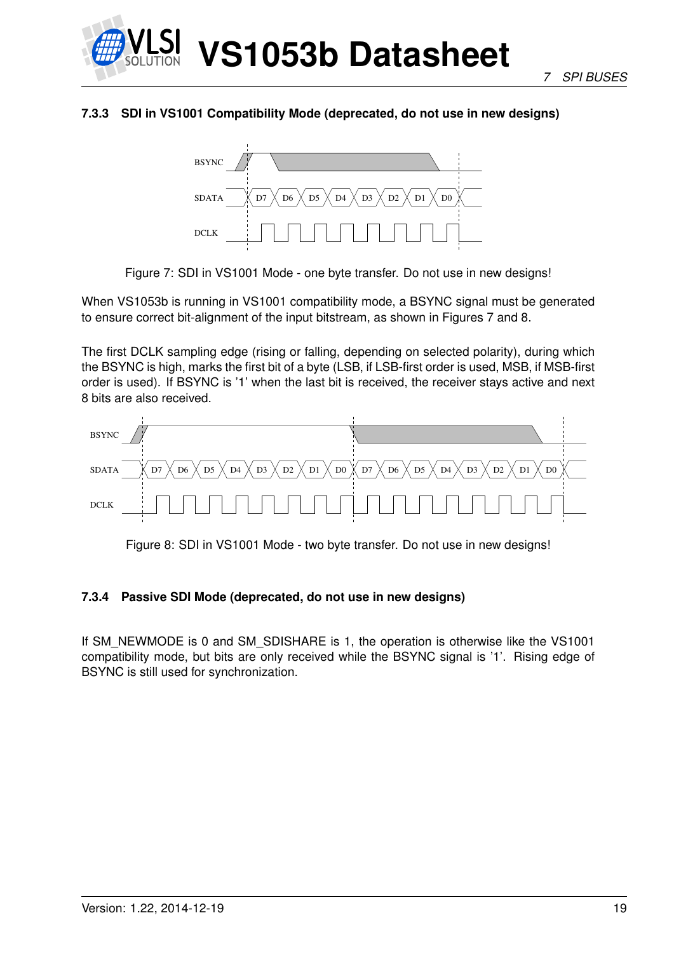

#### **7.3.3 SDI in VS1001 Compatibility Mode (deprecated, do not use in new designs)**



Figure 7: SDI in VS1001 Mode - one byte transfer. Do not use in new designs!

When VS1053b is running in VS1001 compatibility mode, a BSYNC signal must be generated to ensure correct bit-alignment of the input bitstream, as shown in Figures 7 and 8.

The first DCLK sampling edge (rising or falling, depending on selected polarity), during which the BSYNC is high, marks the first bit of a byte (LSB, if LSB-first order is used, MSB, if MSB-first order is used). If BSYNC is '1' when the last bit is received, the receiver stays active and next 8 bits are also received.



Figure 8: SDI in VS1001 Mode - two byte transfer. Do not use in new designs!

#### **7.3.4 Passive SDI Mode (deprecated, do not use in new designs)**

If SM\_NEWMODE is 0 and SM\_SDISHARE is 1, the operation is otherwise like the VS1001 compatibility mode, but bits are only received while the BSYNC signal is '1'. Rising edge of BSYNC is still used for synchronization.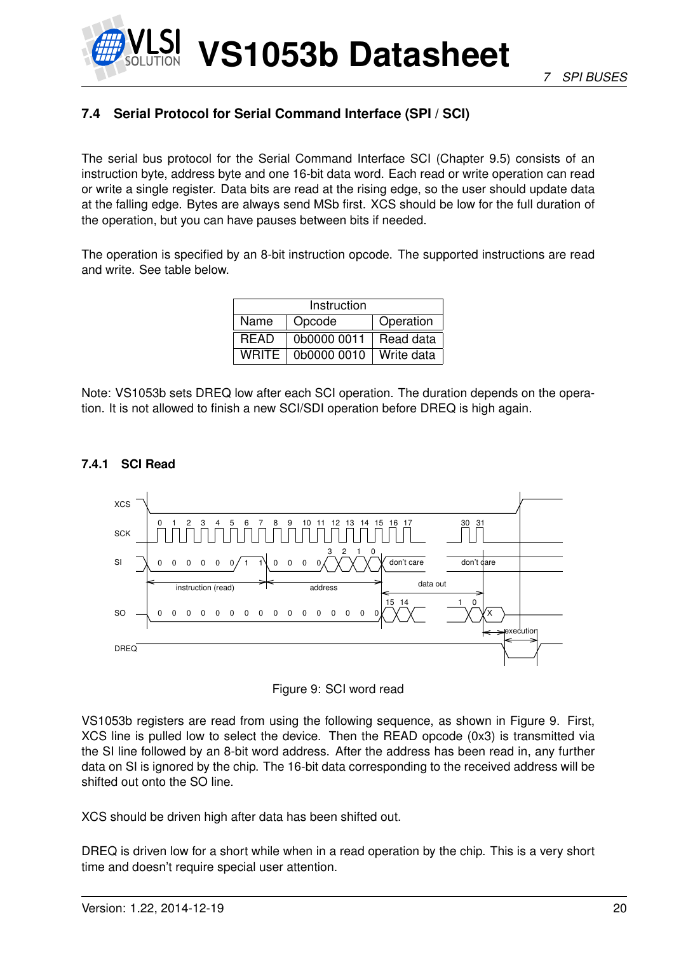

## **7.4 Serial Protocol for Serial Command Interface (SPI / SCI)**

The serial bus protocol for the Serial Command Interface SCI (Chapter 9.5) consists of an instruction byte, address byte and one 16-bit data word. Each read or write operation can read or write a single register. Data bits are read at the rising edge, so the user should update data at the falling edge. Bytes are always send MSb first. XCS should be low for the full duration of the operation, but you can have pauses between bits if needed.

The operation is specified by an 8-bit instruction opcode. The supported instructions are read and write. See table below.

| Instruction  |             |            |  |  |  |  |  |  |  |  |  |
|--------------|-------------|------------|--|--|--|--|--|--|--|--|--|
| Name         | Opcode      | Operation  |  |  |  |  |  |  |  |  |  |
| <b>READ</b>  | 0b0000 0011 | Read data  |  |  |  |  |  |  |  |  |  |
| <b>WRITE</b> | 0b0000 0010 | Write data |  |  |  |  |  |  |  |  |  |

Note: VS1053b sets DREQ low after each SCI operation. The duration depends on the operation. It is not allowed to finish a new SCI/SDI operation before DREQ is high again.

#### **7.4.1 SCI Read**





VS1053b registers are read from using the following sequence, as shown in Figure 9. First, XCS line is pulled low to select the device. Then the READ opcode (0x3) is transmitted via the SI line followed by an 8-bit word address. After the address has been read in, any further data on SI is ignored by the chip. The 16-bit data corresponding to the received address will be shifted out onto the SO line.

XCS should be driven high after data has been shifted out.

DREQ is driven low for a short while when in a read operation by the chip. This is a very short time and doesn't require special user attention.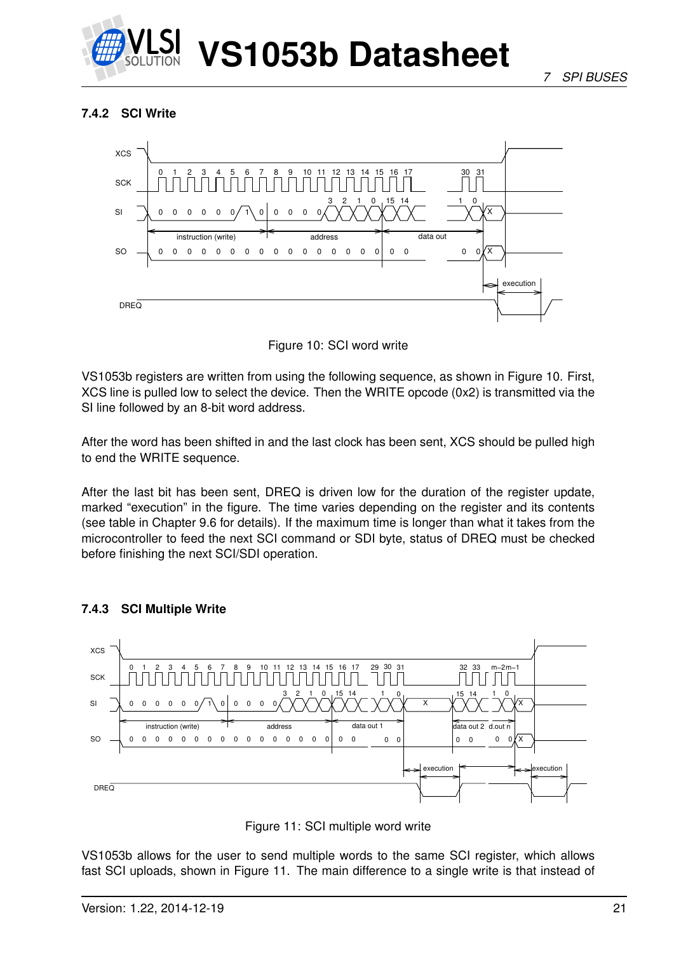

#### **7.4.2 SCI Write**



Figure 10: SCI word write

VS1053b registers are written from using the following sequence, as shown in Figure 10. First, XCS line is pulled low to select the device. Then the WRITE opcode (0x2) is transmitted via the SI line followed by an 8-bit word address.

After the word has been shifted in and the last clock has been sent, XCS should be pulled high to end the WRITE sequence.

After the last bit has been sent, DREQ is driven low for the duration of the register update, marked "execution" in the figure. The time varies depending on the register and its contents (see table in Chapter 9.6 for details). If the maximum time is longer than what it takes from the microcontroller to feed the next SCI command or SDI byte, status of DREQ must be checked before finishing the next SCI/SDI operation.



#### **7.4.3 SCI Multiple Write**

Figure 11: SCI multiple word write

VS1053b allows for the user to send multiple words to the same SCI register, which allows fast SCI uploads, shown in Figure 11. The main difference to a single write is that instead of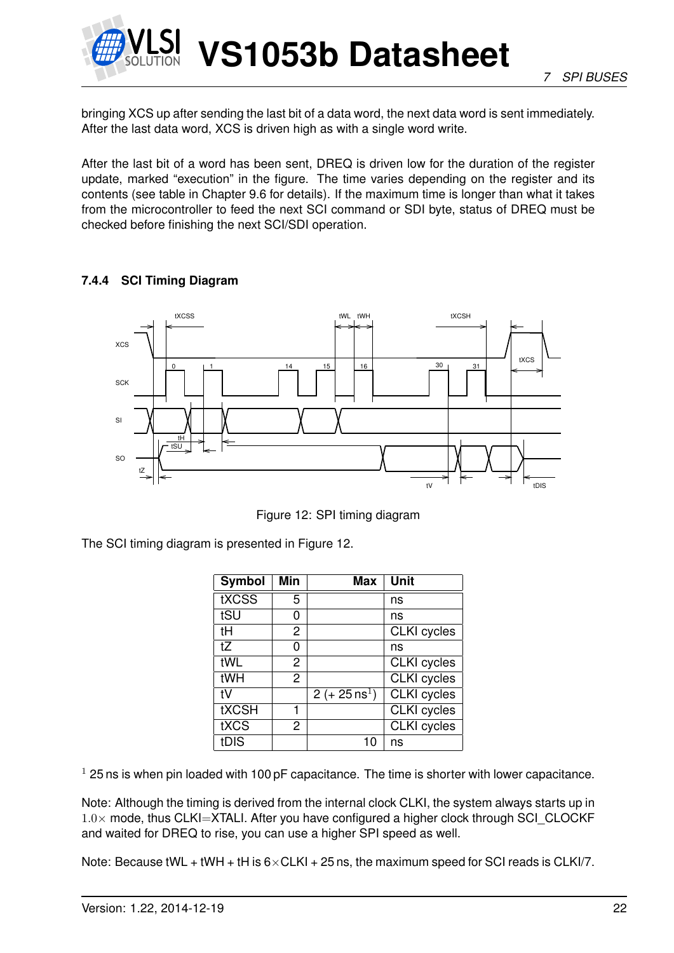

bringing XCS up after sending the last bit of a data word, the next data word is sent immediately. After the last data word, XCS is driven high as with a single word write.

After the last bit of a word has been sent, DREQ is driven low for the duration of the register update, marked "execution" in the figure. The time varies depending on the register and its contents (see table in Chapter 9.6 for details). If the maximum time is longer than what it takes from the microcontroller to feed the next SCI command or SDI byte, status of DREQ must be checked before finishing the next SCI/SDI operation.

#### **7.4.4 SCI Timing Diagram**



Figure 12: SPI timing diagram

The SCI timing diagram is presented in Figure 12.

| <b>Symbol</b> | <b>Min</b>     | <b>Max</b>               | Unit               |
|---------------|----------------|--------------------------|--------------------|
| tXCSS         | 5              |                          | ns                 |
| tSU           | O)             |                          | ns                 |
| tH            | $\overline{2}$ |                          | <b>CLKI</b> cycles |
| tZ            | 0              |                          | ns                 |
| tWL           | 2              |                          | <b>CLKI</b> cycles |
| tWH           | $\overline{2}$ |                          | <b>CLKI</b> cycles |
| tV            |                | 2 (+ $25 \text{ ns}^1$ ) | <b>CLKI</b> cycles |
| <b>tXCSH</b>  |                |                          | <b>CLKI</b> cycles |
| tXCS          | $\overline{c}$ |                          | <b>CLKI</b> cycles |
| tDIS          |                | 10                       | ns                 |

 $1$  25 ns is when pin loaded with 100 pF capacitance. The time is shorter with lower capacitance.

Note: Although the timing is derived from the internal clock CLKI, the system always starts up in  $1.0\times$  mode, thus CLKI=XTALI. After you have configured a higher clock through SCI\_CLOCKF and waited for DREQ to rise, you can use a higher SPI speed as well.

Note: Because tWL + tWH + tH is  $6 \times$ CLKI + 25 ns, the maximum speed for SCI reads is CLKI/7.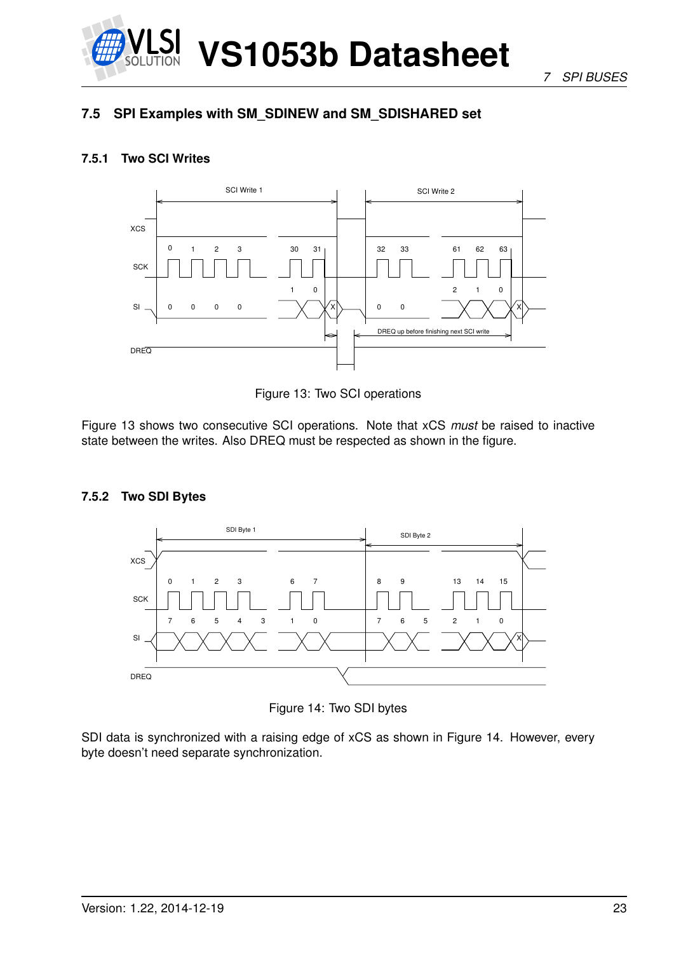

*7 SPI BUSES*

### **7.5 SPI Examples with SM\_SDINEW and SM\_SDISHARED set**

#### **7.5.1 Two SCI Writes**



Figure 13: Two SCI operations

Figure 13 shows two consecutive SCI operations. Note that xCS *must* be raised to inactive state between the writes. Also DREQ must be respected as shown in the figure.

#### **7.5.2 Two SDI Bytes**



Figure 14: Two SDI bytes

SDI data is synchronized with a raising edge of xCS as shown in Figure 14. However, every byte doesn't need separate synchronization.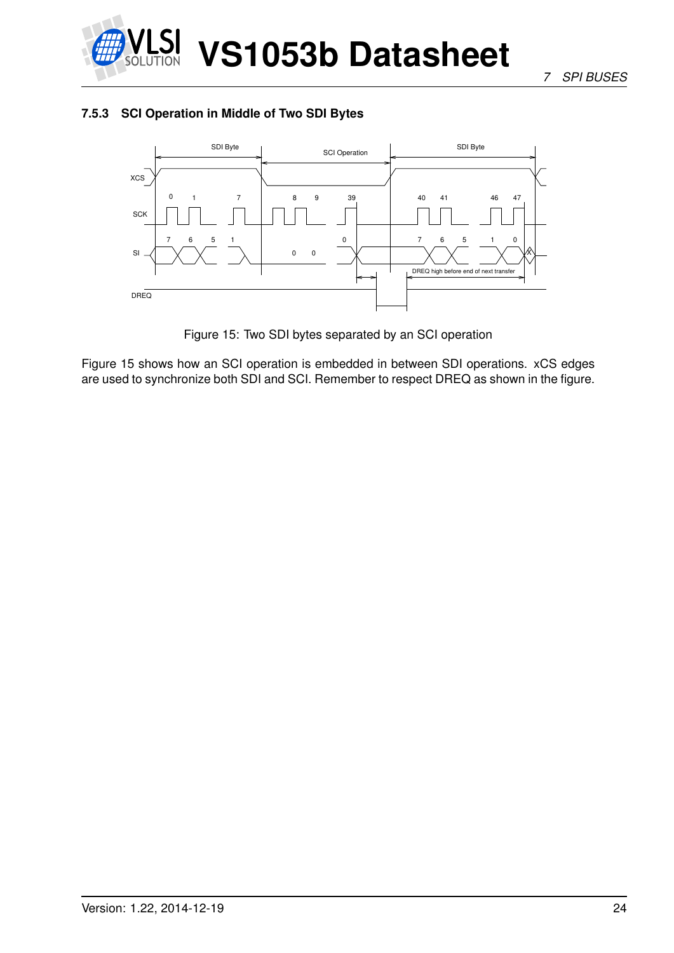

#### **7.5.3 SCI Operation in Middle of Two SDI Bytes**



Figure 15: Two SDI bytes separated by an SCI operation

Figure 15 shows how an SCI operation is embedded in between SDI operations. xCS edges are used to synchronize both SDI and SCI. Remember to respect DREQ as shown in the figure.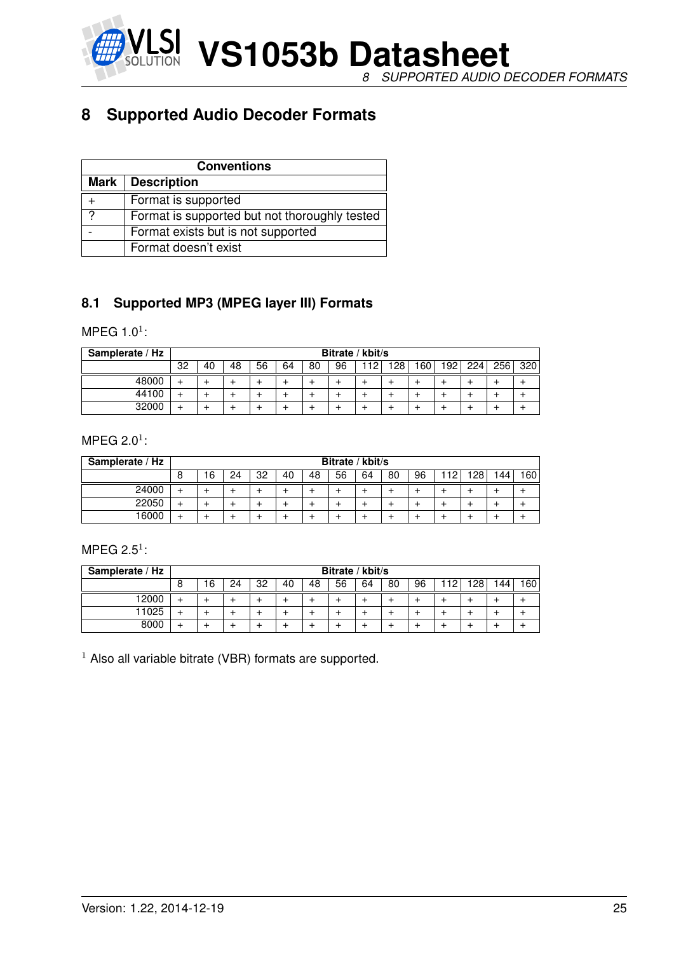

## **8 Supported Audio Decoder Formats**

|   | <b>Conventions</b>                            |  |  |  |  |  |  |  |  |  |  |
|---|-----------------------------------------------|--|--|--|--|--|--|--|--|--|--|
|   | Mark   Description                            |  |  |  |  |  |  |  |  |  |  |
|   | Format is supported                           |  |  |  |  |  |  |  |  |  |  |
| 2 | Format is supported but not thoroughly tested |  |  |  |  |  |  |  |  |  |  |
|   | Format exists but is not supported            |  |  |  |  |  |  |  |  |  |  |
|   | Format doesn't exist                          |  |  |  |  |  |  |  |  |  |  |

#### **8.1 Supported MP3 (MPEG layer III) Formats**

#### MPEG 1.0 $^1$ :

| Samplerate / Hz | Bitrate / kbit/s |    |    |    |    |    |    |    |     |     |     |     |     |     |
|-----------------|------------------|----|----|----|----|----|----|----|-----|-----|-----|-----|-----|-----|
|                 | 32               | 40 | 48 | 56 | 64 | 80 | 96 | 12 | 128 | 160 | 192 | 224 | 256 | 320 |
| 48000           |                  |    |    |    |    |    |    |    |     |     |     |     |     |     |
| 44100           |                  |    |    |    |    |    |    |    |     |     |     |     |     |     |
| 32000           |                  |    |    |    |    |    |    |    |     |     |     |     |     |     |

#### MPEG 2.0 $^1$ :

| Samplerate / Hz |   | Bitrate / kbit/s |    |    |    |    |    |    |    |    |    |           |      |     |
|-----------------|---|------------------|----|----|----|----|----|----|----|----|----|-----------|------|-----|
|                 | 8 | 16               | 24 | 32 | 40 | 48 | 56 | 64 | 80 | 96 | 10 | Ωפי<br>20 | 144. | 160 |
| 24000           |   |                  | -  |    |    |    |    |    |    |    |    |           |      |     |
| 22050           |   |                  |    |    |    |    |    |    |    |    |    |           |      |     |
| 16000           |   |                  |    |    |    |    |    |    |    |    |    |           |      |     |

#### MPEG 2.5 $1$ :

| Samplerate / Hz |   | Bitrate / kbit/s |    |    |    |    |    |    |    |    |    |                  |      |     |
|-----------------|---|------------------|----|----|----|----|----|----|----|----|----|------------------|------|-----|
|                 | 8 | 6                | 24 | 32 | 40 | 48 | 56 | 64 | 80 | 96 | 12 | 128 <sub>1</sub> | 144. | 160 |
| 12000           |   |                  |    |    |    |    |    |    |    |    |    |                  |      |     |
| 11025           |   |                  |    |    |    |    |    |    |    |    |    |                  |      |     |
| 8000            | ÷ |                  | ÷  |    |    |    |    |    |    |    |    |                  |      |     |

 $1$  Also all variable bitrate (VBR) formats are supported.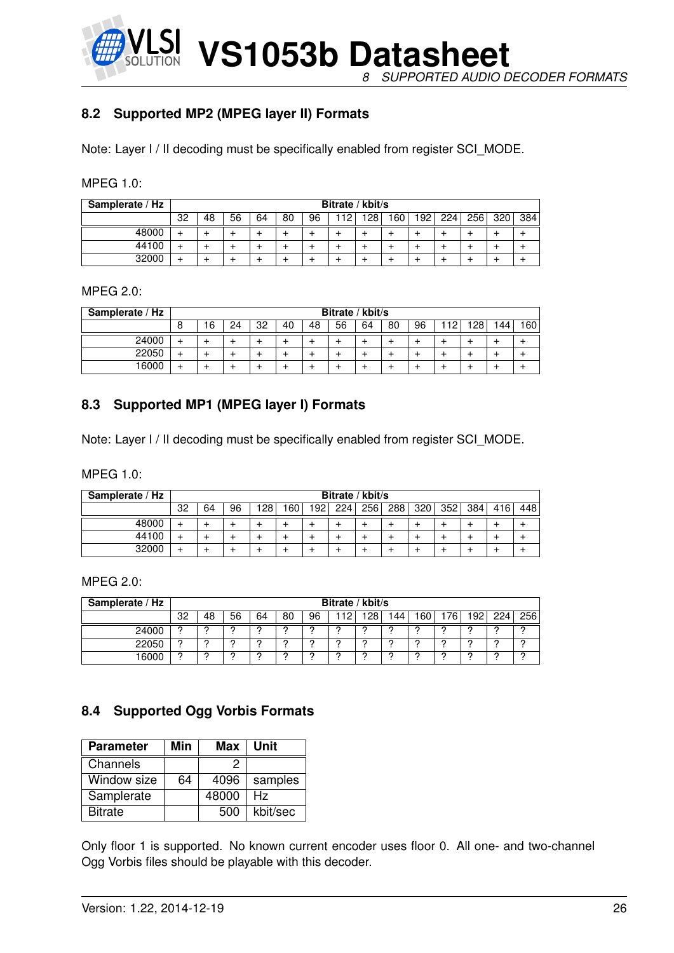**VS1053b Datasheet** *8 SUPPORTED AUDIO DECODER FORMATS*

#### **8.2 Supported MP2 (MPEG layer II) Formats**

Note: Layer I / II decoding must be specifically enabled from register SCI\_MODE.

| <b>MPEG 1.0:</b> |  |  |
|------------------|--|--|
|                  |  |  |

| Samplerate / Hz |    | Bitrate / kbit/s |    |    |    |    |    |     |     |     |     |                  |     |     |
|-----------------|----|------------------|----|----|----|----|----|-----|-----|-----|-----|------------------|-----|-----|
|                 | 32 | 48               | 56 | 64 | 80 | 96 | 19 | 12R | 160 | 192 | 224 | 256 <sub>1</sub> | 320 | 384 |
| 48000           |    |                  |    |    |    |    |    |     |     |     |     |                  |     |     |
| 44100           |    |                  |    |    |    |    |    |     |     |     |     |                  |     |     |
| 32000           |    |                  | -  |    |    |    |    |     |     |     |     |                  |     |     |

#### MPEG 2.0:

| Samplerate / Hz |   | Bitrate / kbit/s |    |    |    |    |    |    |    |    |     |                  |     |      |
|-----------------|---|------------------|----|----|----|----|----|----|----|----|-----|------------------|-----|------|
|                 | 8 | 16               | 24 | 32 | 40 | 48 | 56 | 64 | 80 | 96 | 12. | 128 <sub>1</sub> | 144 | 160, |
| 24000           |   |                  |    |    |    |    |    |    |    |    |     |                  |     |      |
| 22050           |   |                  |    |    |    |    |    |    |    |    |     |                  |     |      |
| 16000           |   |                  |    |    |    |    |    |    |    |    |     |                  |     |      |

#### **8.3 Supported MP1 (MPEG layer I) Formats**

Note: Layer I / II decoding must be specifically enabled from register SCI\_MODE.

MPEG 1.0:

| Samplerate / Hz |    | Bitrate / kbit/s |    |     |                  |                  |     |     |     |                  |     |     |     |     |
|-----------------|----|------------------|----|-----|------------------|------------------|-----|-----|-----|------------------|-----|-----|-----|-----|
|                 | 32 | 64               | 96 | 128 | 160 <sub>1</sub> | 192 <sub>1</sub> | 224 | 256 | 288 | 320 <sub>1</sub> | 352 | 384 | 416 | 448 |
| 48000           |    |                  |    |     |                  |                  |     |     |     |                  |     |     |     |     |
| 44100           | +  |                  |    |     |                  |                  |     |     |     |                  |     |     |     |     |
| 32000           |    |                  |    |     |                  |                  |     |     |     |                  |     |     |     |     |

MPEG 2.0:

| Samplerate / Hz |    | Bitrate / kbit/s |    |    |    |    |     |            |     |     |    |                  |     |     |
|-----------------|----|------------------|----|----|----|----|-----|------------|-----|-----|----|------------------|-----|-----|
|                 | 32 | 48               | 56 | 64 | 80 | 96 | -19 | 1 O.R<br>∼ | '44 | 60. | 76 | 192 <sub>1</sub> | 224 | 256 |
| 24000           |    |                  |    |    |    |    |     |            |     |     |    |                  |     |     |
| 22050           | C  | C                | c  | ◠  |    | o  |     | ◠          | C   | c   |    |                  | c   | C   |
| 16000           |    | C                | c  |    |    |    |     | C          | C   | c   |    |                  |     |     |

#### **8.4 Supported Ogg Vorbis Formats**

| <b>Parameter</b> | Min | Max   | Unit     |
|------------------|-----|-------|----------|
| Channels         |     | ッ     |          |
| Window size      | 64  | 4096  | samples  |
| Samplerate       |     | 48000 | Hz       |
| <b>Bitrate</b>   |     | 500   | kbit/sec |

Only floor 1 is supported. No known current encoder uses floor 0. All one- and two-channel Ogg Vorbis files should be playable with this decoder.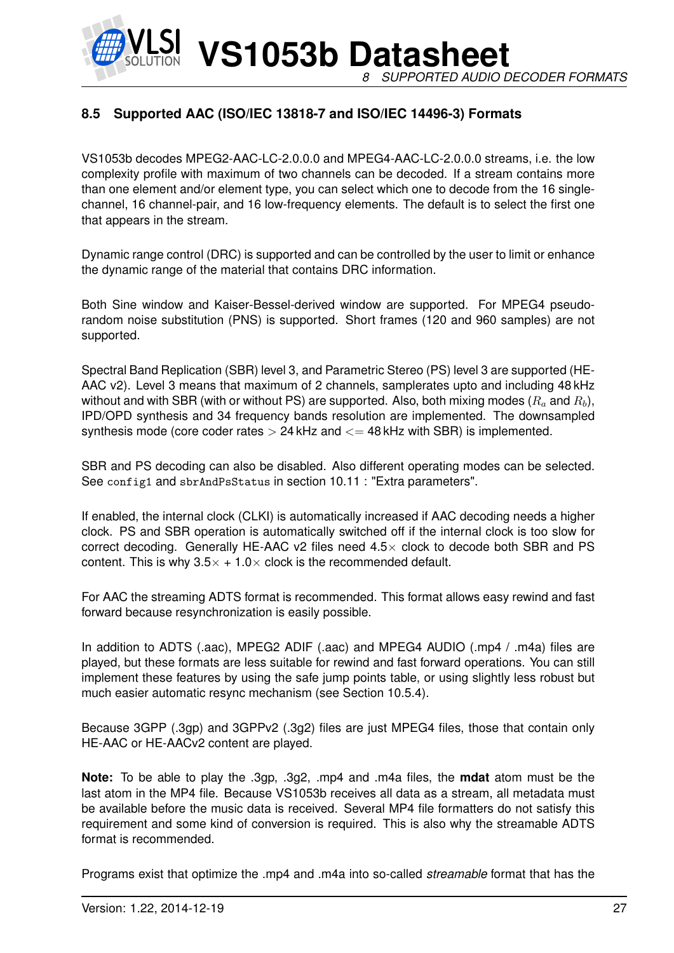**VS1053b Datasheet** *8 SUPPORTED AUDIO DECODER FORMATS*

#### **8.5 Supported AAC (ISO/IEC 13818-7 and ISO/IEC 14496-3) Formats**

VS1053b decodes MPEG2-AAC-LC-2.0.0.0 and MPEG4-AAC-LC-2.0.0.0 streams, i.e. the low complexity profile with maximum of two channels can be decoded. If a stream contains more than one element and/or element type, you can select which one to decode from the 16 singlechannel, 16 channel-pair, and 16 low-frequency elements. The default is to select the first one that appears in the stream.

Dynamic range control (DRC) is supported and can be controlled by the user to limit or enhance the dynamic range of the material that contains DRC information.

Both Sine window and Kaiser-Bessel-derived window are supported. For MPEG4 pseudorandom noise substitution (PNS) is supported. Short frames (120 and 960 samples) are not supported.

Spectral Band Replication (SBR) level 3, and Parametric Stereo (PS) level 3 are supported (HE-AAC v2). Level 3 means that maximum of 2 channels, samplerates upto and including 48 kHz without and with SBR (with or without PS) are supported. Also, both mixing modes  $(R_a \text{ and } R_b)$ , IPD/OPD synthesis and 34 frequency bands resolution are implemented. The downsampled synthesis mode (core coder rates  $> 24$  kHz and  $<= 48$  kHz with SBR) is implemented.

SBR and PS decoding can also be disabled. Also different operating modes can be selected. See config1 and sbrAndPsStatus in section 10.11 : "Extra parameters".

If enabled, the internal clock (CLKI) is automatically increased if AAC decoding needs a higher clock. PS and SBR operation is automatically switched off if the internal clock is too slow for correct decoding. Generally HE-AAC v2 files need  $4.5\times$  clock to decode both SBR and PS content. This is why  $3.5 \times +1.0 \times$  clock is the recommended default.

For AAC the streaming ADTS format is recommended. This format allows easy rewind and fast forward because resynchronization is easily possible.

In addition to ADTS (.aac), MPEG2 ADIF (.aac) and MPEG4 AUDIO (.mp4 / .m4a) files are played, but these formats are less suitable for rewind and fast forward operations. You can still implement these features by using the safe jump points table, or using slightly less robust but much easier automatic resync mechanism (see Section 10.5.4).

Because 3GPP (.3gp) and 3GPPv2 (.3g2) files are just MPEG4 files, those that contain only HE-AAC or HE-AACv2 content are played.

**Note:** To be able to play the .3gp, .3g2, .mp4 and .m4a files, the **mdat** atom must be the last atom in the MP4 file. Because VS1053b receives all data as a stream, all metadata must be available before the music data is received. Several MP4 file formatters do not satisfy this requirement and some kind of conversion is required. This is also why the streamable ADTS format is recommended.

Programs exist that optimize the .mp4 and .m4a into so-called *streamable* format that has the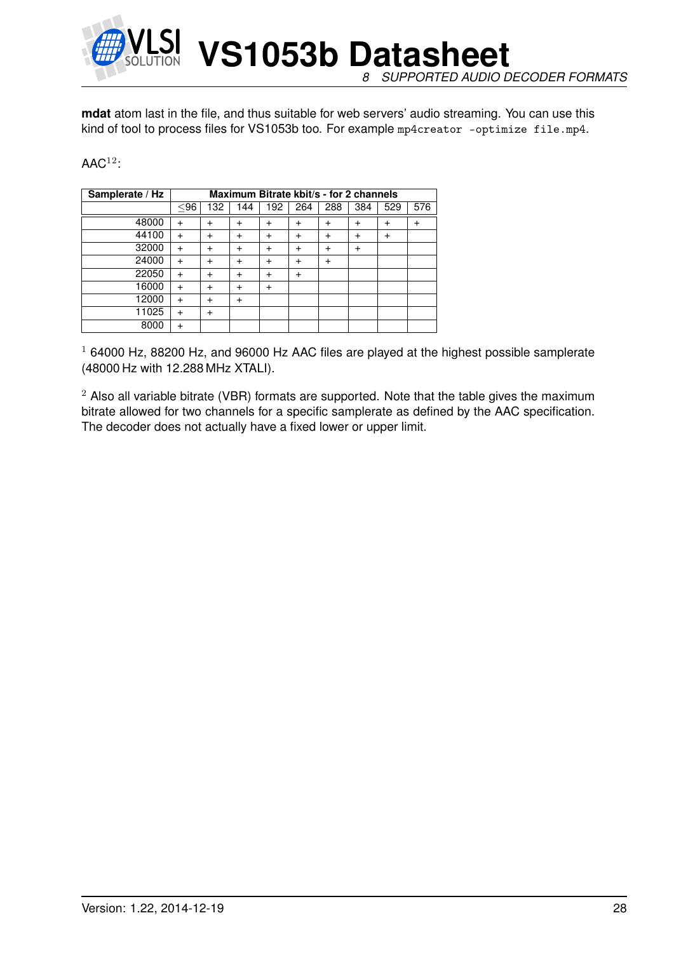

**mdat** atom last in the file, and thus suitable for web servers' audio streaming. You can use this kind of tool to process files for VS1053b too. For example mp4creator -optimize file.mp4.

#### $\mathsf{AAC}^{12}$ :

| Samplerate / Hz |           |           |           | Maximum Bitrate kbit/s - for 2 channels |           |           |                |              |     |
|-----------------|-----------|-----------|-----------|-----------------------------------------|-----------|-----------|----------------|--------------|-----|
|                 | $96$      | 132       | 144       | 192                                     | 264       | 288       | 384            | 529          | 576 |
| 48000           | $\div$    | $\ddot{}$ | $\ddot{}$ | $\div$                                  | $\ddot{}$ | +         | $\ddot{}$      | $\mathrm{+}$ |     |
| 44100           |           | $\ddot{}$ | $\ddot{}$ | $\div$                                  | $\ddot{}$ | $\ddot{}$ | $\ddot{}$      | $\ddot{}$    |     |
| 32000           | $\div$    | $\ddot{}$ | $\ddot{}$ | $\ddot{}$                               | $\ddot{}$ | $\ddot{}$ | $\overline{+}$ |              |     |
| 24000           | $\ddot{}$ | $\ddot{}$ | $\ddot{}$ | +                                       | $\ddot{}$ | +         |                |              |     |
| 22050           | $\ddot{}$ | $\ddot{}$ | $\ddot{}$ | $\div$                                  | $\ddot{}$ |           |                |              |     |
| 16000           | $\div$    | $\ddot{}$ | $\ddot{}$ | $\ddot{}$                               |           |           |                |              |     |
| 12000           | $\ddot{}$ | $\ddot{}$ | $\ddot{}$ |                                         |           |           |                |              |     |
| 11025           |           | $\ddot{}$ |           |                                         |           |           |                |              |     |
| 8000            |           |           |           |                                         |           |           |                |              |     |

 $1$  64000 Hz, 88200 Hz, and 96000 Hz AAC files are played at the highest possible samplerate (48000 Hz with 12.288 MHz XTALI).

 $2$  Also all variable bitrate (VBR) formats are supported. Note that the table gives the maximum bitrate allowed for two channels for a specific samplerate as defined by the AAC specification. The decoder does not actually have a fixed lower or upper limit.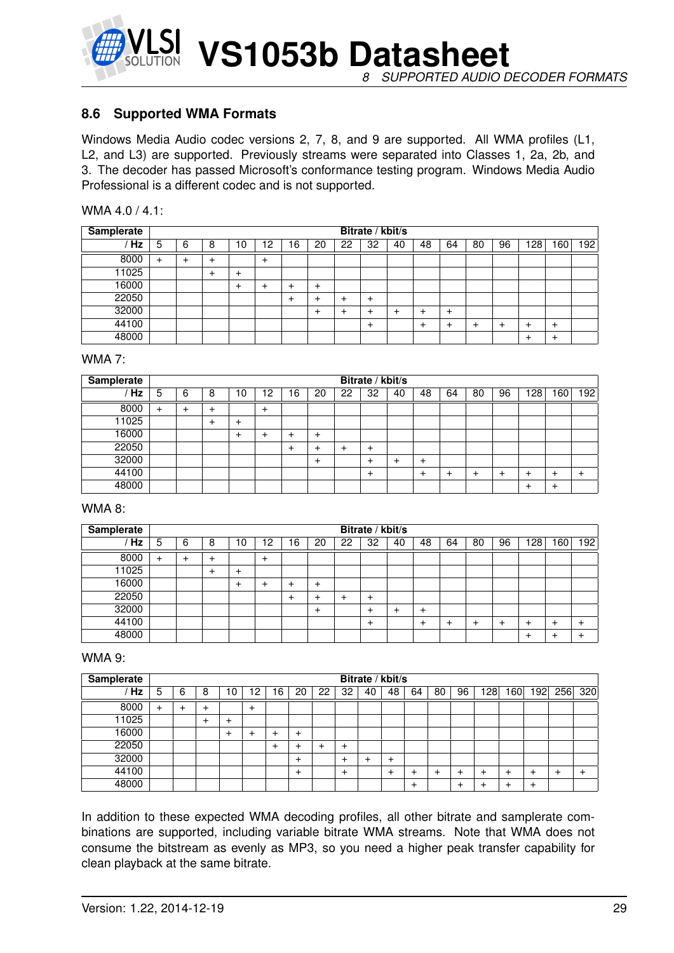

**VS1053b Datasheet** *8 SUPPORTED AUDIO DECODER FORMATS*

#### **8.6 Supported WMA Formats**

Windows Media Audio codec versions 2, 7, 8, and 9 are supported. All WMA profiles (L1, L2, and L3) are supported. Previously streams were separated into Classes 1, 2a, 2b, and 3. The decoder has passed Microsoft's conformance testing program. Windows Media Audio Professional is a different codec and is not supported.

| WMA 4.0 / 4.1: |  |  |
|----------------|--|--|
|----------------|--|--|

| <b>Samplerate</b> | Bitrate / kbit/s |   |   |        |       |    |        |    |       |    |    |           |    |    |       |           |     |
|-------------------|------------------|---|---|--------|-------|----|--------|----|-------|----|----|-----------|----|----|-------|-----------|-----|
| Hz                | 5                | 6 | 8 | ۱0     | 2     | ۱6 | 20     | 22 | 32    | 40 | 48 | 64        | 80 | 96 | 128   | 160       | 192 |
| 8000              | $\ddot{}$        |   | ٠ |        | $\pm$ |    |        |    |       |    |    |           |    |    |       |           |     |
| 11025             |                  |   | + | $\div$ |       |    |        |    |       |    |    |           |    |    |       |           |     |
| 16000             |                  |   |   | $\div$ | +     | +  | $^{+}$ |    |       |    |    |           |    |    |       |           |     |
| 22050             |                  |   |   |        |       | +  | +      | ٠  | $\pm$ |    |    |           |    |    |       |           |     |
| 32000             |                  |   |   |        |       |    | $\pm$  | +  | +     | +  |    | $\ddot{}$ |    |    |       |           |     |
| 44100             |                  |   |   |        |       |    |        |    | $\pm$ |    |    |           |    |    | ٠     | $^{+}$    |     |
| 48000             |                  |   |   |        |       |    |        |    |       |    |    |           |    |    | $\pm$ | $\ddot{}$ |     |

#### WMA 7:

| <b>Samplerate</b> | Bitrate / kbit/s |   |   |       |       |    |              |    |       |    |        |    |    |    |     |        |           |
|-------------------|------------------|---|---|-------|-------|----|--------------|----|-------|----|--------|----|----|----|-----|--------|-----------|
| Hz                | 5                | 6 | 8 | ١0    | .2    | 16 | 20           | 22 | 32    | 40 | 48     | 64 | 80 | 96 | 128 | 60     | 192       |
| 8000              | $\ddot{}$        |   |   |       | $\pm$ |    |              |    |       |    |        |    |    |    |     |        |           |
| 11025             |                  |   |   | +     |       |    |              |    |       |    |        |    |    |    |     |        |           |
| 16000             |                  |   |   | $\pm$ | ÷     | +  | $\mathrm{+}$ |    |       |    |        |    |    |    |     |        |           |
| 22050             |                  |   |   |       |       | +  | ÷            | +  | $\pm$ |    |        |    |    |    |     |        |           |
| 32000             |                  |   |   |       |       |    | ٠            |    | ÷     | +  | $\div$ |    |    |    |     |        |           |
| 44100             |                  |   |   |       |       |    |              |    | $\pm$ |    | $\div$ |    |    |    | ٠   | $\,^+$ | $\ddot{}$ |
| 48000             |                  |   |   |       |       |    |              |    |       |    |        |    |    |    | ٠   | $\,^+$ |           |

#### WMA 8:

| Samplerate | Bitrate / kbit/s |   |   |    |           |           |        |    |       |    |    |    |    |    |     |    |     |
|------------|------------------|---|---|----|-----------|-----------|--------|----|-------|----|----|----|----|----|-----|----|-----|
| Hz         | 5                | 6 | 8 | 10 | 12        | 16        | 20     | 22 | 32    | 40 | 48 | 64 | 80 | 96 | 128 | 60 | 192 |
| 8000       | +                |   |   |    | $\ddot{}$ |           |        |    |       |    |    |    |    |    |     |    |     |
| 11025      |                  |   |   |    |           |           |        |    |       |    |    |    |    |    |     |    |     |
| 16000      |                  |   |   |    | +         | +         | $\,^+$ |    |       |    |    |    |    |    |     |    |     |
| 22050      |                  |   |   |    |           | $\ddot{}$ |        |    | $\pm$ |    |    |    |    |    |     |    |     |
| 32000      |                  |   |   |    |           |           | +      |    | +     | +  |    |    |    |    |     |    |     |
| 44100      |                  |   |   |    |           |           |        |    | $\pm$ |    |    |    |    |    |     |    |     |
| 48000      |                  |   |   |    |           |           |        |    |       |    |    |    |    |    |     |    |     |

#### WMA 9:

| <b>Samplerate</b> | Bitrate / kbit/s |   |   |    |        |    |        |    |           |    |     |        |    |    |           |    |     |     |     |
|-------------------|------------------|---|---|----|--------|----|--------|----|-----------|----|-----|--------|----|----|-----------|----|-----|-----|-----|
| Hz                | 5                | 6 | 8 | 10 | 2      | 16 | 20     | 22 | 32        | 40 | 48  | 64     | 80 | 96 | <b>28</b> | 60 | ا92 | 256 | 320 |
| 8000              | $\ddot{}$        |   |   |    | $\div$ |    |        |    |           |    |     |        |    |    |           |    |     |     |     |
| 11025             |                  |   |   | +  |        |    |        |    |           |    |     |        |    |    |           |    |     |     |     |
| 16000             |                  |   |   |    |        |    | $\div$ |    |           |    |     |        |    |    |           |    |     |     |     |
| 22050             |                  |   |   |    |        | ٠  |        |    | $\,^+$    |    |     |        |    |    |           |    |     |     |     |
| 32000             |                  |   |   |    |        |    | +      |    | +         |    |     |        |    |    |           |    |     |     |     |
| 44100             |                  |   |   |    |        |    | $\div$ |    | $\ddot{}$ |    | $+$ | +      |    |    |           |    |     |     |     |
| 48000             |                  |   |   |    |        |    |        |    |           |    |     | $\,^+$ |    |    |           |    |     |     |     |

In addition to these expected WMA decoding profiles, all other bitrate and samplerate combinations are supported, including variable bitrate WMA streams. Note that WMA does not consume the bitstream as evenly as MP3, so you need a higher peak transfer capability for clean playback at the same bitrate.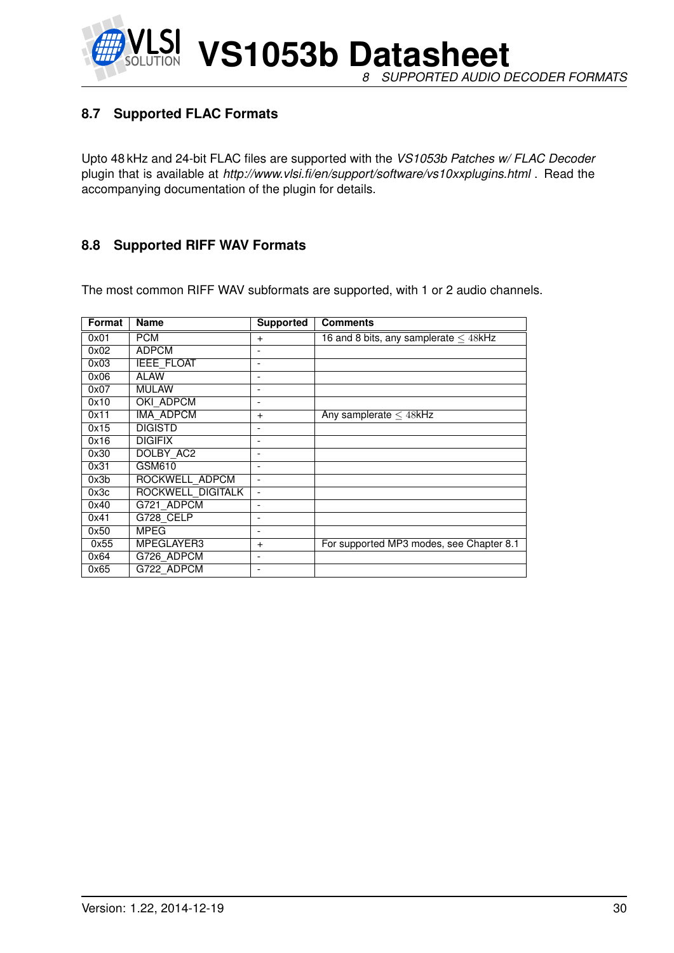**VS1053b Datasheet** *8 SUPPORTED AUDIO DECODER FORMATS*

#### **8.7 Supported FLAC Formats**

Upto 48 kHz and 24-bit FLAC files are supported with the *VS1053b Patches w/ FLAC Decoder* plugin that is available at *http://www.vlsi.fi/en/support/software/vs10xxplugins.html* . Read the accompanying documentation of the plugin for details.

#### **8.8 Supported RIFF WAV Formats**

The most common RIFF WAV subformats are supported, with 1 or 2 audio channels.

| Format | Name              | <b>Supported</b>         | <b>Comments</b>                            |
|--------|-------------------|--------------------------|--------------------------------------------|
| 0x01   | <b>PCM</b>        | $+$                      | 16 and 8 bits, any samplerate $\leq$ 48kHz |
| 0x02   | <b>ADPCM</b>      |                          |                                            |
| 0x03   | <b>IEEE FLOAT</b> | $\overline{\phantom{0}}$ |                                            |
| 0x06   | <b>ALAW</b>       | $\overline{\phantom{0}}$ |                                            |
| 0x07   | <b>MULAW</b>      |                          |                                            |
| 0x10   | OKI ADPCM         |                          |                                            |
| 0x11   | IMA ADPCM         | $\pm$                    | Any samplerate $\leq$ 48kHz                |
| 0x15   | <b>DIGISTD</b>    |                          |                                            |
| 0x16   | <b>DIGIFIX</b>    | $\overline{\phantom{0}}$ |                                            |
| 0x30   | DOLBY AC2         |                          |                                            |
| 0x31   | GSM610            |                          |                                            |
| 0x3b   | ROCKWELL ADPCM    | $\overline{\phantom{0}}$ |                                            |
| 0x3c   | ROCKWELL DIGITALK | $\overline{\phantom{a}}$ |                                            |
| 0x40   | G721 ADPCM        | $\overline{\phantom{0}}$ |                                            |
| 0x41   | G728 CELP         |                          |                                            |
| 0x50   | MPEG              | $\overline{\phantom{0}}$ |                                            |
| 0x55   | MPEGLAYER3        | $+$                      | For supported MP3 modes, see Chapter 8.1   |
| 0x64   | G726 ADPCM        |                          |                                            |
| 0x65   | G722 ADPCM        |                          |                                            |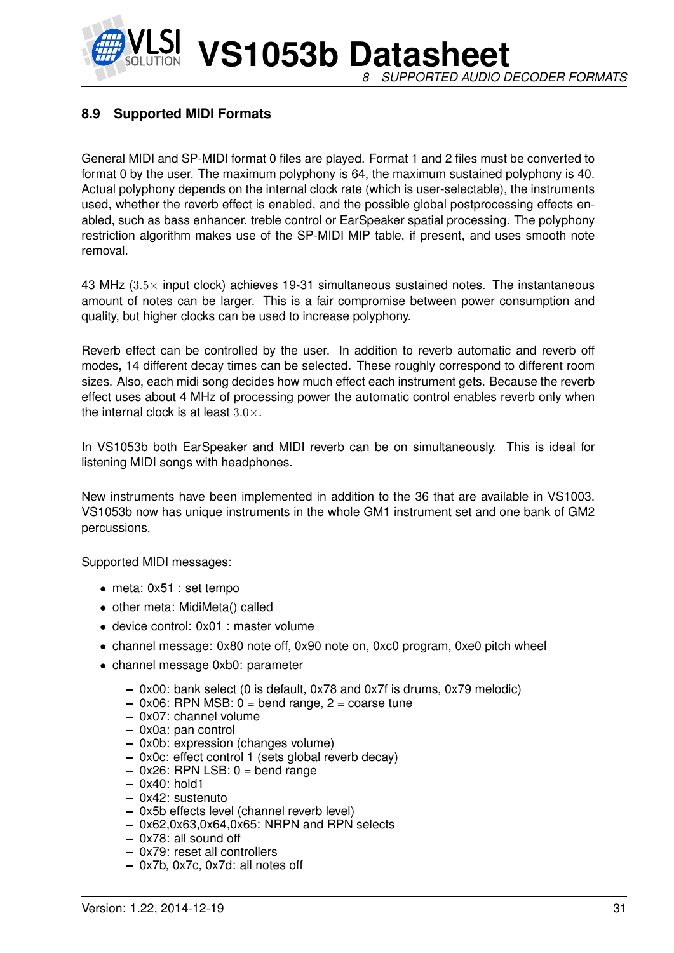

#### **8.9 Supported MIDI Formats**

General MIDI and SP-MIDI format 0 files are played. Format 1 and 2 files must be converted to format 0 by the user. The maximum polyphony is 64, the maximum sustained polyphony is 40. Actual polyphony depends on the internal clock rate (which is user-selectable), the instruments used, whether the reverb effect is enabled, and the possible global postprocessing effects enabled, such as bass enhancer, treble control or EarSpeaker spatial processing. The polyphony restriction algorithm makes use of the SP-MIDI MIP table, if present, and uses smooth note removal.

43 MHz  $(3.5\times$  input clock) achieves 19-31 simultaneous sustained notes. The instantaneous amount of notes can be larger. This is a fair compromise between power consumption and quality, but higher clocks can be used to increase polyphony.

Reverb effect can be controlled by the user. In addition to reverb automatic and reverb off modes, 14 different decay times can be selected. These roughly correspond to different room sizes. Also, each midi song decides how much effect each instrument gets. Because the reverb effect uses about 4 MHz of processing power the automatic control enables reverb only when the internal clock is at least  $3.0 \times$ .

In VS1053b both EarSpeaker and MIDI reverb can be on simultaneously. This is ideal for listening MIDI songs with headphones.

New instruments have been implemented in addition to the 36 that are available in VS1003. VS1053b now has unique instruments in the whole GM1 instrument set and one bank of GM2 percussions.

Supported MIDI messages:

- meta: 0x51 : set tempo
- other meta: MidiMeta() called
- device control: 0x01 : master volume
- channel message: 0x80 note off, 0x90 note on, 0xc0 program, 0xe0 pitch wheel
- channel message 0xb0: parameter
	- **–** 0x00: bank select (0 is default, 0x78 and 0x7f is drums, 0x79 melodic)
	- **–** 0x06: RPN MSB: 0 = bend range, 2 = coarse tune
	- **–** 0x07: channel volume
	- **–** 0x0a: pan control
	- **–** 0x0b: expression (changes volume)
	- **–** 0x0c: effect control 1 (sets global reverb decay)
	- **–** 0x26: RPN LSB: 0 = bend range
	- **–** 0x40: hold1
	- **–** 0x42: sustenuto
	- **–** 0x5b effects level (channel reverb level)
	- **–** 0x62,0x63,0x64,0x65: NRPN and RPN selects
	- **–** 0x78: all sound off
	- **–** 0x79: reset all controllers
	- **–** 0x7b, 0x7c, 0x7d: all notes off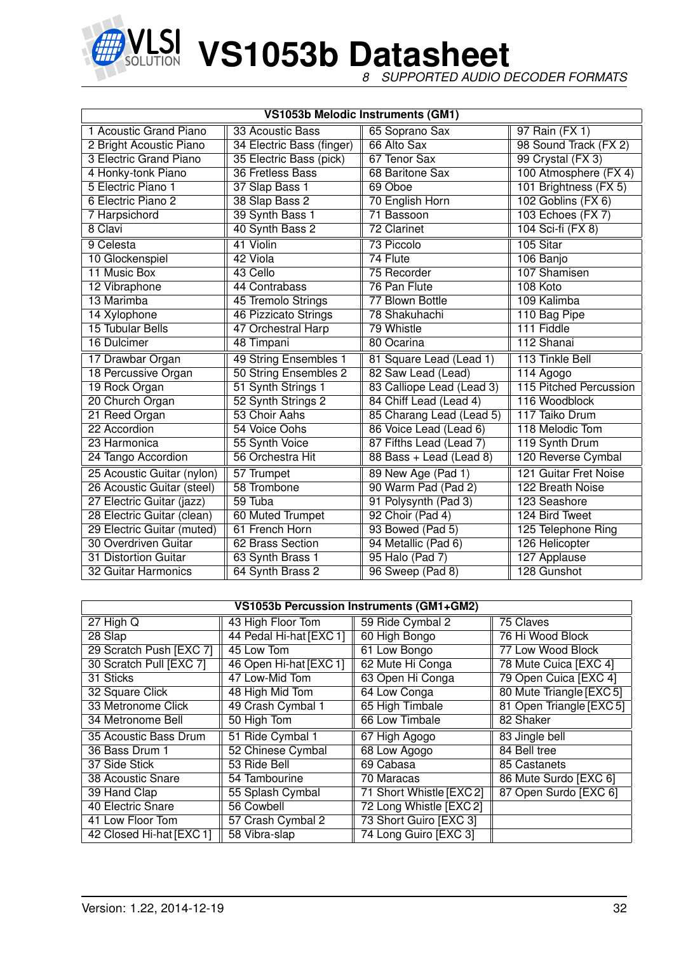

*8 SUPPORTED AUDIO DECODER FORMATS*

|                               |                           | VS1053b Melodic Instruments (GM1) |                        |
|-------------------------------|---------------------------|-----------------------------------|------------------------|
| 1 Acoustic Grand Piano        | 33 Acoustic Bass          | 65 Soprano Sax                    | 97 Rain (FX 1)         |
| 2 Bright Acoustic Piano       | 34 Electric Bass (finger) | 66 Alto Sax                       | 98 Sound Track (FX 2)  |
| <b>3 Electric Grand Piano</b> | 35 Electric Bass (pick)   | 67 Tenor Sax                      | 99 Crystal (FX 3)      |
| 4 Honky-tonk Piano            | 36 Fretless Bass          | 68 Baritone Sax                   | 100 Atmosphere (FX 4)  |
| 5 Electric Piano 1            | 37 Slap Bass 1            | 69 Oboe                           | 101 Brightness (FX 5)  |
| 6 Electric Piano 2            | 38 Slap Bass 2            | 70 English Horn                   | 102 Goblins (FX 6)     |
| 7 Harpsichord                 | 39 Synth Bass 1           | 71 Bassoon                        | 103 Echoes (FX 7)      |
| 8 Clavi                       | 40 Synth Bass 2           | <b>72 Clarinet</b>                | 104 Sci-fi (FX 8)      |
| 9 Celesta                     | 41 Violin                 | <b>73 Piccolo</b>                 | 105 Sitar              |
| 10 Glockenspiel               | 42 Viola                  | 74 Flute                          | 106 Banjo              |
| 11 Music Box                  | 43 Cello                  | 75 Recorder                       | 107 Shamisen           |
| 12 Vibraphone                 | 44 Contrabass             | 76 Pan Flute                      | 108 Koto               |
| 13 Marimba                    | 45 Tremolo Strings        | 77 Blown Bottle                   | 109 Kalimba            |
| 14 Xylophone                  | 46 Pizzicato Strings      | 78 Shakuhachi                     | 110 Bag Pipe           |
| <b>15 Tubular Bells</b>       | 47 Orchestral Harp        | 79 Whistle                        | 111 Fiddle             |
| 16 Dulcimer                   | 48 Timpani                | 80 Ocarina                        | 112 Shanai             |
| 17 Drawbar Organ              | 49 String Ensembles 1     | 81 Square Lead (Lead 1)           | 113 Tinkle Bell        |
| 18 Percussive Organ           | 50 String Ensembles 2     | 82 Saw Lead (Lead)                | 114 Agogo              |
| 19 Rock Organ                 | 51 Synth Strings 1        | 83 Calliope Lead (Lead 3)         | 115 Pitched Percussion |
| 20 Church Organ               | 52 Synth Strings 2        | 84 Chiff Lead (Lead 4)            | 116 Woodblock          |
| 21 Reed Organ                 | 53 Choir Aahs             | 85 Charang Lead (Lead 5)          | 117 Taiko Drum         |
| 22 Accordion                  | 54 Voice Oohs             | 86 Voice Lead (Lead 6)            | 118 Melodic Tom        |
| 23 Harmonica                  | 55 Synth Voice            | 87 Fifths Lead (Lead 7)           | 119 Synth Drum         |
| 24 Tango Accordion            | 56 Orchestra Hit          | 88 Bass + Lead (Lead 8)           | 120 Reverse Cymbal     |
| 25 Acoustic Guitar (nylon)    | 57 Trumpet                | 89 New Age (Pad 1)                | 121 Guitar Fret Noise  |
| 26 Acoustic Guitar (steel)    | 58 Trombone               | 90 Warm Pad (Pad 2)               | 122 Breath Noise       |
| 27 Electric Guitar (jazz)     | 59 Tuba                   | 91 Polysynth (Pad 3)              | 123 Seashore           |
| 28 Electric Guitar (clean)    | 60 Muted Trumpet          | 92 Choir (Pad 4)                  | 124 Bird Tweet         |
| 29 Electric Guitar (muted)    | 61 French Horn            | 93 Bowed (Pad 5)                  | 125 Telephone Ring     |
| 30 Overdriven Guitar          | 62 Brass Section          | 94 Metallic (Pad 6)               | 126 Helicopter         |
| 31 Distortion Guitar          | 63 Synth Brass 1          | 95 Halo (Pad 7)                   | 127 Applause           |
| 32 Guitar Harmonics           | 64 Synth Brass 2          | 96 Sweep (Pad 8)                  | 128 Gunshot            |

| VS1053b Percussion Instruments (GM1+GM2) |                         |                         |                          |  |  |  |  |  |  |  |  |  |
|------------------------------------------|-------------------------|-------------------------|--------------------------|--|--|--|--|--|--|--|--|--|
| $27$ High Q                              | 43 High Floor Tom       | 59 Ride Cymbal 2        | 75 Claves                |  |  |  |  |  |  |  |  |  |
| 28 Slap                                  | 44 Pedal Hi-hat [EXC 1] | 60 High Bongo           | 76 Hi Wood Block         |  |  |  |  |  |  |  |  |  |
| 29 Scratch Push [EXC 7]                  | 45 Low Tom              | 61 Low Bongo            | 77 Low Wood Block        |  |  |  |  |  |  |  |  |  |
| 30 Scratch Pull [EXC 7]                  | 46 Open Hi-hat [EXC 1]  | 62 Mute Hi Conga        | 78 Mute Cuica [EXC 4]    |  |  |  |  |  |  |  |  |  |
| 31 Sticks                                | 47 Low-Mid Tom          | 63 Open Hi Conga        | 79 Open Cuica [EXC 4]    |  |  |  |  |  |  |  |  |  |
| 32 Square Click                          | 48 High Mid Tom         | 64 Low Conga            | 80 Mute Triangle [EXC 5] |  |  |  |  |  |  |  |  |  |
| 33 Metronome Click                       | 49 Crash Cymbal 1       | 65 High Timbale         | 81 Open Triangle [EXC 5] |  |  |  |  |  |  |  |  |  |
| 34 Metronome Bell                        | 50 High Tom             | 66 Low Timbale          | 82 Shaker                |  |  |  |  |  |  |  |  |  |
| 35 Acoustic Bass Drum                    | 51 Ride Cymbal 1        | 67 High Agogo           | 83 Jingle bell           |  |  |  |  |  |  |  |  |  |
| 36 Bass Drum 1                           | 52 Chinese Cymbal       | 68 Low Agogo            | 84 Bell tree             |  |  |  |  |  |  |  |  |  |
| 37 Side Stick                            | 53 Ride Bell            | 69 Cabasa               | 85 Castanets             |  |  |  |  |  |  |  |  |  |
| 38 Acoustic Snare                        | 54 Tambourine           | 70 Maracas              | 86 Mute Surdo [EXC 6]    |  |  |  |  |  |  |  |  |  |
| 39 Hand Clap                             | 55 Splash Cymbal        | 71 Short Whistle [EXC2] | 87 Open Surdo [EXC 6]    |  |  |  |  |  |  |  |  |  |
| 40 Electric Snare                        | 56 Cowbell              | 72 Long Whistle [EXC 2] |                          |  |  |  |  |  |  |  |  |  |
| 41 Low Floor Tom                         | 57 Crash Cymbal 2       | 73 Short Guiro [EXC 3]  |                          |  |  |  |  |  |  |  |  |  |
| 42 Closed Hi-hat [EXC 1]                 | 58 Vibra-slap           | 74 Long Guiro [EXC 3]   |                          |  |  |  |  |  |  |  |  |  |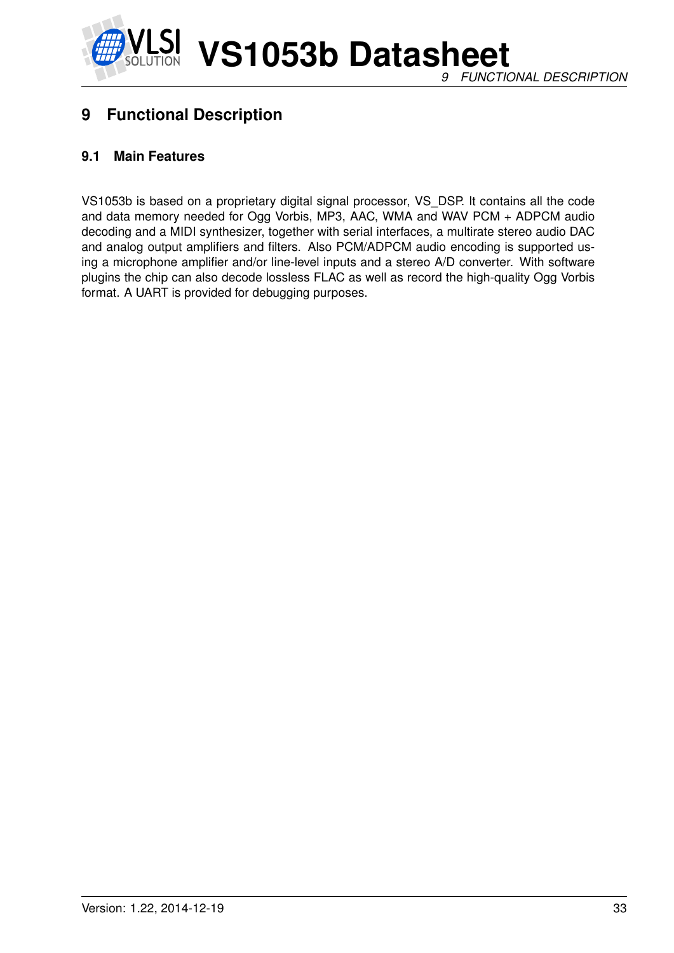

## **9 Functional Description**

#### **9.1 Main Features**

VS1053b is based on a proprietary digital signal processor, VS\_DSP. It contains all the code and data memory needed for Ogg Vorbis, MP3, AAC, WMA and WAV PCM + ADPCM audio decoding and a MIDI synthesizer, together with serial interfaces, a multirate stereo audio DAC and analog output amplifiers and filters. Also PCM/ADPCM audio encoding is supported using a microphone amplifier and/or line-level inputs and a stereo A/D converter. With software plugins the chip can also decode lossless FLAC as well as record the high-quality Ogg Vorbis format. A UART is provided for debugging purposes.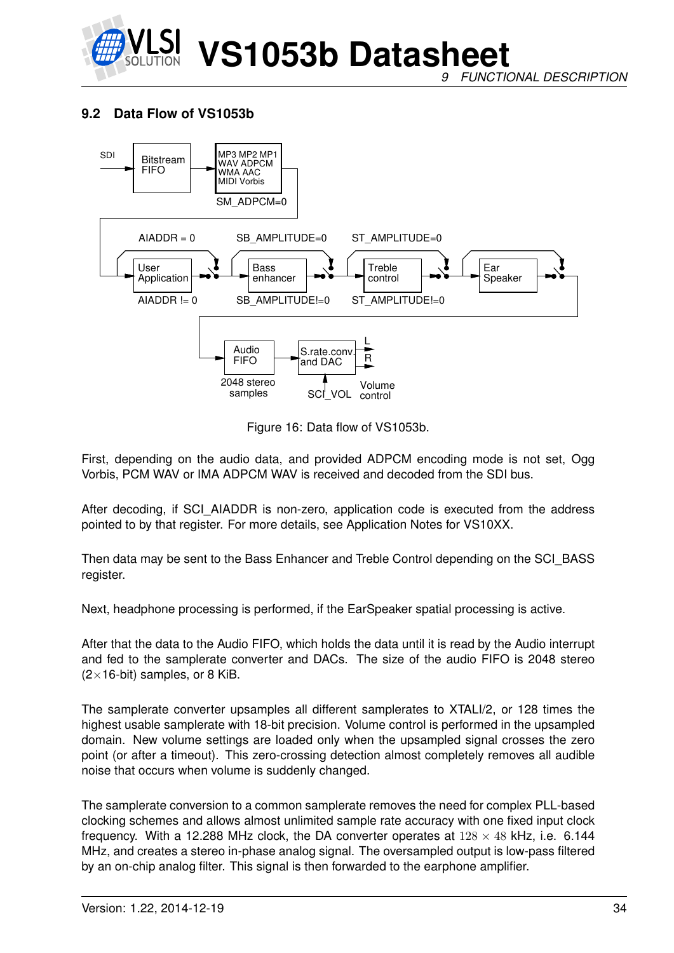

*9 FUNCTIONAL DESCRIPTION*

#### **9.2 Data Flow of VS1053b**



Figure 16: Data flow of VS1053b.

First, depending on the audio data, and provided ADPCM encoding mode is not set, Ogg Vorbis, PCM WAV or IMA ADPCM WAV is received and decoded from the SDI bus.

After decoding, if SCI\_AIADDR is non-zero, application code is executed from the address pointed to by that register. For more details, see Application Notes for VS10XX.

Then data may be sent to the Bass Enhancer and Treble Control depending on the SCI\_BASS register.

Next, headphone processing is performed, if the EarSpeaker spatial processing is active.

After that the data to the Audio FIFO, which holds the data until it is read by the Audio interrupt and fed to the samplerate converter and DACs. The size of the audio FIFO is 2048 stereo  $(2\times16$ -bit) samples, or 8 KiB.

The samplerate converter upsamples all different samplerates to XTALI/2, or 128 times the highest usable samplerate with 18-bit precision. Volume control is performed in the upsampled domain. New volume settings are loaded only when the upsampled signal crosses the zero point (or after a timeout). This zero-crossing detection almost completely removes all audible noise that occurs when volume is suddenly changed.

The samplerate conversion to a common samplerate removes the need for complex PLL-based clocking schemes and allows almost unlimited sample rate accuracy with one fixed input clock frequency. With a 12.288 MHz clock, the DA converter operates at  $128 \times 48$  kHz, i.e. 6.144 MHz, and creates a stereo in-phase analog signal. The oversampled output is low-pass filtered by an on-chip analog filter. This signal is then forwarded to the earphone amplifier.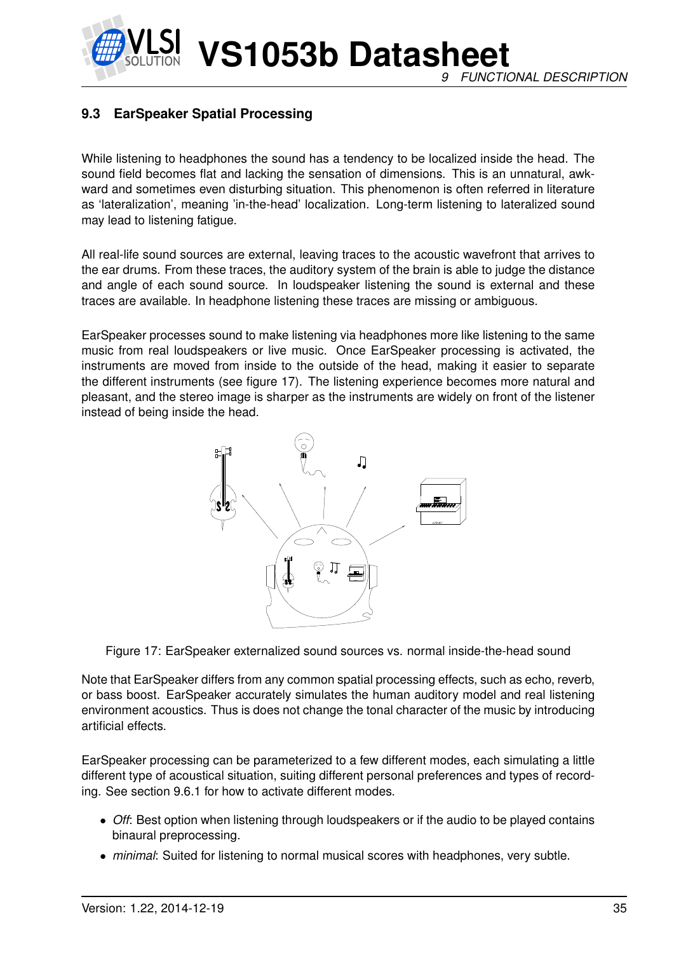**VS1053b Datasheet** *9 FUNCTIONAL DESCRIPTION*

#### **9.3 EarSpeaker Spatial Processing**

While listening to headphones the sound has a tendency to be localized inside the head. The sound field becomes flat and lacking the sensation of dimensions. This is an unnatural, awkward and sometimes even disturbing situation. This phenomenon is often referred in literature as 'lateralization', meaning 'in-the-head' localization. Long-term listening to lateralized sound may lead to listening fatigue.

All real-life sound sources are external, leaving traces to the acoustic wavefront that arrives to the ear drums. From these traces, the auditory system of the brain is able to judge the distance and angle of each sound source. In loudspeaker listening the sound is external and these traces are available. In headphone listening these traces are missing or ambiguous.

EarSpeaker processes sound to make listening via headphones more like listening to the same music from real loudspeakers or live music. Once EarSpeaker processing is activated, the instruments are moved from inside to the outside of the head, making it easier to separate the different instruments (see figure 17). The listening experience becomes more natural and pleasant, and the stereo image is sharper as the instruments are widely on front of the listener instead of being inside the head.



Figure 17: EarSpeaker externalized sound sources vs. normal inside-the-head sound

Note that EarSpeaker differs from any common spatial processing effects, such as echo, reverb, or bass boost. EarSpeaker accurately simulates the human auditory model and real listening environment acoustics. Thus is does not change the tonal character of the music by introducing artificial effects.

EarSpeaker processing can be parameterized to a few different modes, each simulating a little different type of acoustical situation, suiting different personal preferences and types of recording. See section 9.6.1 for how to activate different modes.

- *Off*: Best option when listening through loudspeakers or if the audio to be played contains binaural preprocessing.
- *minimal*: Suited for listening to normal musical scores with headphones, very subtle.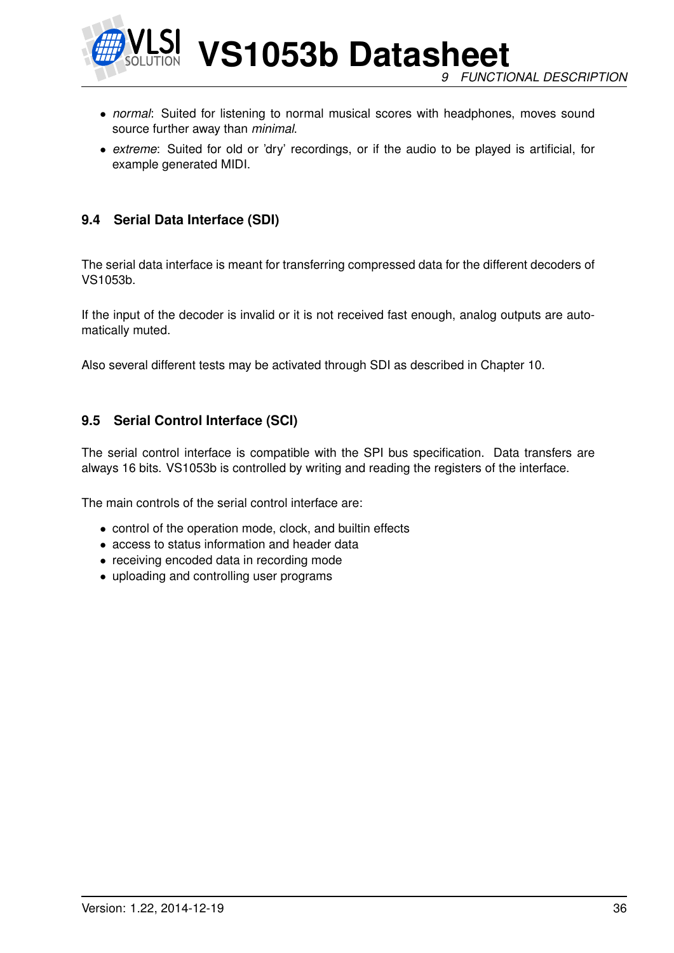

**VS1053b Datasheet** *9 FUNCTIONAL DESCRIPTION*

- *normal*: Suited for listening to normal musical scores with headphones, moves sound source further away than *minimal*.
- *extreme*: Suited for old or 'dry' recordings, or if the audio to be played is artificial, for example generated MIDI.

#### **9.4 Serial Data Interface (SDI)**

The serial data interface is meant for transferring compressed data for the different decoders of VS1053b.

If the input of the decoder is invalid or it is not received fast enough, analog outputs are automatically muted.

Also several different tests may be activated through SDI as described in Chapter 10.

#### **9.5 Serial Control Interface (SCI)**

The serial control interface is compatible with the SPI bus specification. Data transfers are always 16 bits. VS1053b is controlled by writing and reading the registers of the interface.

The main controls of the serial control interface are:

- control of the operation mode, clock, and builtin effects
- access to status information and header data
- receiving encoded data in recording mode
- uploading and controlling user programs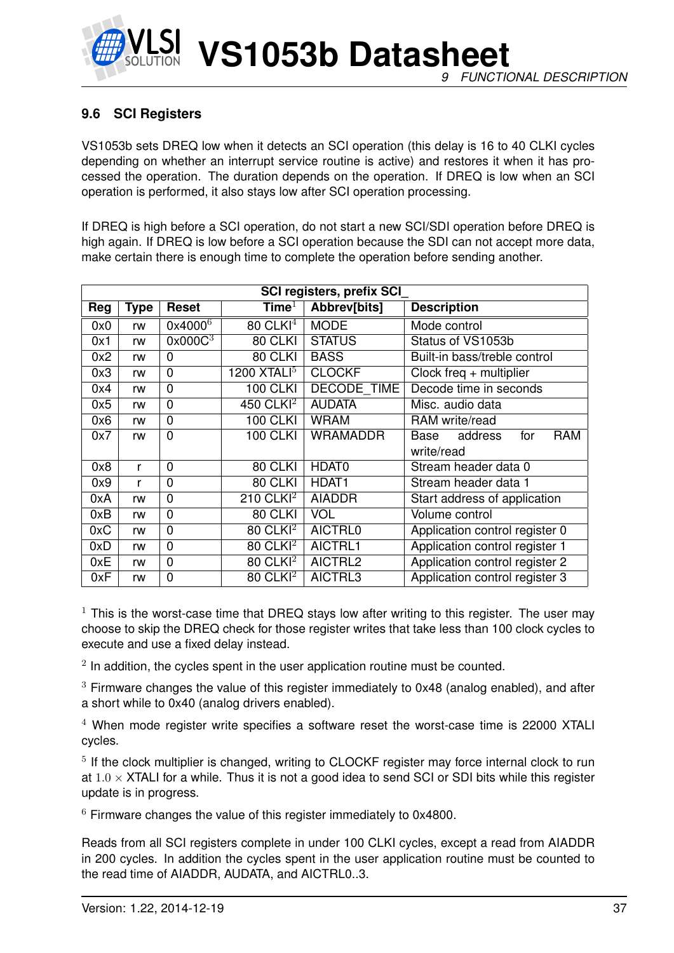

## **9.6 SCI Registers**

VS1053b sets DREQ low when it detects an SCI operation (this delay is 16 to 40 CLKI cycles depending on whether an interrupt service routine is active) and restores it when it has processed the operation. The duration depends on the operation. If DREQ is low when an SCI operation is performed, it also stays low after SCI operation processing.

If DREQ is high before a SCI operation, do not start a new SCI/SDI operation before DREQ is high again. If DREQ is low before a SCI operation because the SDI can not accept more data, make certain there is enough time to complete the operation before sending another.

|     | <b>SCI registers, prefix SCI</b> |                     |                        |                    |                                      |  |  |  |
|-----|----------------------------------|---------------------|------------------------|--------------------|--------------------------------------|--|--|--|
| Reg | <b>Type</b>                      | <b>Reset</b>        | Time $^{\rm l}$        | Abbrev[bits]       | <b>Description</b>                   |  |  |  |
| 0x0 | rw                               | 0x4000 <sup>6</sup> | $80$ CLKI <sup>4</sup> | <b>MODE</b>        | Mode control                         |  |  |  |
| 0x1 | rw                               | 0x000C <sup>3</sup> | 80 CLKI                | <b>STATUS</b>      | Status of VS1053b                    |  |  |  |
| 0x2 | rw                               | 0                   | 80 CLKI                | <b>BASS</b>        | Built-in bass/treble control         |  |  |  |
| 0x3 | rw                               | 0                   | 1200 $XTALI5$          | <b>CLOCKF</b>      | Clock freq $+$ multiplier            |  |  |  |
| 0x4 | rw                               | $\overline{0}$      | <b>100 CLKI</b>        | <b>DECODE TIME</b> | Decode time in seconds               |  |  |  |
| 0x5 | rw                               | 0                   | 450 CLKI <sup>2</sup>  | <b>AUDATA</b>      | Misc. audio data                     |  |  |  |
| 0x6 | rw                               | $\overline{0}$      | <b>100 CLKI</b>        | <b>WRAM</b>        | RAM write/read                       |  |  |  |
| 0x7 | rw                               | $\mathbf{0}$        | <b>100 CLKI</b>        | <b>WRAMADDR</b>    | <b>RAM</b><br>address<br>for<br>Base |  |  |  |
|     |                                  |                     |                        |                    | write/read                           |  |  |  |
| 0x8 | r                                | 0                   | 80 CLKI                | HDAT0              | Stream header data 0                 |  |  |  |
| 0x9 | r                                | 0                   | 80 CLKI                | HDAT <sub>1</sub>  | Stream header data 1                 |  |  |  |
| 0xA | rw                               | 0                   | 210 $CLKI2$            | <b>AIADDR</b>      | Start address of application         |  |  |  |
| 0xB | rw                               | $\overline{0}$      | 80 CLKI                | <b>VOL</b>         | Volume control                       |  |  |  |
| 0xC | rw                               | 0                   | $80$ CLKI <sup>2</sup> | <b>AICTRL0</b>     | Application control register 0       |  |  |  |
| 0xD | rw                               | 0                   | $80$ CLKI <sup>2</sup> | AICTRL1            | Application control register 1       |  |  |  |
| 0xE | rw                               | $\overline{0}$      | 80 CLKI <sup>2</sup>   | AICTRL2            | Application control register 2       |  |  |  |
| 0xF | rw                               | $\overline{0}$      | $80$ CLKI <sup>2</sup> | AICTRL3            | Application control register 3       |  |  |  |

 $1$  This is the worst-case time that DREQ stays low after writing to this register. The user may choose to skip the DREQ check for those register writes that take less than 100 clock cycles to execute and use a fixed delay instead.

 $2$  In addition, the cycles spent in the user application routine must be counted.

 $3$  Firmware changes the value of this register immediately to 0x48 (analog enabled), and after a short while to 0x40 (analog drivers enabled).

<sup>4</sup> When mode register write specifies a software reset the worst-case time is 22000 XTALI cycles.

<sup>5</sup> If the clock multiplier is changed, writing to CLOCKF register may force internal clock to run at  $1.0 \times$  XTALI for a while. Thus it is not a good idea to send SCI or SDI bits while this register update is in progress.

 $6$  Firmware changes the value of this register immediately to 0x4800.

Reads from all SCI registers complete in under 100 CLKI cycles, except a read from AIADDR in 200 cycles. In addition the cycles spent in the user application routine must be counted to the read time of AIADDR, AUDATA, and AICTRL0..3.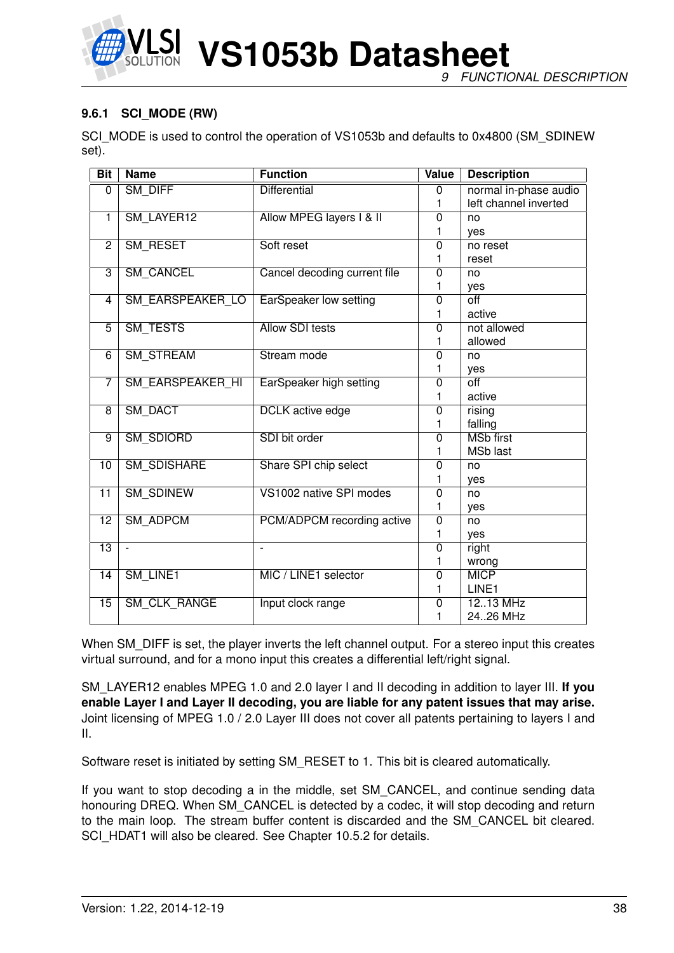

**VS1053b Datasheet** *9 FUNCTIONAL DESCRIPTION*

#### **9.6.1 SCI\_MODE (RW)**

SCI\_MODE is used to control the operation of VS1053b and defaults to 0x4800 (SM\_SDINEW set).

| <b>Bit</b>      | <b>Name</b>             | <b>Function</b>              | Value          | <b>Description</b>    |
|-----------------|-------------------------|------------------------------|----------------|-----------------------|
| 0               | SM_DIFF                 | <b>Differential</b>          | $\Omega$       | normal in-phase audio |
|                 |                         |                              | 1              | left channel inverted |
| $\overline{1}$  | SM_LAYER12              | Allow MPEG layers I & II     | $\overline{0}$ | no                    |
|                 |                         |                              | 1              | ves                   |
| $\overline{2}$  | SM RESET                | Soft reset                   | $\overline{0}$ | no reset              |
|                 |                         |                              | 1              | reset                 |
| $\overline{3}$  | <b>SM CANCEL</b>        | Cancel decoding current file | $\Omega$       | no                    |
|                 |                         |                              | 1              | yes                   |
| 4               | <b>SM EARSPEAKER LO</b> | EarSpeaker low setting       | $\overline{0}$ | $\overline{off}$      |
|                 |                         |                              | 1              | active                |
| $\overline{5}$  | <b>SM TESTS</b>         | <b>Allow SDI tests</b>       | $\overline{0}$ | not allowed           |
|                 |                         |                              | 1              | allowed               |
| $\overline{6}$  | <b>SM STREAM</b>        | <b>Stream</b> mode           | $\overline{0}$ | no                    |
|                 |                         |                              | 1              | yes                   |
| 7               | SM EARSPEAKER HI        | EarSpeaker high setting      | $\mathbf 0$    | $\overline{off}$      |
|                 |                         |                              | 1              | active                |
| $\overline{8}$  | <b>SM DACT</b>          | <b>DCLK</b> active edge      | $\overline{0}$ | rising                |
|                 |                         |                              | 1              | falling               |
| $\overline{9}$  | SM_SDIORD               | SDI bit order                | $\overline{0}$ | <b>MSb first</b>      |
|                 |                         |                              | 1              | <b>MSb</b> last       |
| $\overline{10}$ | <b>SM SDISHARE</b>      | Share SPI chip select        | $\overline{0}$ | no                    |
|                 |                         |                              | 1              | yes                   |
| $\overline{11}$ | <b>SM SDINEW</b>        | VS1002 native SPI modes      | $\mathbf 0$    | no                    |
|                 |                         |                              | 1              | yes                   |
| $\overline{12}$ | <b>SM ADPCM</b>         | PCM/ADPCM recording active   | $\overline{0}$ | no                    |
|                 |                         |                              | 1              | yes                   |
| $\overline{13}$ | $\blacksquare$          | $\sim$                       | $\overline{0}$ | right                 |
|                 |                         |                              | 1              | wrong                 |
| $\overline{14}$ | SM_LINE1                | MIC / LINE1 selector         | $\mathbf 0$    | <b>MICP</b>           |
|                 |                         |                              | 1              | LINE1                 |
| $\overline{15}$ | <b>SM CLK RANGE</b>     | Input clock range            | 0              | 1213 MHz              |
|                 |                         |                              | 1              | 2426 MHz              |

When SM DIFF is set, the player inverts the left channel output. For a stereo input this creates virtual surround, and for a mono input this creates a differential left/right signal.

SM\_LAYER12 enables MPEG 1.0 and 2.0 layer I and II decoding in addition to layer III. **If you enable Layer I and Layer II decoding, you are liable for any patent issues that may arise.** Joint licensing of MPEG 1.0 / 2.0 Layer III does not cover all patents pertaining to layers I and II.

Software reset is initiated by setting SM\_RESET to 1. This bit is cleared automatically.

If you want to stop decoding a in the middle, set SM\_CANCEL, and continue sending data honouring DREQ. When SM\_CANCEL is detected by a codec, it will stop decoding and return to the main loop. The stream buffer content is discarded and the SM\_CANCEL bit cleared. SCI\_HDAT1 will also be cleared. See Chapter 10.5.2 for details.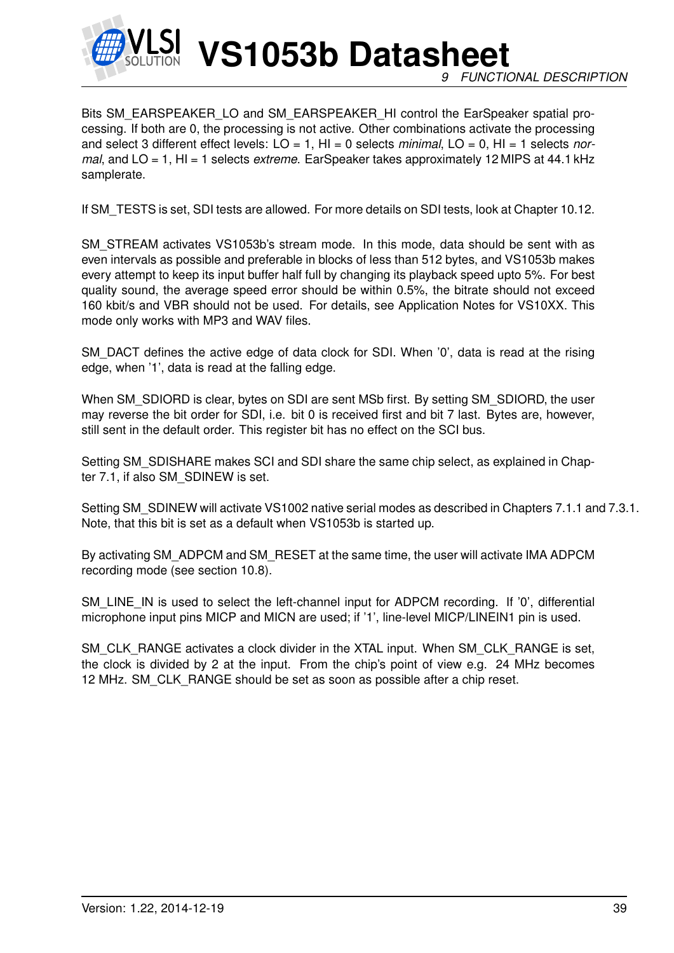

Bits SM\_EARSPEAKER\_LO and SM\_EARSPEAKER\_HI control the EarSpeaker spatial processing. If both are 0, the processing is not active. Other combinations activate the processing and select 3 different effect levels: LO = 1, HI = 0 selects *minimal*, LO = 0, HI = 1 selects *normal*, and LO = 1, HI = 1 selects *extreme*. EarSpeaker takes approximately 12 MIPS at 44.1 kHz samplerate.

If SM\_TESTS is set, SDI tests are allowed. For more details on SDI tests, look at Chapter 10.12.

SM\_STREAM activates VS1053b's stream mode. In this mode, data should be sent with as even intervals as possible and preferable in blocks of less than 512 bytes, and VS1053b makes every attempt to keep its input buffer half full by changing its playback speed upto 5%. For best quality sound, the average speed error should be within 0.5%, the bitrate should not exceed 160 kbit/s and VBR should not be used. For details, see Application Notes for VS10XX. This mode only works with MP3 and WAV files.

SM\_DACT defines the active edge of data clock for SDI. When '0', data is read at the rising edge, when '1', data is read at the falling edge.

When SM\_SDIORD is clear, bytes on SDI are sent MSb first. By setting SM\_SDIORD, the user may reverse the bit order for SDI, i.e. bit 0 is received first and bit 7 last. Bytes are, however, still sent in the default order. This register bit has no effect on the SCI bus.

Setting SM\_SDISHARE makes SCI and SDI share the same chip select, as explained in Chapter 7.1, if also SM\_SDINEW is set.

Setting SM\_SDINEW will activate VS1002 native serial modes as described in Chapters 7.1.1 and 7.3.1. Note, that this bit is set as a default when VS1053b is started up.

By activating SM\_ADPCM and SM\_RESET at the same time, the user will activate IMA ADPCM recording mode (see section 10.8).

SM\_LINE\_IN is used to select the left-channel input for ADPCM recording. If '0', differential microphone input pins MICP and MICN are used; if '1', line-level MICP/LINEIN1 pin is used.

SM\_CLK\_RANGE activates a clock divider in the XTAL input. When SM\_CLK\_RANGE is set, the clock is divided by 2 at the input. From the chip's point of view e.g. 24 MHz becomes 12 MHz. SM\_CLK\_RANGE should be set as soon as possible after a chip reset.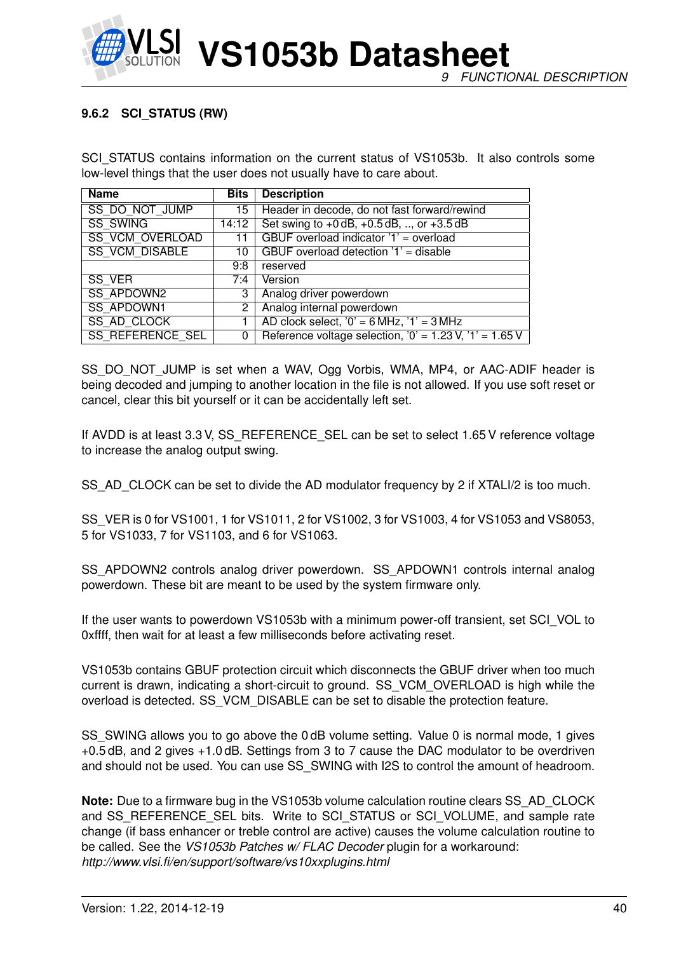

#### **9.6.2 SCI\_STATUS (RW)**

SCI\_STATUS contains information on the current status of VS1053b. It also controls some low-level things that the user does not usually have to care about.

| <b>Name</b>             | <b>Bits</b> | <b>Description</b>                                        |  |
|-------------------------|-------------|-----------------------------------------------------------|--|
| SS DO NOT JUMP          | 15          | Header in decode, do not fast forward/rewind              |  |
| <b>SS SWING</b>         | 14:12       | Set swing to $+0$ dB, $+0.5$ dB, , or $+3.5$ dB           |  |
| <b>SS VCM OVERLOAD</b>  | 11          | GBUF overload indicator '1' = overload                    |  |
| <b>SS VCM DISABLE</b>   | 10          | GBUF overload detection '1' = disable                     |  |
|                         | 9:8         | reserved                                                  |  |
| SS VER                  | 7:4         | Version                                                   |  |
| <b>SS APDOWN2</b>       | 3           | Analog driver powerdown                                   |  |
| <b>SS APDOWN1</b>       | 2           | Analog internal powerdown                                 |  |
| <b>SS AD CLOCK</b>      |             | AD clock select, $'0' = 6 MHz$ , $'1' = 3 MHz$            |  |
| <b>SS REFERENCE SEL</b> | 0           | Reference voltage selection, $0' = 1.23$ V, $1' = 1.65$ V |  |

SS\_DO\_NOT\_JUMP is set when a WAV, Ogg Vorbis, WMA, MP4, or AAC-ADIF header is being decoded and jumping to another location in the file is not allowed. If you use soft reset or cancel, clear this bit yourself or it can be accidentally left set.

If AVDD is at least 3.3 V, SS\_REFERENCE\_SEL can be set to select 1.65 V reference voltage to increase the analog output swing.

SS\_AD\_CLOCK can be set to divide the AD modulator frequency by 2 if XTALI/2 is too much.

SS\_VER is 0 for VS1001, 1 for VS1011, 2 for VS1002, 3 for VS1003, 4 for VS1053 and VS8053, 5 for VS1033, 7 for VS1103, and 6 for VS1063.

SS\_APDOWN2 controls analog driver powerdown. SS\_APDOWN1 controls internal analog powerdown. These bit are meant to be used by the system firmware only.

If the user wants to powerdown VS1053b with a minimum power-off transient, set SCI\_VOL to 0xffff, then wait for at least a few milliseconds before activating reset.

VS1053b contains GBUF protection circuit which disconnects the GBUF driver when too much current is drawn, indicating a short-circuit to ground. SS\_VCM\_OVERLOAD is high while the overload is detected. SS\_VCM\_DISABLE can be set to disable the protection feature.

SS\_SWING allows you to go above the 0 dB volume setting. Value 0 is normal mode, 1 gives +0.5 dB, and 2 gives +1.0 dB. Settings from 3 to 7 cause the DAC modulator to be overdriven and should not be used. You can use SS\_SWING with I2S to control the amount of headroom.

**Note:** Due to a firmware bug in the VS1053b volume calculation routine clears SS\_AD\_CLOCK and SS\_REFERENCE\_SEL bits. Write to SCI\_STATUS or SCI\_VOLUME, and sample rate change (if bass enhancer or treble control are active) causes the volume calculation routine to be called. See the *VS1053b Patches w/ FLAC Decoder* plugin for a workaround: *http://www.vlsi.fi/en/support/software/vs10xxplugins.html*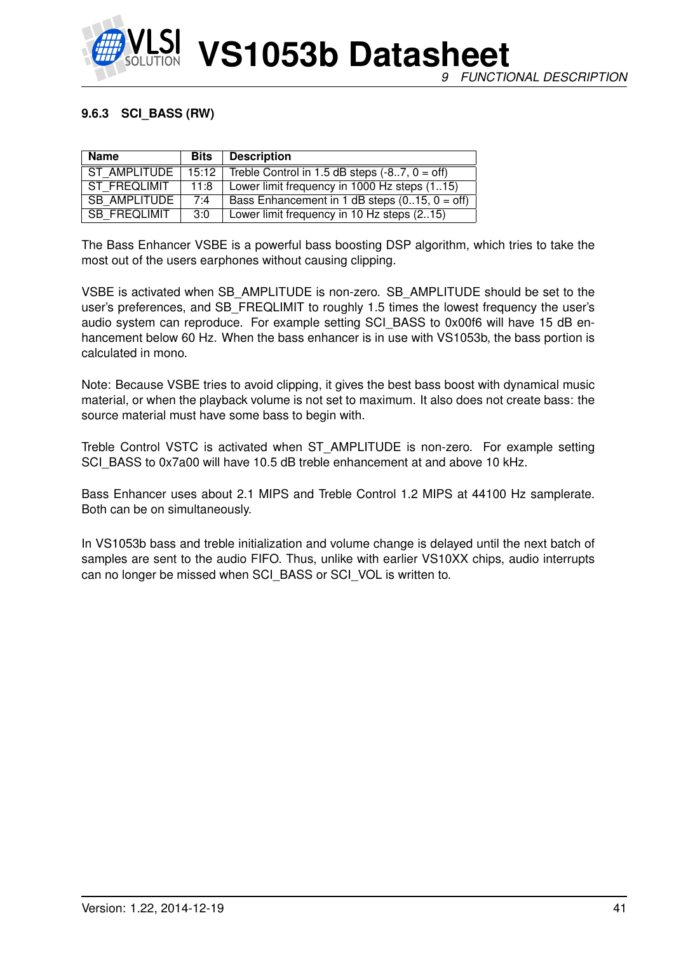

#### **9.6.3 SCI\_BASS (RW)**

| <b>Name</b>         | <b>Bits</b>        | <b>Description</b>                              |
|---------------------|--------------------|-------------------------------------------------|
| ST AMPLITUDE        | 15:12 <sub>1</sub> | Treble Control in 1.5 dB steps $(-87, 0 = off)$ |
| ST FREQLIMIT        | 11:8               | Lower limit frequency in 1000 Hz steps (115)    |
| <b>SB AMPLITUDE</b> | 7:4                | Bass Enhancement in 1 dB steps $(015, 0 = off)$ |
| SB FREQLIMIT        | 3:0                | Lower limit frequency in 10 Hz steps (215)      |

The Bass Enhancer VSBE is a powerful bass boosting DSP algorithm, which tries to take the most out of the users earphones without causing clipping.

VSBE is activated when SB\_AMPLITUDE is non-zero. SB\_AMPLITUDE should be set to the user's preferences, and SB\_FREQLIMIT to roughly 1.5 times the lowest frequency the user's audio system can reproduce. For example setting SCI BASS to 0x00f6 will have 15 dB enhancement below 60 Hz. When the bass enhancer is in use with VS1053b, the bass portion is calculated in mono.

Note: Because VSBE tries to avoid clipping, it gives the best bass boost with dynamical music material, or when the playback volume is not set to maximum. It also does not create bass: the source material must have some bass to begin with.

Treble Control VSTC is activated when ST\_AMPLITUDE is non-zero. For example setting SCI\_BASS to 0x7a00 will have 10.5 dB treble enhancement at and above 10 kHz.

Bass Enhancer uses about 2.1 MIPS and Treble Control 1.2 MIPS at 44100 Hz samplerate. Both can be on simultaneously.

In VS1053b bass and treble initialization and volume change is delayed until the next batch of samples are sent to the audio FIFO. Thus, unlike with earlier VS10XX chips, audio interrupts can no longer be missed when SCI\_BASS or SCI\_VOL is written to.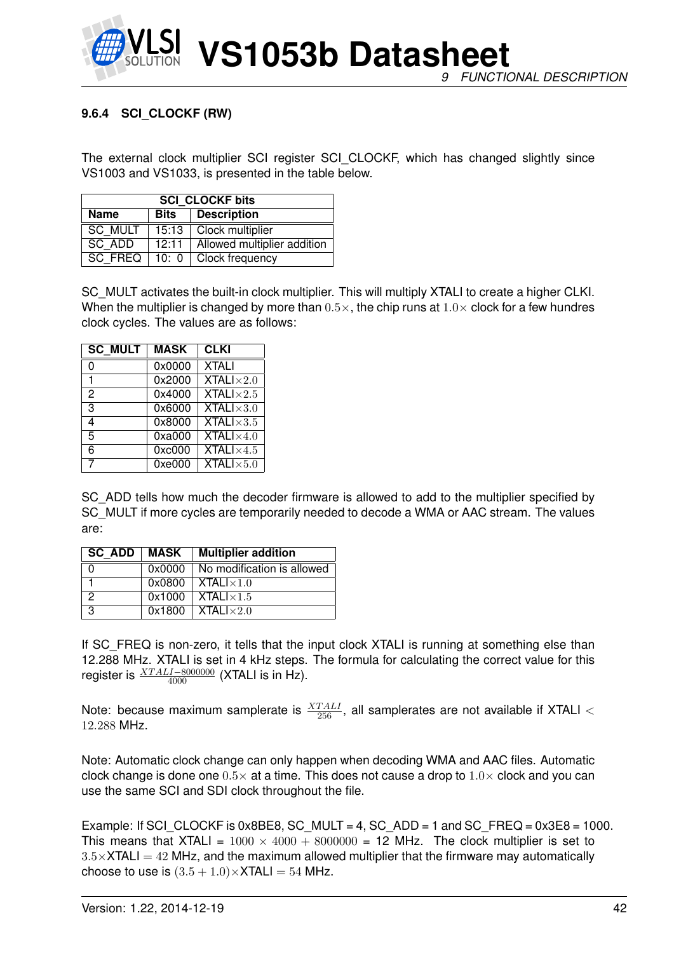

## **9.6.4 SCI\_CLOCKF (RW)**

The external clock multiplier SCI register SCI\_CLOCKF, which has changed slightly since VS1003 and VS1033, is presented in the table below.

| <b>SCI CLOCKF bits</b>                    |         |                             |  |  |  |  |
|-------------------------------------------|---------|-----------------------------|--|--|--|--|
| <b>Description</b><br><b>Name</b><br>Bits |         |                             |  |  |  |  |
| SC MULT                                   | 15:13   | Clock multiplier            |  |  |  |  |
| SC ADD<br>12:11                           |         | Allowed multiplier addition |  |  |  |  |
| <b>SC FREQ</b>                            | 10: $0$ | Clock frequency             |  |  |  |  |

SC MULT activates the built-in clock multiplier. This will multiply XTALI to create a higher CLKI. When the multiplier is changed by more than  $0.5\times$ , the chip runs at  $1.0\times$  clock for a few hundres clock cycles. The values are as follows:

| <b>SC MULT</b> | <b>MASK</b> | <b>CLKI</b>                             |
|----------------|-------------|-----------------------------------------|
| 0              | 0x0000      | <b>XTALI</b>                            |
| 1              | 0x2000      | <b>XTALI</b> $\times$ 2.0               |
| 2              | 0x4000      | <b>XTALI</b> $\times$ 2.5               |
| 3              | 0x6000      | $XTALI \times 3.0$                      |
| 4              | 0x8000      | <b>XTALI</b> $\times$ 3.5               |
| 5              | 0xa000      | $\overline{\text{XTAL}}$ $\times 4.0$   |
| 6              | 0xc000      | $\overline{\text{XTAL}}$ $1 \times 4.5$ |
|                | 0xe000      | $\overline{\text{XTALI}\times}5.0$      |

SC\_ADD tells how much the decoder firmware is allowed to add to the multiplier specified by SC MULT if more cycles are temporarily needed to decode a WMA or AAC stream. The values are:

| SC ADD   MASK |        | <b>Multiplier addition</b>   |
|---------------|--------|------------------------------|
|               | 0x0000 | No modification is allowed   |
|               | 0x0800 | $\vert$ XTALI $\times$ 1.0   |
|               | 0x1000 | $\vert$ XTALI $\times$ 1.5   |
| 3             |        | $0x1800$   XTAL $1\times2.0$ |

If SC\_FREQ is non-zero, it tells that the input clock XTALI is running at something else than 12.288 MHz. XTALI is set in 4 kHz steps. The formula for calculating the correct value for this register is  $\frac{XTALI-8000000}{4000}$  (XTALI is in Hz).

Note: because maximum samplerate is  $\frac{XTALI}{256}$ , all samplerates are not available if XTALI  $<$ 12.288 MHz.

Note: Automatic clock change can only happen when decoding WMA and AAC files. Automatic clock change is done one  $0.5\times$  at a time. This does not cause a drop to  $1.0\times$  clock and you can use the same SCI and SDI clock throughout the file.

Example: If SCI CLOCKF is 0x8BE8, SC MULT = 4, SC ADD = 1 and SC FREQ =  $0x3E8 = 1000$ . This means that XTALI =  $1000 \times 4000 + 8000000 = 12$  MHz. The clock multiplier is set to  $3.5\times$ XTALI = 42 MHz, and the maximum allowed multiplier that the firmware may automatically choose to use is  $(3.5 + 1.0) \times$ XTALI = 54 MHz.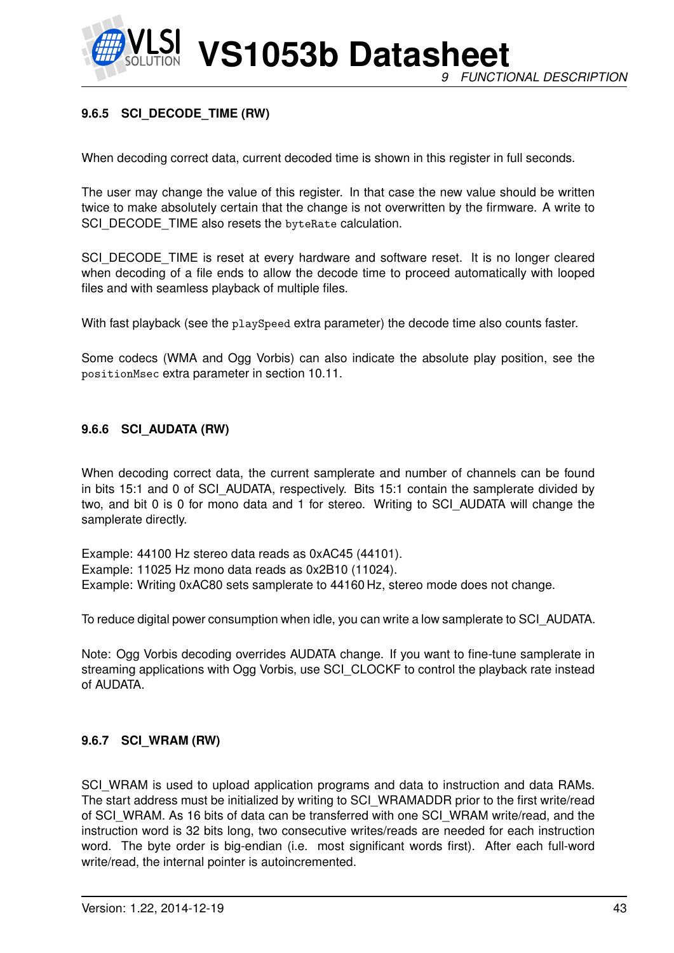

**VS1053b Datasheet** *9 FUNCTIONAL DESCRIPTION*

#### **9.6.5 SCI\_DECODE\_TIME (RW)**

When decoding correct data, current decoded time is shown in this register in full seconds.

The user may change the value of this register. In that case the new value should be written twice to make absolutely certain that the change is not overwritten by the firmware. A write to SCI\_DECODE\_TIME also resets the byteRate calculation.

SCI\_DECODE\_TIME is reset at every hardware and software reset. It is no longer cleared when decoding of a file ends to allow the decode time to proceed automatically with looped files and with seamless playback of multiple files.

With fast playback (see the playSpeed extra parameter) the decode time also counts faster.

Some codecs (WMA and Ogg Vorbis) can also indicate the absolute play position, see the positionMsec extra parameter in section 10.11.

#### **9.6.6 SCI\_AUDATA (RW)**

When decoding correct data, the current samplerate and number of channels can be found in bits 15:1 and 0 of SCI\_AUDATA, respectively. Bits 15:1 contain the samplerate divided by two, and bit 0 is 0 for mono data and 1 for stereo. Writing to SCI\_AUDATA will change the samplerate directly.

Example: 44100 Hz stereo data reads as 0xAC45 (44101). Example: 11025 Hz mono data reads as 0x2B10 (11024). Example: Writing 0xAC80 sets samplerate to 44160 Hz, stereo mode does not change.

To reduce digital power consumption when idle, you can write a low samplerate to SCI\_AUDATA.

Note: Ogg Vorbis decoding overrides AUDATA change. If you want to fine-tune samplerate in streaming applications with Ogg Vorbis, use SCI\_CLOCKF to control the playback rate instead of AUDATA.

#### **9.6.7 SCI\_WRAM (RW)**

SCI\_WRAM is used to upload application programs and data to instruction and data RAMs. The start address must be initialized by writing to SCI\_WRAMADDR prior to the first write/read of SCI\_WRAM. As 16 bits of data can be transferred with one SCI\_WRAM write/read, and the instruction word is 32 bits long, two consecutive writes/reads are needed for each instruction word. The byte order is big-endian (i.e. most significant words first). After each full-word write/read, the internal pointer is autoincremented.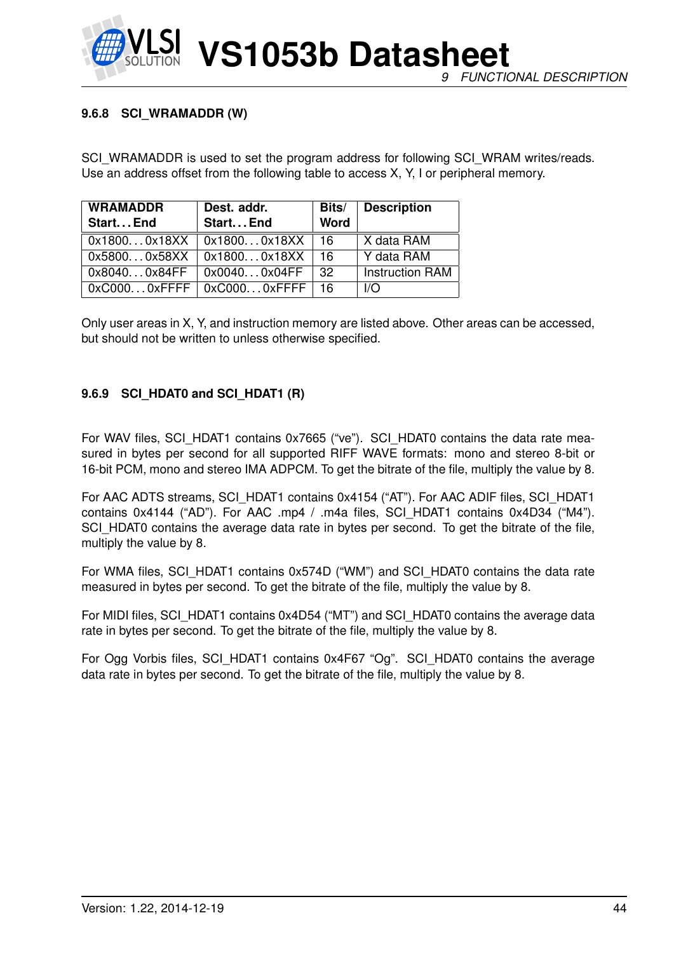#### **9.6.8 SCI\_WRAMADDR (W)**

SCI\_WRAMADDR is used to set the program address for following SCI\_WRAM writes/reads. Use an address offset from the following table to access X, Y, I or peripheral memory.

| <b>WRAMADDR</b><br>Start End | Dest. addr.<br>Start End            | Bits/<br><b>Word</b> | <b>Description</b>     |
|------------------------------|-------------------------------------|----------------------|------------------------|
| 0x18000x18XX                 | 0x18000x18XX                        | 16                   | X data RAM             |
| 0x58000x58XX                 | $\vert$ 0x18000x18XX                | 16                   | Y data RAM             |
| 0x80400x84FF                 | 0x00400x04FF                        | -32                  | <b>Instruction RAM</b> |
|                              | $0x$ C0000xFFFF   0xC0000xFFFF   16 |                      | I/O                    |

Only user areas in X, Y, and instruction memory are listed above. Other areas can be accessed, but should not be written to unless otherwise specified.

#### **9.6.9 SCI\_HDAT0 and SCI\_HDAT1 (R)**

For WAV files, SCI\_HDAT1 contains 0x7665 ("ve"). SCI\_HDAT0 contains the data rate measured in bytes per second for all supported RIFF WAVE formats: mono and stereo 8-bit or 16-bit PCM, mono and stereo IMA ADPCM. To get the bitrate of the file, multiply the value by 8.

For AAC ADTS streams, SCI\_HDAT1 contains 0x4154 ("AT"). For AAC ADIF files, SCI\_HDAT1 contains 0x4144 ("AD"). For AAC .mp4 / .m4a files, SCI\_HDAT1 contains 0x4D34 ("M4"). SCI\_HDAT0 contains the average data rate in bytes per second. To get the bitrate of the file, multiply the value by 8.

For WMA files, SCI\_HDAT1 contains 0x574D ("WM") and SCI\_HDAT0 contains the data rate measured in bytes per second. To get the bitrate of the file, multiply the value by 8.

For MIDI files, SCI\_HDAT1 contains 0x4D54 ("MT") and SCI\_HDAT0 contains the average data rate in bytes per second. To get the bitrate of the file, multiply the value by 8.

For Ogg Vorbis files, SCI\_HDAT1 contains 0x4F67 "Og". SCI\_HDAT0 contains the average data rate in bytes per second. To get the bitrate of the file, multiply the value by 8.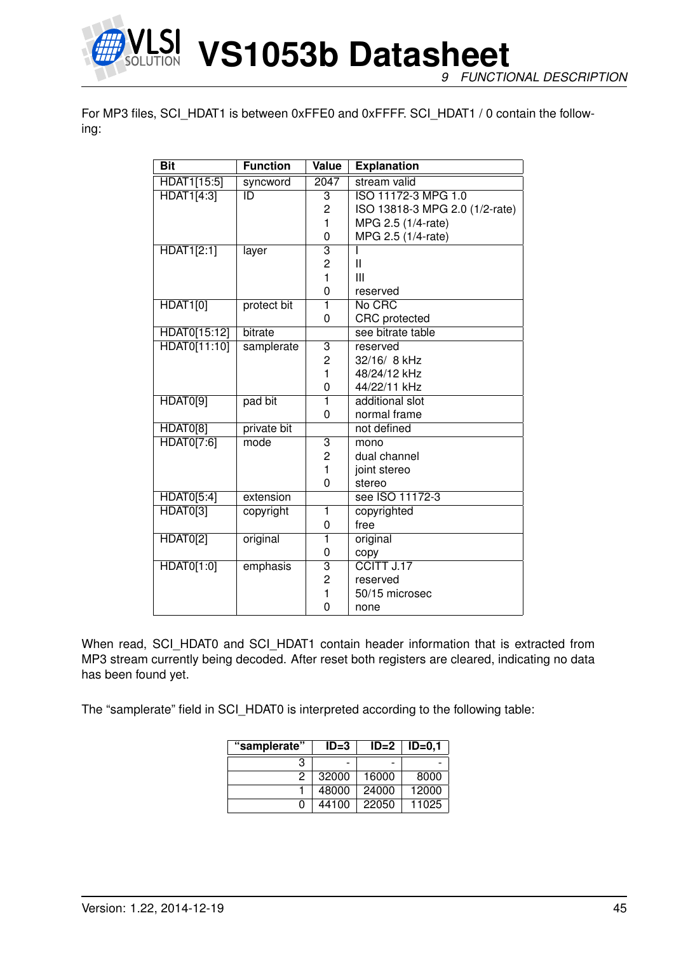

*9 FUNCTIONAL DESCRIPTION*

For MP3 files, SCI\_HDAT1 is between 0xFFE0 and 0xFFFF. SCI\_HDAT1 / 0 contain the following:

| <b>Bit</b>        | <b>Function</b> | <b>Value</b>            | <b>Explanation</b>             |
|-------------------|-----------------|-------------------------|--------------------------------|
| HDAT1[15:5]       | syncword        | $\overline{2047}$       | stream valid                   |
| <b>HDAT1[4:3]</b> | ID              | 3                       | ISO 11172-3 MPG 1.0            |
|                   |                 | 2                       | ISO 13818-3 MPG 2.0 (1/2-rate) |
|                   |                 | $\mathbf{1}$            | MPG 2.5 (1/4-rate)             |
|                   |                 | 0                       | MPG 2.5 (1/4-rate)             |
| <b>HDAT1[2:1]</b> | layer           | $\overline{\mathbf{3}}$ |                                |
|                   |                 | 2                       | Ш                              |
|                   |                 | 1                       | Ш                              |
|                   |                 | 0                       | reserved                       |
| <b>HDAT1[0]</b>   | protect bit     | 1                       | No CRC                         |
|                   |                 | 0                       | <b>CRC</b> protected           |
| HDAT0[15:12]      | bitrate         |                         | see bitrate table              |
| HDAT0[11:10]      | samplerate      | $\overline{3}$          | reserved                       |
|                   |                 | $\overline{2}$          | 32/16/ 8 kHz                   |
|                   |                 | $\mathbf{1}$            | 48/24/12 kHz                   |
|                   |                 | 0                       | 44/22/11 kHz                   |
| HDAT0[9]          | pad bit         | $\overline{\mathbf{1}}$ | additional slot                |
|                   |                 | 0                       | normal frame                   |
| HDAT0[8]          | private bit     |                         | not defined                    |
| HDAT0[7:6]        | mode            | 3                       | mono                           |
|                   |                 | $\overline{2}$          | dual channel                   |
|                   |                 | 1                       | joint stereo                   |
|                   |                 | 0                       | stereo                         |
| <b>HDAT0[5:4]</b> | extension       |                         | see ISO 11172-3                |
| HDAT0[3]          | copyright       | $\mathbf{1}$            | copyrighted                    |
|                   |                 | 0                       | free                           |
| <b>HDAT0[2]</b>   | original        | 1                       | original                       |
|                   |                 | 0                       | copy                           |
| HDAT0[1:0]        | emphasis        | $\overline{\mathbf{3}}$ | CCITT J.17                     |
|                   |                 | $\overline{c}$          | reserved                       |
|                   |                 | 1                       | 50/15 microsec                 |
|                   |                 | 0                       | none                           |

When read, SCI\_HDAT0 and SCI\_HDAT1 contain header information that is extracted from MP3 stream currently being decoded. After reset both registers are cleared, indicating no data has been found yet.

The "samplerate" field in SCI\_HDAT0 is interpreted according to the following table:

| "samplerate" | $ID=3$ | $ID=2$ | $ID=0,1$ |
|--------------|--------|--------|----------|
| з            |        |        |          |
| 2            | 32000  | 16000  | 8000     |
|              | 48000  | 24000  | 12000    |
|              | 44100  | 22050  | 11025    |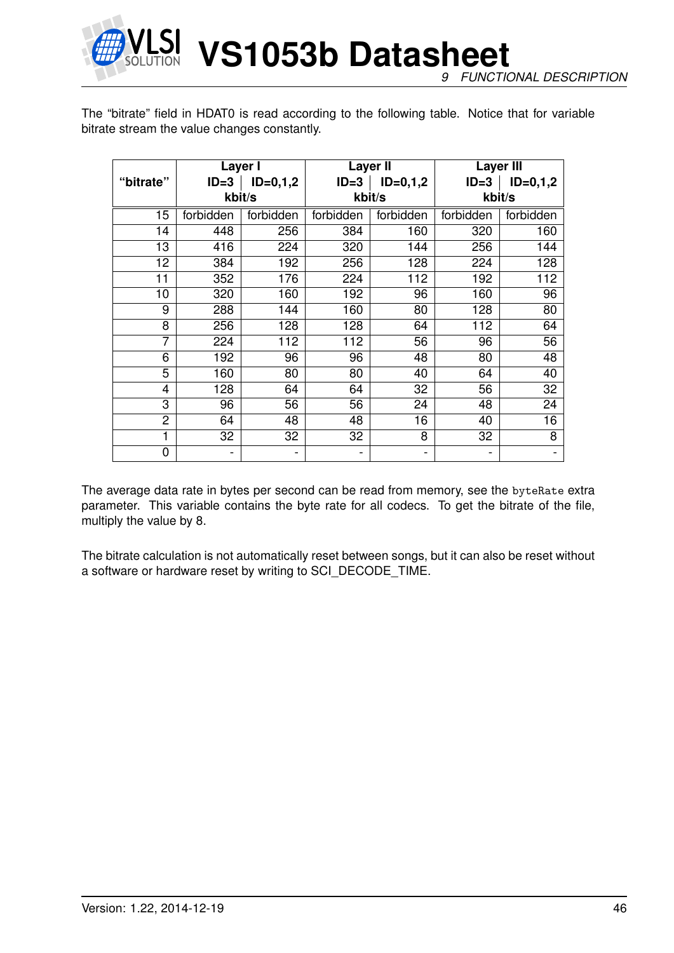

**VS1053b Datasheet** *9 FUNCTIONAL DESCRIPTION*

The "bitrate" field in HDAT0 is read according to the following table. Notice that for variable bitrate stream the value changes constantly.

|                |           | Layer I    |           | <b>Layer II</b>     | <b>Layer III</b> |            |  |
|----------------|-----------|------------|-----------|---------------------|------------------|------------|--|
| "bitrate"      | $ID = 3$  | $ID=0,1,2$ |           | $ID=3$   $ID=0,1,2$ | $ID = 3$         | $ID=0,1,2$ |  |
|                |           | kbit/s     |           | kbit/s              |                  | kbit/s     |  |
| 15             | forbidden | forbidden  | forbidden | forbidden           | forbidden        | forbidden  |  |
| 14             | 448       | 256        | 384       | 160                 | 320              | 160        |  |
| 13             | 416       | 224        | 320       | 144                 | 256              | 144        |  |
| 12             | 384       | 192        | 256       | 128                 | 224              | 128        |  |
| 11             | 352       | 176        | 224       | 112                 | 192              | 112        |  |
| 10             | 320       | 160        | 192       | 96                  | 160              | 96         |  |
| 9              | 288       | 144        | 160       | 80                  | 128              | 80         |  |
| 8              | 256       | 128        | 128       | 64                  | 112              | 64         |  |
| 7              | 224       | 112        | 112       | 56                  | 96               | 56         |  |
| 6              | 192       | 96         | 96        | 48                  | 80               | 48         |  |
| 5              | 160       | 80         | 80        | 40                  | 64               | 40         |  |
| $\overline{4}$ | 128       | 64         | 64        | 32                  | 56               | 32         |  |
| 3              | 96        | 56         | 56        | 24                  | 48               | 24         |  |
| 2              | 64        | 48         | 48        | 16                  | 40               | 16         |  |
| 1              | 32        | 32         | 32        | 8                   | 32               | 8          |  |
| 0              |           |            |           |                     |                  |            |  |

The average data rate in bytes per second can be read from memory, see the byteRate extra parameter. This variable contains the byte rate for all codecs. To get the bitrate of the file, multiply the value by 8.

The bitrate calculation is not automatically reset between songs, but it can also be reset without a software or hardware reset by writing to SCI\_DECODE\_TIME.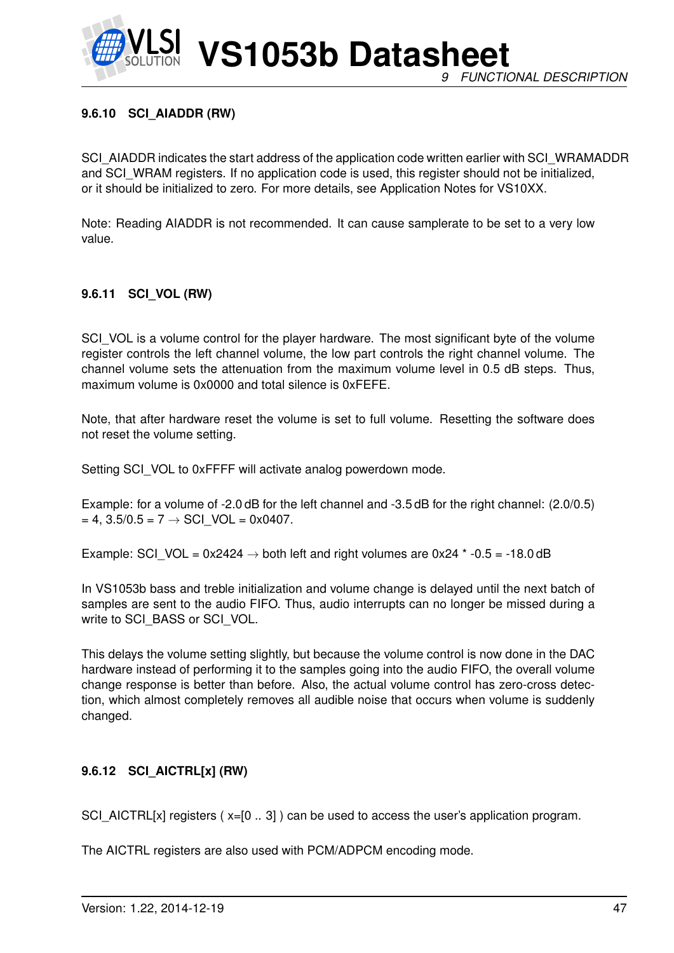

## **9.6.10 SCI\_AIADDR (RW)**

SCI\_AIADDR indicates the start address of the application code written earlier with SCI\_WRAMADDR and SCI\_WRAM registers. If no application code is used, this register should not be initialized, or it should be initialized to zero. For more details, see Application Notes for VS10XX.

Note: Reading AIADDR is not recommended. It can cause samplerate to be set to a very low value.

#### **9.6.11 SCI\_VOL (RW)**

SCI VOL is a volume control for the player hardware. The most significant byte of the volume register controls the left channel volume, the low part controls the right channel volume. The channel volume sets the attenuation from the maximum volume level in 0.5 dB steps. Thus, maximum volume is 0x0000 and total silence is 0xFEFE.

Note, that after hardware reset the volume is set to full volume. Resetting the software does not reset the volume setting.

Setting SCI\_VOL to 0xFFFF will activate analog powerdown mode.

Example: for a volume of -2.0 dB for the left channel and -3.5 dB for the right channel: (2.0/0.5)  $= 4$ , 3.5/0.5 = 7  $\rightarrow$  SCI VOL = 0x0407.

Example: SCI\_VOL = 0x2424  $\rightarrow$  both left and right volumes are 0x24  $*$  -0.5 = -18.0 dB

In VS1053b bass and treble initialization and volume change is delayed until the next batch of samples are sent to the audio FIFO. Thus, audio interrupts can no longer be missed during a write to SCI\_BASS or SCI\_VOL.

This delays the volume setting slightly, but because the volume control is now done in the DAC hardware instead of performing it to the samples going into the audio FIFO, the overall volume change response is better than before. Also, the actual volume control has zero-cross detection, which almost completely removes all audible noise that occurs when volume is suddenly changed.

#### **9.6.12 SCI\_AICTRL[x] (RW)**

SCI\_AICTRL[x] registers  $(x=[0..3])$  can be used to access the user's application program.

The AICTRL registers are also used with PCM/ADPCM encoding mode.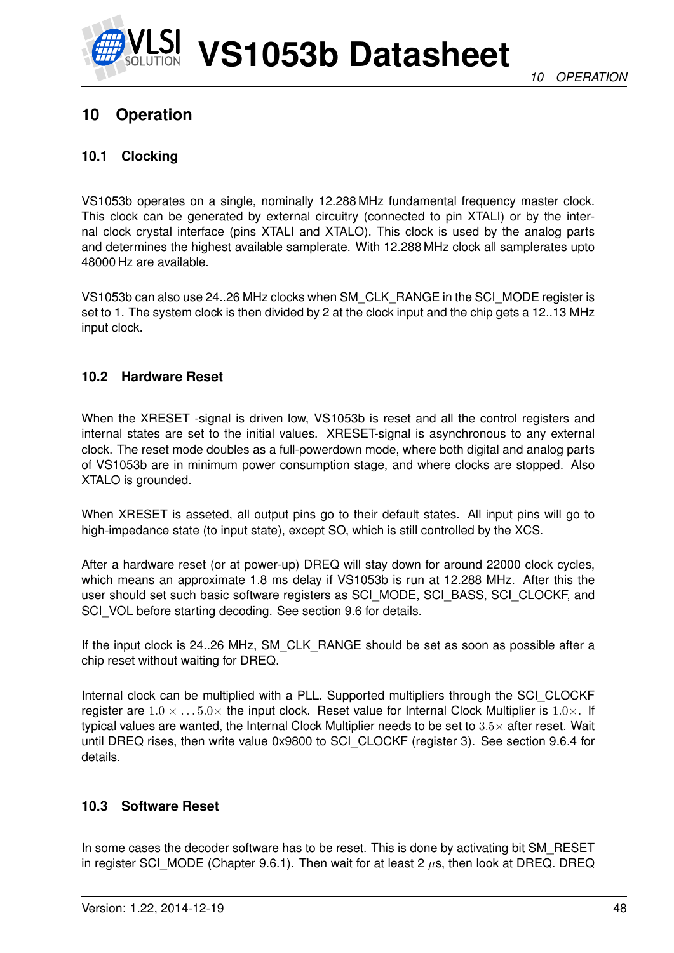

## **10 Operation**

### **10.1 Clocking**

VS1053b operates on a single, nominally 12.288 MHz fundamental frequency master clock. This clock can be generated by external circuitry (connected to pin XTALI) or by the internal clock crystal interface (pins XTALI and XTALO). This clock is used by the analog parts and determines the highest available samplerate. With 12.288 MHz clock all samplerates upto 48000 Hz are available.

VS1053b can also use 24..26 MHz clocks when SM\_CLK\_RANGE in the SCI\_MODE register is set to 1. The system clock is then divided by 2 at the clock input and the chip gets a 12..13 MHz input clock.

## **10.2 Hardware Reset**

When the XRESET -signal is driven low. VS1053b is reset and all the control registers and internal states are set to the initial values. XRESET-signal is asynchronous to any external clock. The reset mode doubles as a full-powerdown mode, where both digital and analog parts of VS1053b are in minimum power consumption stage, and where clocks are stopped. Also XTALO is grounded.

When XRESET is asseted, all output pins go to their default states. All input pins will go to high-impedance state (to input state), except SO, which is still controlled by the XCS.

After a hardware reset (or at power-up) DREQ will stay down for around 22000 clock cycles, which means an approximate 1.8 ms delay if VS1053b is run at 12.288 MHz. After this the user should set such basic software registers as SCI\_MODE, SCI\_BASS, SCI\_CLOCKF, and SCI\_VOL before starting decoding. See section 9.6 for details.

If the input clock is 24..26 MHz, SM\_CLK\_RANGE should be set as soon as possible after a chip reset without waiting for DREQ.

Internal clock can be multiplied with a PLL. Supported multipliers through the SCI\_CLOCKF register are  $1.0 \times \ldots 5.0 \times$  the input clock. Reset value for Internal Clock Multiplier is  $1.0 \times$ . If typical values are wanted, the Internal Clock Multiplier needs to be set to  $3.5\times$  after reset. Wait until DREQ rises, then write value 0x9800 to SCI\_CLOCKF (register 3). See section 9.6.4 for details.

#### **10.3 Software Reset**

In some cases the decoder software has to be reset. This is done by activating bit SM\_RESET in register SCI\_MODE (Chapter 9.6.1). Then wait for at least 2  $\mu$ s, then look at DREQ. DREQ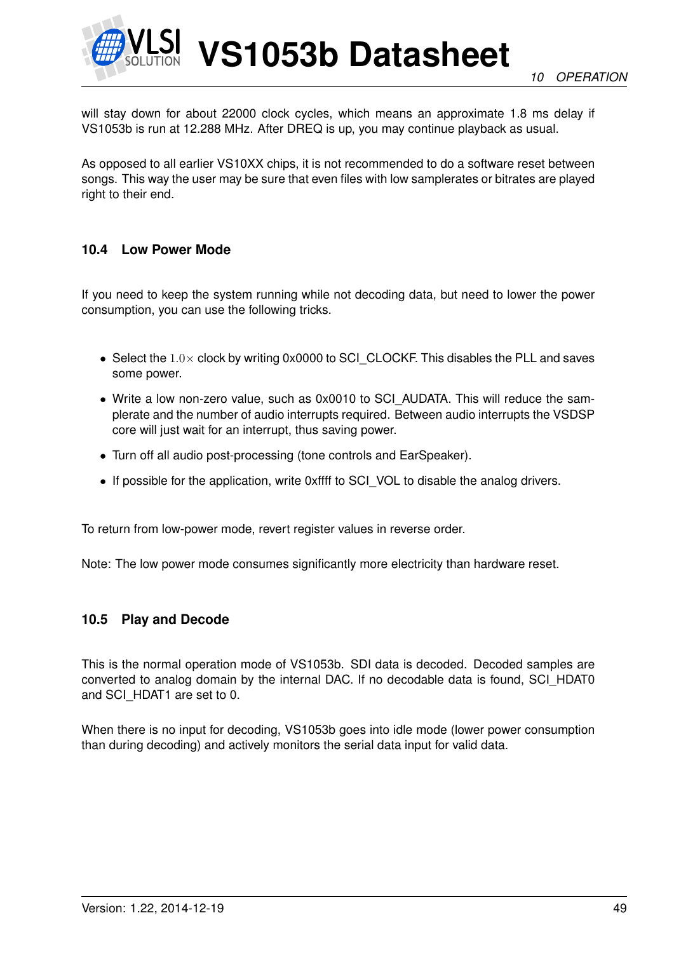

will stay down for about 22000 clock cycles, which means an approximate 1.8 ms delay if VS1053b is run at 12.288 MHz. After DREQ is up, you may continue playback as usual.

As opposed to all earlier VS10XX chips, it is not recommended to do a software reset between songs. This way the user may be sure that even files with low samplerates or bitrates are played right to their end.

#### **10.4 Low Power Mode**

If you need to keep the system running while not decoding data, but need to lower the power consumption, you can use the following tricks.

- Select the  $1.0\times$  clock by writing 0x0000 to SCI CLOCKF. This disables the PLL and saves some power.
- Write a low non-zero value, such as 0x0010 to SCI\_AUDATA. This will reduce the samplerate and the number of audio interrupts required. Between audio interrupts the VSDSP core will just wait for an interrupt, thus saving power.
- Turn off all audio post-processing (tone controls and EarSpeaker).
- If possible for the application, write 0xffff to SCI\_VOL to disable the analog drivers.

To return from low-power mode, revert register values in reverse order.

Note: The low power mode consumes significantly more electricity than hardware reset.

#### **10.5 Play and Decode**

This is the normal operation mode of VS1053b. SDI data is decoded. Decoded samples are converted to analog domain by the internal DAC. If no decodable data is found, SCI\_HDAT0 and SCI\_HDAT1 are set to 0.

When there is no input for decoding, VS1053b goes into idle mode (lower power consumption than during decoding) and actively monitors the serial data input for valid data.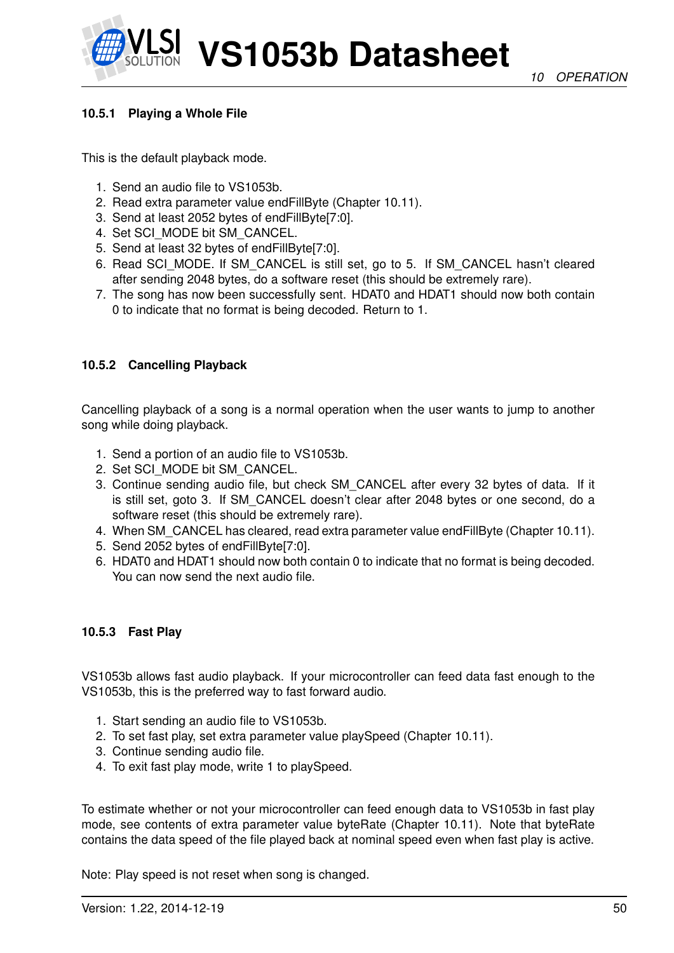### **10.5.1 Playing a Whole File**

This is the default playback mode.

- 1. Send an audio file to VS1053b.
- 2. Read extra parameter value endFillByte (Chapter 10.11).
- 3. Send at least 2052 bytes of endFillByte[7:0].
- 4. Set SCI\_MODE bit SM\_CANCEL.
- 5. Send at least 32 bytes of endFillByte[7:0].
- 6. Read SCI\_MODE. If SM\_CANCEL is still set, go to 5. If SM\_CANCEL hasn't cleared after sending 2048 bytes, do a software reset (this should be extremely rare).
- 7. The song has now been successfully sent. HDAT0 and HDAT1 should now both contain 0 to indicate that no format is being decoded. Return to 1.

#### **10.5.2 Cancelling Playback**

Cancelling playback of a song is a normal operation when the user wants to jump to another song while doing playback.

- 1. Send a portion of an audio file to VS1053b.
- 2. Set SCI\_MODE bit SM\_CANCEL.
- 3. Continue sending audio file, but check SM\_CANCEL after every 32 bytes of data. If it is still set, goto 3. If SM\_CANCEL doesn't clear after 2048 bytes or one second, do a software reset (this should be extremely rare).
- 4. When SM\_CANCEL has cleared, read extra parameter value endFillByte (Chapter 10.11).
- 5. Send 2052 bytes of endFillByte[7:0].
- 6. HDAT0 and HDAT1 should now both contain 0 to indicate that no format is being decoded. You can now send the next audio file.

#### **10.5.3 Fast Play**

VS1053b allows fast audio playback. If your microcontroller can feed data fast enough to the VS1053b, this is the preferred way to fast forward audio.

- 1. Start sending an audio file to VS1053b.
- 2. To set fast play, set extra parameter value playSpeed (Chapter 10.11).
- 3. Continue sending audio file.
- 4. To exit fast play mode, write 1 to playSpeed.

To estimate whether or not your microcontroller can feed enough data to VS1053b in fast play mode, see contents of extra parameter value byteRate (Chapter 10.11). Note that byteRate contains the data speed of the file played back at nominal speed even when fast play is active.

Note: Play speed is not reset when song is changed.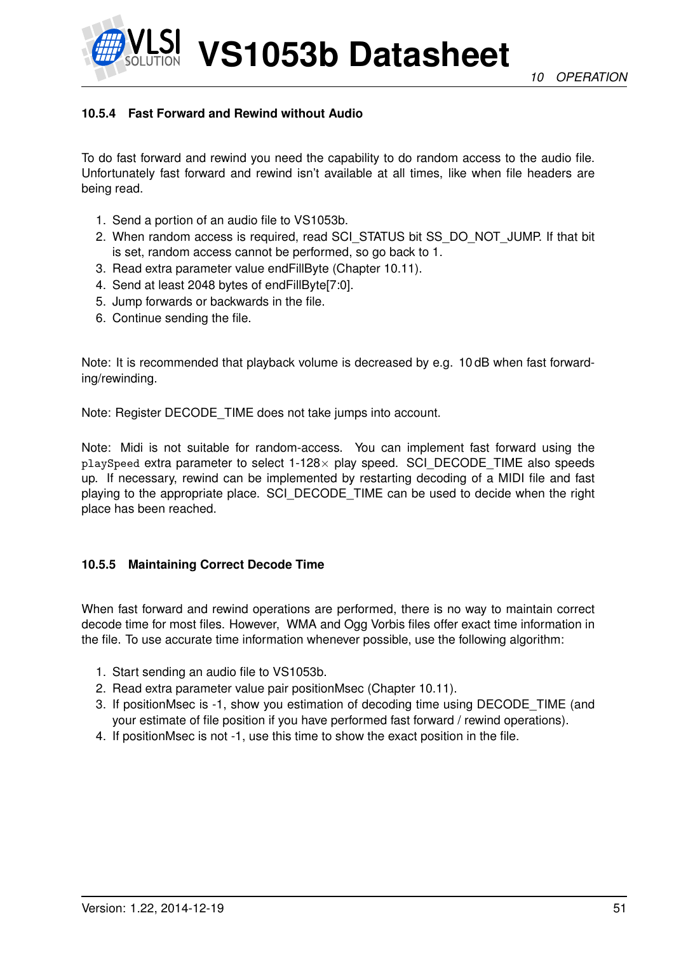*10 OPERATION*



**VS1053b Datasheet**

## **10.5.4 Fast Forward and Rewind without Audio**

To do fast forward and rewind you need the capability to do random access to the audio file. Unfortunately fast forward and rewind isn't available at all times, like when file headers are being read.

- 1. Send a portion of an audio file to VS1053b.
- 2. When random access is required, read SCI\_STATUS bit SS\_DO\_NOT\_JUMP. If that bit is set, random access cannot be performed, so go back to 1.
- 3. Read extra parameter value endFillByte (Chapter 10.11).
- 4. Send at least 2048 bytes of endFillByte[7:0].
- 5. Jump forwards or backwards in the file.
- 6. Continue sending the file.

Note: It is recommended that playback volume is decreased by e.g. 10 dB when fast forwarding/rewinding.

Note: Register DECODE\_TIME does not take jumps into account.

Note: Midi is not suitable for random-access. You can implement fast forward using the playSpeed extra parameter to select 1-128× play speed. SCI\_DECODE\_TIME also speeds up. If necessary, rewind can be implemented by restarting decoding of a MIDI file and fast playing to the appropriate place. SCI\_DECODE\_TIME can be used to decide when the right place has been reached.

#### **10.5.5 Maintaining Correct Decode Time**

When fast forward and rewind operations are performed, there is no way to maintain correct decode time for most files. However, WMA and Ogg Vorbis files offer exact time information in the file. To use accurate time information whenever possible, use the following algorithm:

- 1. Start sending an audio file to VS1053b.
- 2. Read extra parameter value pair positionMsec (Chapter 10.11).
- 3. If positionMsec is -1, show you estimation of decoding time using DECODE\_TIME (and your estimate of file position if you have performed fast forward / rewind operations).
- 4. If positionMsec is not -1, use this time to show the exact position in the file.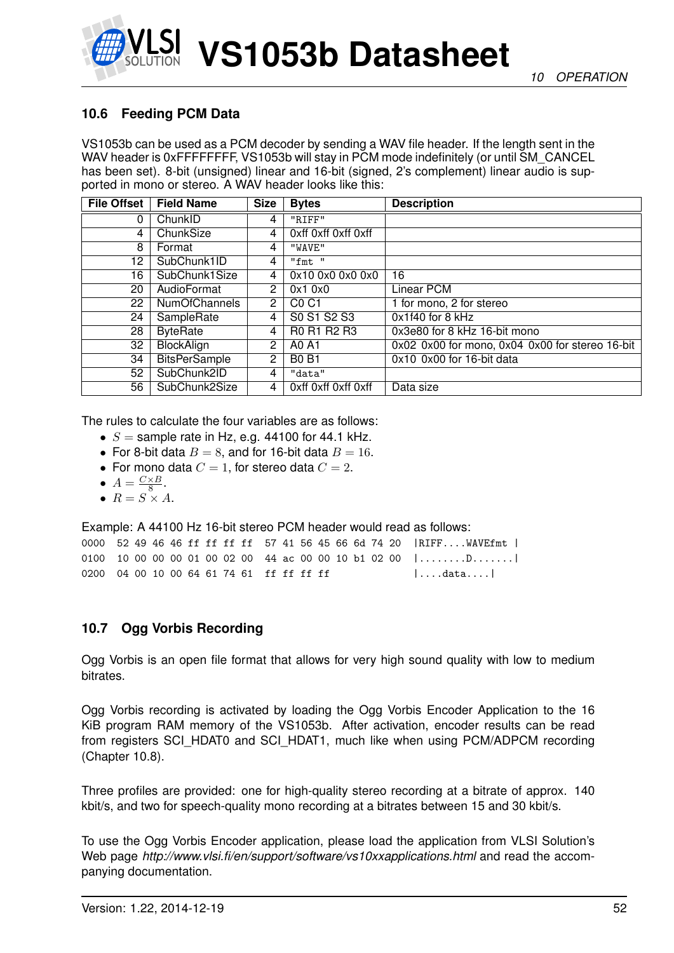## **10.6 Feeding PCM Data**

VS1053b can be used as a PCM decoder by sending a WAV file header. If the length sent in the WAV header is 0xFFFFFFFF, VS1053b will stay in PCM mode indefinitely (or until SM\_CANCEL has been set). 8-bit (unsigned) linear and 16-bit (signed, 2's complement) linear audio is supported in mono or stereo. A WAV header looks like this:

| <b>File Offset</b> | <b>Field Name</b>    | <b>Size</b>          | <b>Bytes</b>                  | <b>Description</b>                              |
|--------------------|----------------------|----------------------|-------------------------------|-------------------------------------------------|
| 0                  | ChunkID              | 4                    | "RIFF"                        |                                                 |
| 4                  | ChunkSize            | 4                    | Oxff Oxff Oxff Oxff           |                                                 |
| 8                  | Format               | 4                    | "WAVE"                        |                                                 |
| 12                 | SubChunk1ID          | 4                    | "fmt"                         |                                                 |
| 16                 | SubChunk1Size        | 4                    | 0x10 0x0 0x0 0x0              | 16                                              |
| 20                 | AudioFormat          | 2                    | 0x10x0                        | Linear PCM                                      |
| 22                 | <b>NumOfChannels</b> | $\mathbf{2}^{\circ}$ | C <sub>0</sub> C <sub>1</sub> | 1 for mono, 2 for stereo                        |
| 24                 | SampleRate           | 4                    | S0 S1 S2 S3                   | 0x1f40 for 8 kHz                                |
| 28                 | <b>ByteRate</b>      | 4                    | R0 R1 R2 R3                   | 0x3e80 for 8 kHz 16-bit mono                    |
| 32                 | <b>BlockAlign</b>    | 2                    | A0 A1                         | 0x02 0x00 for mono, 0x04 0x00 for stereo 16-bit |
| 34                 | <b>BitsPerSample</b> | 2                    | BO <sub>BT</sub>              | 0x10 0x00 for 16-bit data                       |
| 52                 | SubChunk2ID          | 4                    | "data"                        |                                                 |
| 56                 | SubChunk2Size        | 4                    | Oxff Oxff Oxff Oxff           | Data size                                       |

The rules to calculate the four variables are as follows:

- $S =$  sample rate in Hz, e.g. 44100 for 44.1 kHz.
- For 8-bit data  $B = 8$ , and for 16-bit data  $B = 16$ .
- For mono data  $C = 1$ , for stereo data  $C = 2$ .
- $A = \frac{C \times B}{8}$  $\frac{\times B}{8}$ .
- $R = S \times A$ .

Example: A 44100 Hz 16-bit stereo PCM header would read as follows:

|                                          |  |  |  |  |  |  |  |  | 0000 52 49 46 46 ff ff ff ff 57 41 56 45 66 6d 74 20   RIFFWAVEfmt |
|------------------------------------------|--|--|--|--|--|--|--|--|--------------------------------------------------------------------|
|                                          |  |  |  |  |  |  |  |  | 0100 10 00 00 00 01 00 02 00 44 ac 00 00 10 b1 02 00 $ $ D         |
| 0200 04 00 10 00 64 61 74 61 ff ff ff ff |  |  |  |  |  |  |  |  | $ \ldots$ .data $\ldots $                                          |

#### **10.7 Ogg Vorbis Recording**

Ogg Vorbis is an open file format that allows for very high sound quality with low to medium bitrates.

Ogg Vorbis recording is activated by loading the Ogg Vorbis Encoder Application to the 16 KiB program RAM memory of the VS1053b. After activation, encoder results can be read from registers SCI\_HDAT0 and SCI\_HDAT1, much like when using PCM/ADPCM recording (Chapter 10.8).

Three profiles are provided: one for high-quality stereo recording at a bitrate of approx. 140 kbit/s, and two for speech-quality mono recording at a bitrates between 15 and 30 kbit/s.

To use the Ogg Vorbis Encoder application, please load the application from VLSI Solution's Web page *http://www.vlsi.fi/en/support/software/vs10xxapplications.html* and read the accompanying documentation.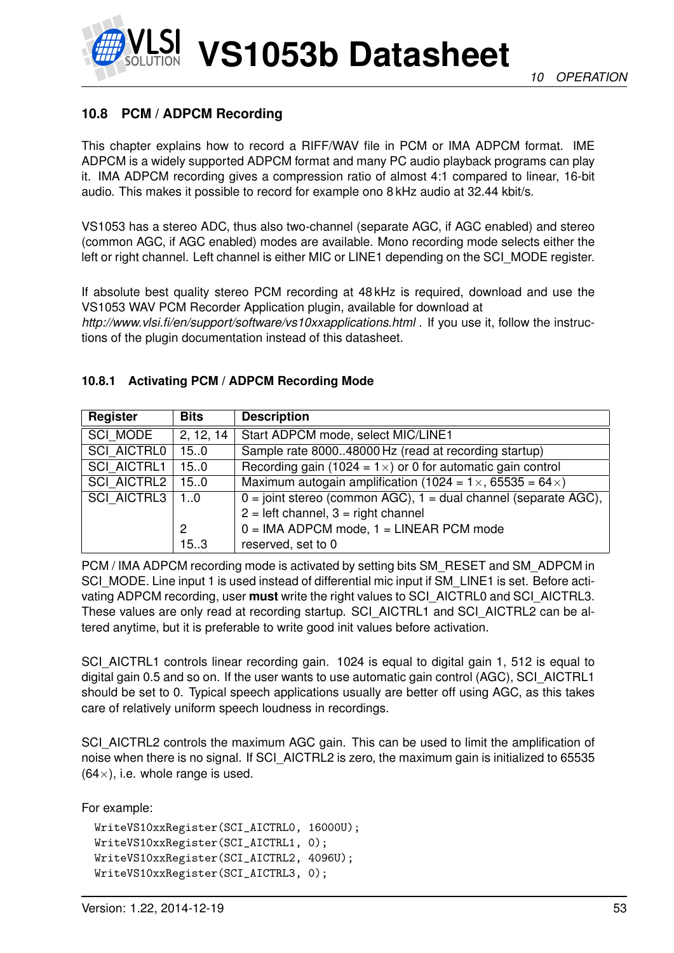

## **10.8 PCM / ADPCM Recording**

This chapter explains how to record a RIFF/WAV file in PCM or IMA ADPCM format. IME ADPCM is a widely supported ADPCM format and many PC audio playback programs can play it. IMA ADPCM recording gives a compression ratio of almost 4:1 compared to linear, 16-bit audio. This makes it possible to record for example ono 8 kHz audio at 32.44 kbit/s.

VS1053 has a stereo ADC, thus also two-channel (separate AGC, if AGC enabled) and stereo (common AGC, if AGC enabled) modes are available. Mono recording mode selects either the left or right channel. Left channel is either MIC or LINE1 depending on the SCI\_MODE register.

If absolute best quality stereo PCM recording at 48 kHz is required, download and use the VS1053 WAV PCM Recorder Application plugin, available for download at *http://www.vlsi.fi/en/support/software/vs10xxapplications.html* . If you use it, follow the instructions of the plugin documentation instead of this datasheet.

| Register                 | <b>Bits</b> | <b>Description</b>                                                        |
|--------------------------|-------------|---------------------------------------------------------------------------|
| SCI MODE                 | 2, 12, 14   | Start ADPCM mode, select MIC/LINE1                                        |
| <b>SCI AICTRL0</b>       | 15.0        | Sample rate 800048000 Hz (read at recording startup)                      |
| <b>SCI AICTRL1</b>       | 150         | Recording gain (1024 = $1 \times$ ) or 0 for automatic gain control       |
| <b>SCI AICTRL2</b>       | 15.0        | Maximum autogain amplification (1024 = $1 \times$ , 65535 = 64 $\times$ ) |
| <b>SCI AICTRL3</b><br>10 |             | $0 =$ joint stereo (common AGC), $1 =$ dual channel (separate AGC),       |
|                          |             | $2 = left channel$ , $3 = right channel$                                  |
|                          | 2           | $0 = IMA ADPCM$ mode, $1 = LINEAR$ PCM mode                               |
|                          | 15.3        | reserved, set to 0                                                        |

#### **10.8.1 Activating PCM / ADPCM Recording Mode**

PCM / IMA ADPCM recording mode is activated by setting bits SM\_RESET and SM\_ADPCM in SCI\_MODE. Line input 1 is used instead of differential mic input if SM\_LINE1 is set. Before activating ADPCM recording, user **must** write the right values to SCI\_AICTRL0 and SCI\_AICTRL3. These values are only read at recording startup. SCI\_AICTRL1 and SCI\_AICTRL2 can be altered anytime, but it is preferable to write good init values before activation.

SCI\_AICTRL1 controls linear recording gain. 1024 is equal to digital gain 1, 512 is equal to digital gain 0.5 and so on. If the user wants to use automatic gain control (AGC), SCI\_AICTRL1 should be set to 0. Typical speech applications usually are better off using AGC, as this takes care of relatively uniform speech loudness in recordings.

SCI\_AICTRL2 controls the maximum AGC gain. This can be used to limit the amplification of noise when there is no signal. If SCI\_AICTRL2 is zero, the maximum gain is initialized to 65535  $(64\times)$ , i.e. whole range is used.

For example:

```
WriteVS10xxRegister(SCI_AICTRL0, 16000U);
WriteVS10xxRegister(SCI_AICTRL1, 0);
WriteVS10xxRegister(SCI_AICTRL2, 4096U);
WriteVS10xxRegister(SCI_AICTRL3, 0);
```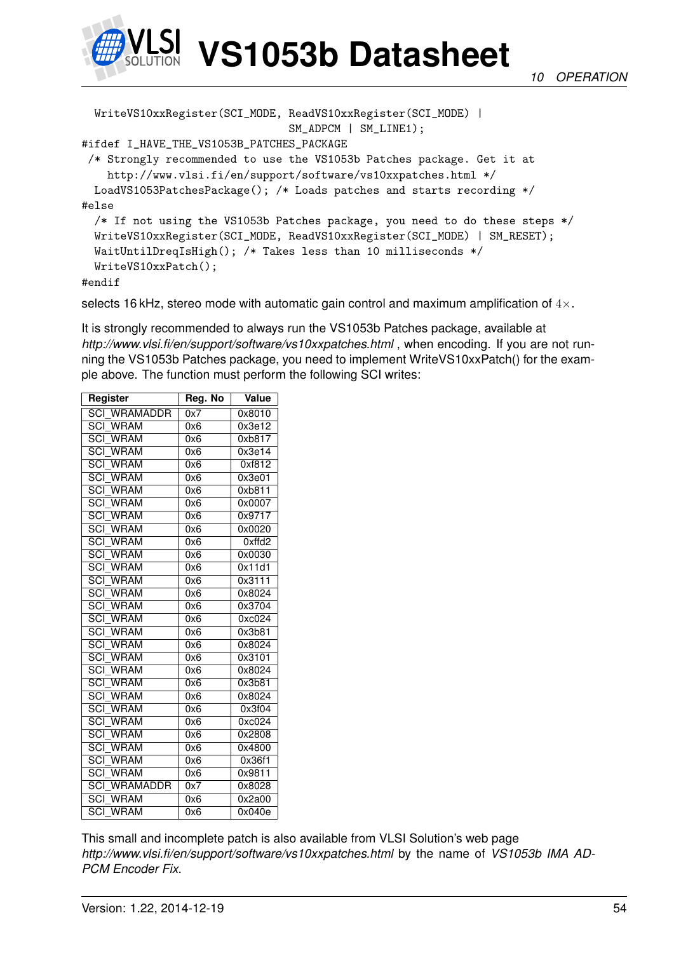

WriteVS10xxRegister(SCI\_MODE, ReadVS10xxRegister(SCI\_MODE) | SM\_ADPCM | SM\_LINE1); #ifdef I\_HAVE\_THE\_VS1053B\_PATCHES\_PACKAGE /\* Strongly recommended to use the VS1053b Patches package. Get it at http://www.vlsi.fi/en/support/software/vs10xxpatches.html \*/ LoadVS1053PatchesPackage(); /\* Loads patches and starts recording \*/ #else /\* If not using the VS1053b Patches package, you need to do these steps \*/ WriteVS10xxRegister(SCI\_MODE, ReadVS10xxRegister(SCI\_MODE) | SM\_RESET); WaitUntilDreqIsHigh(); /\* Takes less than 10 milliseconds \*/ WriteVS10xxPatch();

#endif

selects 16 kHz, stereo mode with automatic gain control and maximum amplification of  $4 \times$ .

It is strongly recommended to always run the VS1053b Patches package, available at *http://www.vlsi.fi/en/support/software/vs10xxpatches.html* , when encoding. If you are not running the VS1053b Patches package, you need to implement WriteVS10xxPatch() for the example above. The function must perform the following SCI writes:

| Register                        | Reg. No | <b>Value</b> |
|---------------------------------|---------|--------------|
| <b>SCI WRAMADDR</b>             | 0x7     | 0x8010       |
| <b>SCI WRAM</b>                 | 0x6     | 0x3e12       |
| <b>SCI WRAM</b>                 | 0x6     | 0xb817       |
| <b>SCI WRAM</b>                 | 0x6     | 0x3e14       |
| <b>SCI WRAM</b>                 | 0x6     | 0xf812       |
| <b>SCI WRAM</b>                 | 0x6     | 0x3e01       |
| <b>SCI WRAM</b>                 | 0x6     | 0xb811       |
| <b>SCI WRAM</b>                 | 0x6     | 0x0007       |
| <b>SCI WRAM</b>                 | 0x6     | 0x9717       |
| <b>SCI WRAM</b>                 | 0x6     | 0x0020       |
| <b>SCI WRAM</b>                 | 0x6     | 0xffd2       |
| <b>SCI WRAM</b>                 | 0x6     | 0x0030       |
| <b>SCI WRAM</b>                 | 0x6     | 0x11d1       |
| <b>SCI WRAM</b>                 | 0x6     | 0x3111       |
| <b>SCI WRAM</b>                 | 0x6     | 0x8024       |
| <b>SCI WRAM</b>                 | 0x6     | 0x3704       |
| <b>SCI WRAM</b>                 | 0x6     | 0xc024       |
| <b>SCI WRAM</b>                 | 0x6     | 0x3b81       |
| <b>SCI WRAM</b>                 | 0x6     | 0x8024       |
| <b>SCI WRAM</b>                 | 0x6     | 0x3101       |
| <b>SCI WRAM</b>                 | 0x6     | 0x8024       |
| <b>SCI WRAM</b>                 | 0x6     | 0x3b81       |
| <b>SCI WRAM</b>                 | 0x6     | 0x8024       |
| <b>SCI WRAM</b>                 | 0x6     | 0x3f04       |
| <b>SCI WRAM</b>                 | 0x6     | 0xc024       |
| <b>SCI WRAM</b>                 | 0x6     | 0x2808       |
| <b>SCI WRAM</b>                 | 0x6     | 0x4800       |
| $\overline{SCI}$<br><b>WRAM</b> | 0x6     | 0x36f1       |
| <b>SCI WRAM</b>                 | 0x6     | 0x9811       |
| <b>SCI WRAMADDR</b>             | 0x7     | 0x8028       |
| <b>SCI WRAM</b>                 | 0x6     | 0x2a00       |
| <b>SCI WRAM</b>                 | 0x6     | 0x040e       |

This small and incomplete patch is also available from VLSI Solution's web page *http://www.vlsi.fi/en/support/software/vs10xxpatches.html* by the name of *VS1053b IMA AD-PCM Encoder Fix*.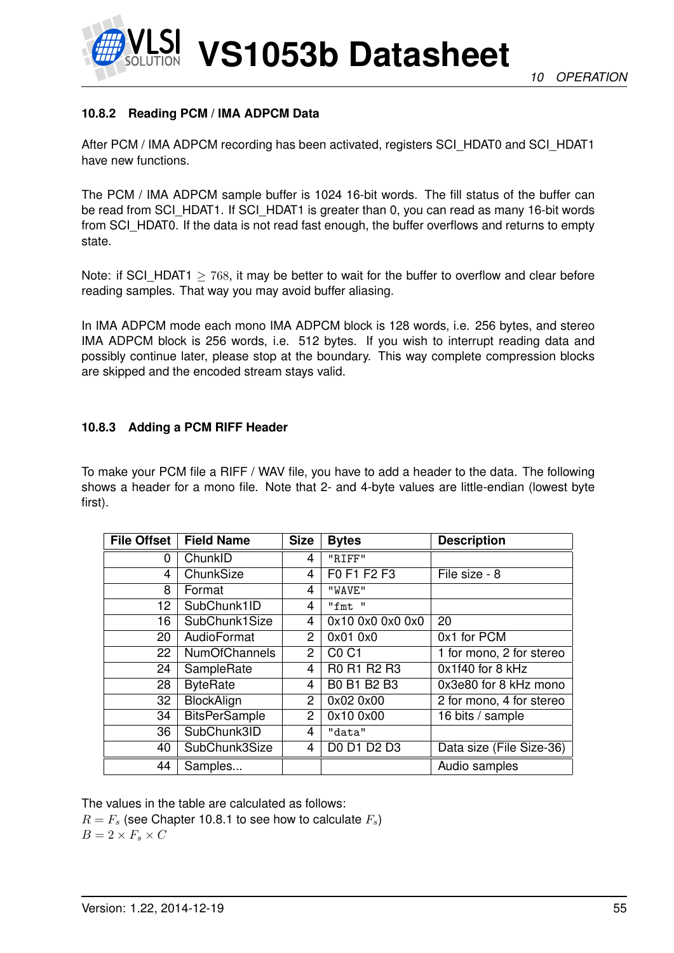

#### **10.8.2 Reading PCM / IMA ADPCM Data**

After PCM / IMA ADPCM recording has been activated, registers SCI\_HDAT0 and SCI\_HDAT1 have new functions.

The PCM / IMA ADPCM sample buffer is 1024 16-bit words. The fill status of the buffer can be read from SCI\_HDAT1. If SCI\_HDAT1 is greater than 0, you can read as many 16-bit words from SCI HDAT0. If the data is not read fast enough, the buffer overflows and returns to empty state.

Note: if SCI\_HDAT1  $\geq$  768, it may be better to wait for the buffer to overflow and clear before reading samples. That way you may avoid buffer aliasing.

In IMA ADPCM mode each mono IMA ADPCM block is 128 words, i.e. 256 bytes, and stereo IMA ADPCM block is 256 words, i.e. 512 bytes. If you wish to interrupt reading data and possibly continue later, please stop at the boundary. This way complete compression blocks are skipped and the encoded stream stays valid.

#### **10.8.3 Adding a PCM RIFF Header**

To make your PCM file a RIFF / WAV file, you have to add a header to the data. The following shows a header for a mono file. Note that 2- and 4-byte values are little-endian (lowest byte first).

| <b>File Offset</b> | <b>Field Name</b>    | <b>Size</b>    | <b>Bytes</b>     | <b>Description</b>       |
|--------------------|----------------------|----------------|------------------|--------------------------|
| 0                  | ChunkID              | 4              | "RIFF"           |                          |
| 4                  | ChunkSize            | 4              | F0 F1 F2 F3      | File size - 8            |
| 8                  | Format               | 4              | "WAVE"           |                          |
| 12                 | SubChunk1ID          | 4              | "fmt"            |                          |
| 16                 | SubChunk1Size        | 4              | 0x10 0x0 0x0 0x0 | 20                       |
| 20                 | AudioFormat          | $\overline{2}$ | 0x01 0x0         | 0x1 for PCM              |
| 22                 | <b>NumOfChannels</b> | $\overline{2}$ | <b>CO C1</b>     | 1 for mono, 2 for stereo |
| 24                 | SampleRate           | 4              | R0 R1 R2 R3      | 0x1f40 for 8 kHz         |
| 28                 | <b>ByteRate</b>      | 4              | B0 B1 B2 B3      | 0x3e80 for 8 kHz mono    |
| 32                 | BlockAlign           | 2              | 0x02 0x00        | 2 for mono, 4 for stereo |
| 34                 | <b>BitsPerSample</b> | $\overline{2}$ | 0x10 0x00        | 16 bits / sample         |
| 36                 | SubChunk3ID          | 4              | "data"           |                          |
| 40                 | SubChunk3Size        | 4              | D0 D1 D2 D3      | Data size (File Size-36) |
| 44                 | Samples              |                |                  | Audio samples            |

The values in the table are calculated as follows:

 $R = F_s$  (see Chapter 10.8.1 to see how to calculate  $F_s$ )  $B = 2 \times F_s \times C$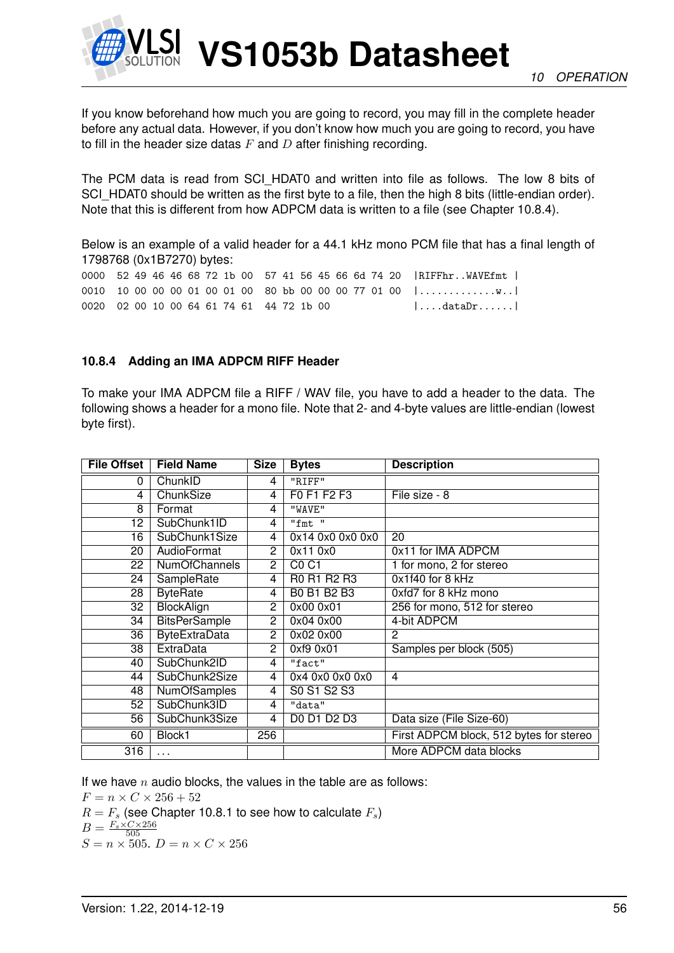

If you know beforehand how much you are going to record, you may fill in the complete header before any actual data. However, if you don't know how much you are going to record, you have to fill in the header size datas  $F$  and  $D$  after finishing recording.

The PCM data is read from SCI\_HDAT0 and written into file as follows. The low 8 bits of SCI HDAT0 should be written as the first byte to a file, then the high 8 bits (little-endian order). Note that this is different from how ADPCM data is written to a file (see Chapter 10.8.4).

Below is an example of a valid header for a 44.1 kHz mono PCM file that has a final length of 1798768 (0x1B7270) bytes:

0000 52 49 46 46 68 72 1b 00 57 41 56 45 66 6d 74 20 |RIFFhr..WAVEfmt | 0010 10 00 00 00 01 00 01 00 80 bb 00 00 00 77 01 00 |........................... 0020 02 00 10 00 64 61 74 61 44 72 1b 00 |....dataDr......

#### **10.8.4 Adding an IMA ADPCM RIFF Header**

To make your IMA ADPCM file a RIFF / WAV file, you have to add a header to the data. The following shows a header for a mono file. Note that 2- and 4-byte values are little-endian (lowest byte first).

| <b>File Offset</b> | <b>Field Name</b>    | <b>Size</b>    | <b>Bytes</b>     | <b>Description</b>                      |
|--------------------|----------------------|----------------|------------------|-----------------------------------------|
| 0                  | ChunkID              | 4              | "RIFF"           |                                         |
| 4                  | ChunkSize            | $\overline{4}$ | F0 F1 F2 F3      | File size - 8                           |
| 8                  | Format               | 4              | "WAVE"           |                                         |
| 12                 | SubChunk1ID          | 4              | "fmt"            |                                         |
| 16                 | SubChunk1Size        | $\overline{4}$ | 0x14 0x0 0x0 0x0 | $\overline{20}$                         |
| 20                 | <b>AudioFormat</b>   | $\overline{c}$ | 0x11 0x0         | 0x11 for IMA ADPCM                      |
| 22                 | <b>NumOfChannels</b> | 2              | <b>C0 C1</b>     | 1 for mono, 2 for stereo                |
| 24                 | SampleRate           | 4              | R0 R1 R2 R3      | 0x1f40 for 8 kHz                        |
| 28                 | <b>ByteRate</b>      | 4              | B0 B1 B2 B3      | 0xfd7 for 8 kHz mono                    |
| 32                 | BlockAlign           | 2              | 0x00 0x01        | 256 for mono, 512 for stereo            |
| 34                 | <b>BitsPerSample</b> | $\overline{2}$ | 0x04 0x00        | 4-bit ADPCM                             |
| 36                 | <b>ByteExtraData</b> | $\overline{2}$ | 0x02 0x00        | 2                                       |
| 38                 | ExtraData            | $\overline{2}$ | 0xf9 0x01        | Samples per block (505)                 |
| 40                 | SubChunk2ID          | 4              | "fact"           |                                         |
| 44                 | SubChunk2Size        | 4              | 0x4 0x0 0x0 0x0  | 4                                       |
| 48                 | <b>NumOfSamples</b>  | 4              | S0 S1 S2 S3      |                                         |
| 52                 | SubChunk3ID          | 4              | "data"           |                                         |
| 56                 | SubChunk3Size        | 4              | D0 D1 D2 D3      | Data size (File Size-60)                |
| 60                 | Block1               | 256            |                  | First ADPCM block, 512 bytes for stereo |
| 316                | $\cdots$             |                |                  | More ADPCM data blocks                  |

If we have  $n$  audio blocks, the values in the table are as follows:

 $F=n\times C\times 256+52$  $R = F<sub>s</sub>$  (see Chapter 10.8.1 to see how to calculate  $F<sub>s</sub>$ )  $B = \frac{F_s \times C \times 256}{505}$  $S = n \times 505$ .  $D = n \times C \times 256$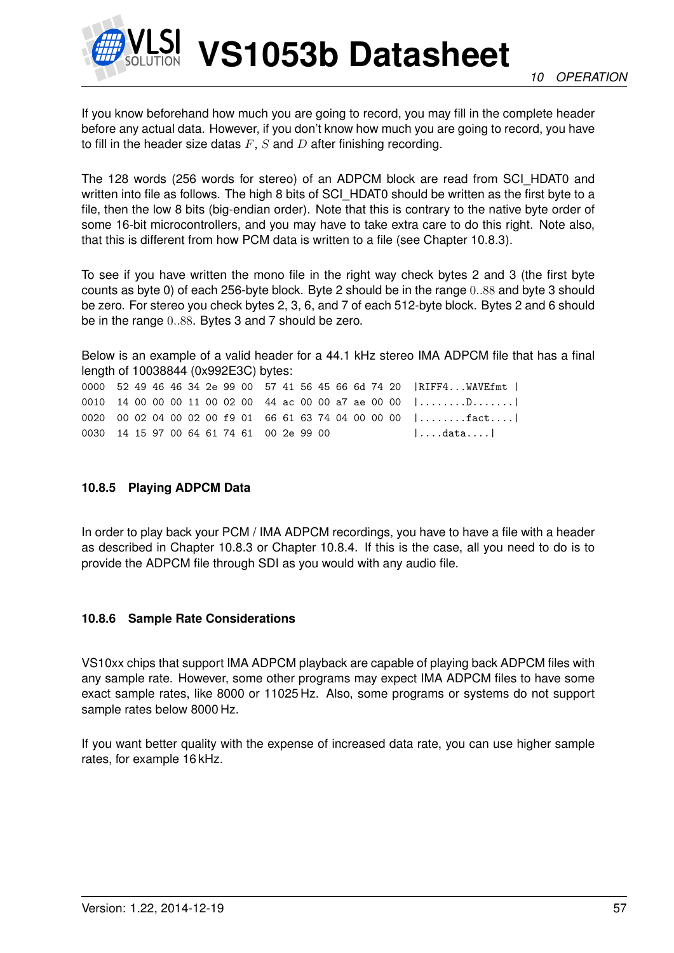

If you know beforehand how much you are going to record, you may fill in the complete header before any actual data. However, if you don't know how much you are going to record, you have to fill in the header size datas  $F$ ,  $S$  and  $D$  after finishing recording.

The 128 words (256 words for stereo) of an ADPCM block are read from SCI\_HDAT0 and written into file as follows. The high 8 bits of SCI\_HDAT0 should be written as the first byte to a file, then the low 8 bits (big-endian order). Note that this is contrary to the native byte order of some 16-bit microcontrollers, and you may have to take extra care to do this right. Note also, that this is different from how PCM data is written to a file (see Chapter 10.8.3).

To see if you have written the mono file in the right way check bytes 2 and 3 (the first byte counts as byte 0) of each 256-byte block. Byte 2 should be in the range 0..88 and byte 3 should be zero. For stereo you check bytes 2, 3, 6, and 7 of each 512-byte block. Bytes 2 and 6 should be in the range 0..88. Bytes 3 and 7 should be zero.

Below is an example of a valid header for a 44.1 kHz stereo IMA ADPCM file that has a final length of 10038844 (0x992E3C) bytes:

0000 52 49 46 46 34 2e 99 00 57 41 56 45 66 6d 74 20 |RIFF4...WAVEfmt | 0010 14 00 00 00 11 00 02 00 44 ac 00 00 a7 ae 00 00 |........D.......| 0020 00 02 04 00 02 00 f9 01 66 61 63 74 04 00 00 00 |........fact....| 0030 14 15 97 00 64 61 74 61 00 2e 99 00 |....data....|

#### **10.8.5 Playing ADPCM Data**

In order to play back your PCM / IMA ADPCM recordings, you have to have a file with a header as described in Chapter 10.8.3 or Chapter 10.8.4. If this is the case, all you need to do is to provide the ADPCM file through SDI as you would with any audio file.

#### **10.8.6 Sample Rate Considerations**

VS10xx chips that support IMA ADPCM playback are capable of playing back ADPCM files with any sample rate. However, some other programs may expect IMA ADPCM files to have some exact sample rates, like 8000 or 11025 Hz. Also, some programs or systems do not support sample rates below 8000 Hz.

If you want better quality with the expense of increased data rate, you can use higher sample rates, for example 16 kHz.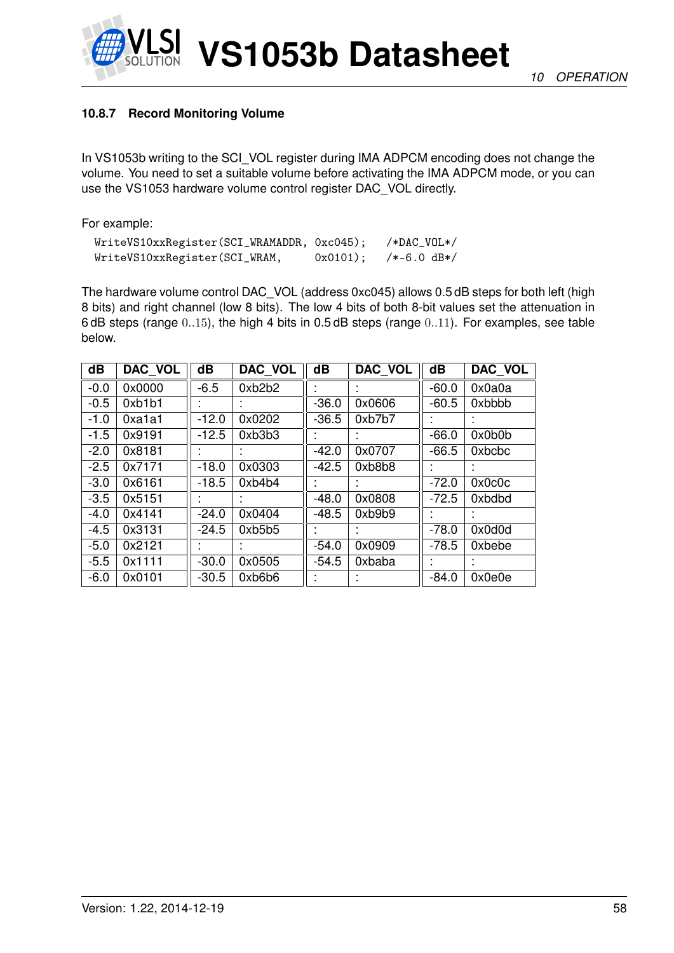

## **10.8.7 Record Monitoring Volume**

In VS1053b writing to the SCI\_VOL register during IMA ADPCM encoding does not change the volume. You need to set a suitable volume before activating the IMA ADPCM mode, or you can use the VS1053 hardware volume control register DAC\_VOL directly.

For example:

| WriteVS10xxRegister(SCI_WRAMADDR, 0xc045); |            | $/*DAC_VOL*/$ |
|--------------------------------------------|------------|---------------|
| WriteVS10xxRegister(SCI_WRAM,              | $0x0101$ : | $/*-6.0 dB*/$ |

The hardware volume control DAC\_VOL (address 0xc045) allows 0.5 dB steps for both left (high 8 bits) and right channel (low 8 bits). The low 4 bits of both 8-bit values set the attenuation in 6 dB steps (range 0..15), the high 4 bits in 0.5 dB steps (range 0..11). For examples, see table below.

| $\overline{\mathbf{d}}$ | DAC VOL | $\overline{\mathbf{d}}$ | <b>DAC VOL</b> | $\overline{\mathbf{d}}$ | DAC VOL | $\overline{\mathbf{d}}$ | <b>DAC VOL</b> |
|-------------------------|---------|-------------------------|----------------|-------------------------|---------|-------------------------|----------------|
| $-0.0$                  | 0x0000  | $-6.5$                  | 0xb2b2         |                         |         | $-60.0$                 | 0x0a0a         |
| $-0.5$                  | 0xb1b1  |                         |                | $-36.0$                 | 0x0606  | $-60.5$                 | 0xbbbb         |
| $-1.0$                  | 0xa1a1  | $-12.0$                 | 0x0202         | $-36.5$                 | 0xb7b7  |                         |                |
| $-1.5$                  | 0x9191  | $-12.5$                 | 0xb3b3         |                         |         | $-66.0$                 | 0x0b0b         |
| $-2.0$                  | 0x8181  |                         |                | $-42.0$                 | 0x0707  | $-66.5$                 | 0xbcbc         |
| $-2.5$                  | 0x7171  | $-18.0$                 | 0x0303         | $-42.5$                 | 0xb8b8  |                         |                |
| $-3.0$                  | 0x6161  | $-18.5$                 | 0xb4b4         |                         |         | $-72.0$                 | 0x0c0c         |
| $-3.5$                  | 0x5151  |                         |                | $-48.0$                 | 0x0808  | $-72.5$                 | 0xbdbd         |
| $-4.0$                  | 0x4141  | $-24.0$                 | 0x0404         | $-48.5$                 | 0xb9b9  |                         |                |
| $-4.5$                  | 0x3131  | $-24.5$                 | 0xb5b5         |                         |         | $-78.0$                 | 0x0d0d         |
| $-5.0$                  | 0x2121  |                         |                | $-54.0$                 | 0x0909  | $-78.5$                 | 0xbebe         |
| $-5.5$                  | 0x1111  | $-30.0$                 | 0x0505         | $-54.5$                 | 0xbaba  |                         |                |
| $-6.0$                  | 0x0101  | $-30.5$                 | 0xb6b6         |                         |         | $-84.0$                 | 0x0e0e         |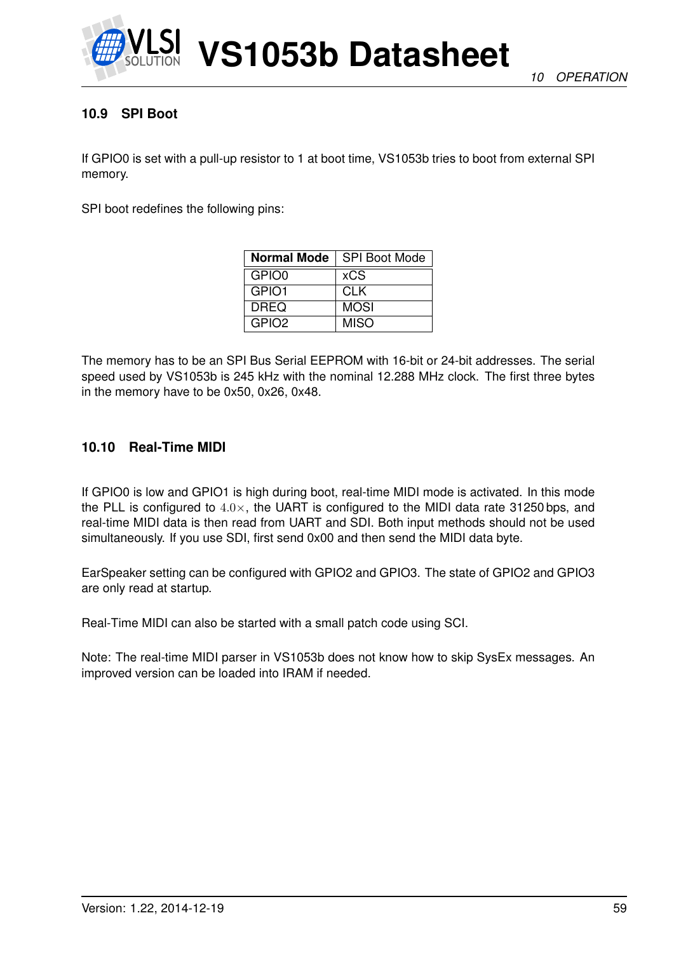

## **10.9 SPI Boot**

If GPIO0 is set with a pull-up resistor to 1 at boot time, VS1053b tries to boot from external SPI memory.

SPI boot redefines the following pins:

| <b>Normal Mode</b> | <b>SPI Boot Mode</b> |
|--------------------|----------------------|
| GPIO0              | <b>xCS</b>           |
| GPIO1              | <b>CLK</b>           |
| <b>DREQ</b>        | <b>MOSI</b>          |
| GPIO <sub>2</sub>  | <b>MISO</b>          |

The memory has to be an SPI Bus Serial EEPROM with 16-bit or 24-bit addresses. The serial speed used by VS1053b is 245 kHz with the nominal 12.288 MHz clock. The first three bytes in the memory have to be 0x50, 0x26, 0x48.

#### **10.10 Real-Time MIDI**

If GPIO0 is low and GPIO1 is high during boot, real-time MIDI mode is activated. In this mode the PLL is configured to  $4.0\times$ , the UART is configured to the MIDI data rate 31250 bps, and real-time MIDI data is then read from UART and SDI. Both input methods should not be used simultaneously. If you use SDI, first send 0x00 and then send the MIDI data byte.

EarSpeaker setting can be configured with GPIO2 and GPIO3. The state of GPIO2 and GPIO3 are only read at startup.

Real-Time MIDI can also be started with a small patch code using SCI.

Note: The real-time MIDI parser in VS1053b does not know how to skip SysEx messages. An improved version can be loaded into IRAM if needed.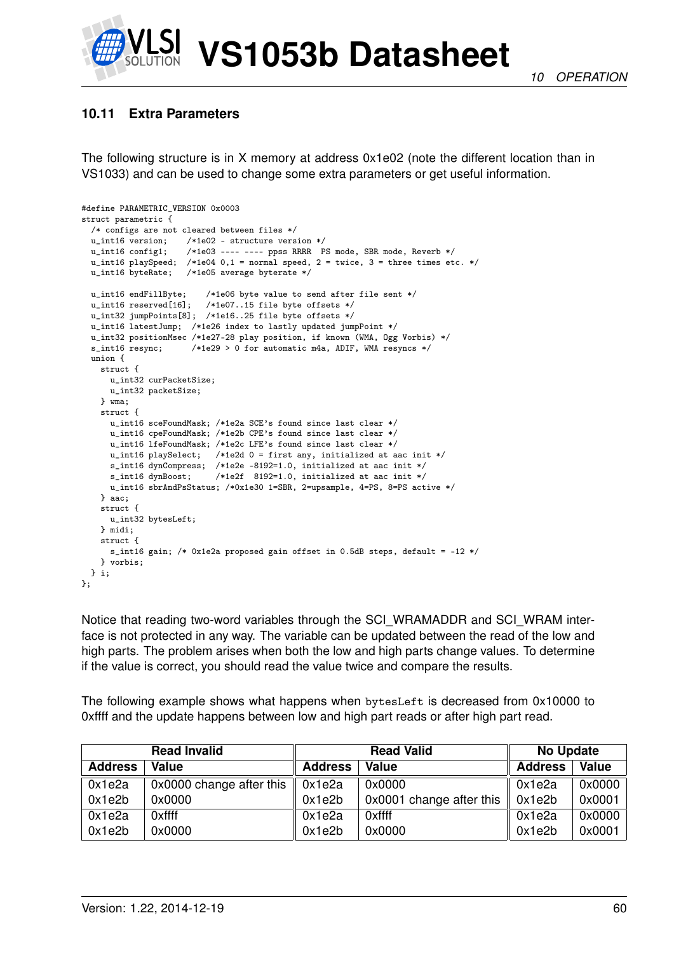

## **10.11 Extra Parameters**

The following structure is in X memory at address 0x1e02 (note the different location than in VS1033) and can be used to change some extra parameters or get useful information.

```
#define PARAMETRIC_VERSION 0x0003
struct parametric {
 /* configs are not cleared between files */
                    /*1e02 - structure version */
 u_int16 config1; /*1e03 ---- ---- ppss RRRR PS mode, SBR mode, Reverb */
  u_int16 playSpeed; /*1e04 0,1 = normal speed, 2 = twice, 3 = three times etc. */
 u_int16 byteRate; /*1e05 average byterate */
 u_int16 endFillByte; /*1e06 byte value to send after file sent */
  u_int16 reserved[16]; /*1e07..15 file byte offsets */
  u_int32 jumpPoints[8]; /*1e16..25 file byte offsets */
  u_int16 latestJump; /*1e26 index to lastly updated jumpPoint */
  u_int32 positionMsec /*1e27-28 play position, if known (WMA, Ogg Vorbis) */
  s int16 resync: /*1e29 > 0 for automatic m4a, ADIF, WMA resyncs */
  union {
   struct {
     u_int32 curPacketSize;
     u_int32 packetSize;
   } wma;
    struct {
     u_int16 sceFoundMask; /*1e2a SCE's found since last clear */
      u_int16 cpeFoundMask; /*1e2b CPE's found since last clear */
      u_int16 lfeFoundMask; /*1e2c LFE's found since last clear */
     u_int16 playSelect; /*1e2d 0 = first any, initialized at aac init */
     s_int16 dynCompress; /*1e2e -8192=1.0, initialized at aac init */<br>s_int16 dynBoost; /*1e2f 8192=1.0, initialized at aac init */
                           /*1e2f 8192=1.0, initialized at aac init */
     u_int16 sbrAndPsStatus; /*0x1e30 1=SBR, 2=upsample, 4=PS, 8=PS active */
   } aac;
   struct {
     u_int32 bytesLeft;
   } midi;
   struct {
     s_int16 gain; /* 0x1e2a proposed gain offset in 0.5dB steps, default = -12 */
   } vorbis;
 } i;
};
```
Notice that reading two-word variables through the SCI\_WRAMADDR and SCI\_WRAM interface is not protected in any way. The variable can be updated between the read of the low and high parts. The problem arises when both the low and high parts change values. To determine if the value is correct, you should read the value twice and compare the results.

The following example shows what happens when bytesLeft is decreased from 0x10000 to 0xffff and the update happens between low and high part reads or after high part read.

|                | <b>Read Invalid</b>      |                | <b>Read Valid</b>        | <b>No Update</b> |        |
|----------------|--------------------------|----------------|--------------------------|------------------|--------|
| <b>Address</b> | <b>Value</b>             | <b>Address</b> | Value                    | <b>Address</b>   | Value  |
| 0x1e2a         | 0x0000 change after this | 0x1e2a         | 0x0000                   | 0x1e2a           | 0x0000 |
| 0x1e2b         | 0x0000                   | 0x1e2b         | 0x0001 change after this | 0x1e2b           | 0x0001 |
| 0x1e2a         | 0xffff                   | 0x1e2a         | 0xffff                   | 0x1e2a           | 0x0000 |
| 0x1e2b         | 0x0000                   | 0x1e2b         | 0x0000                   | 0x1e2b           | 0x0001 |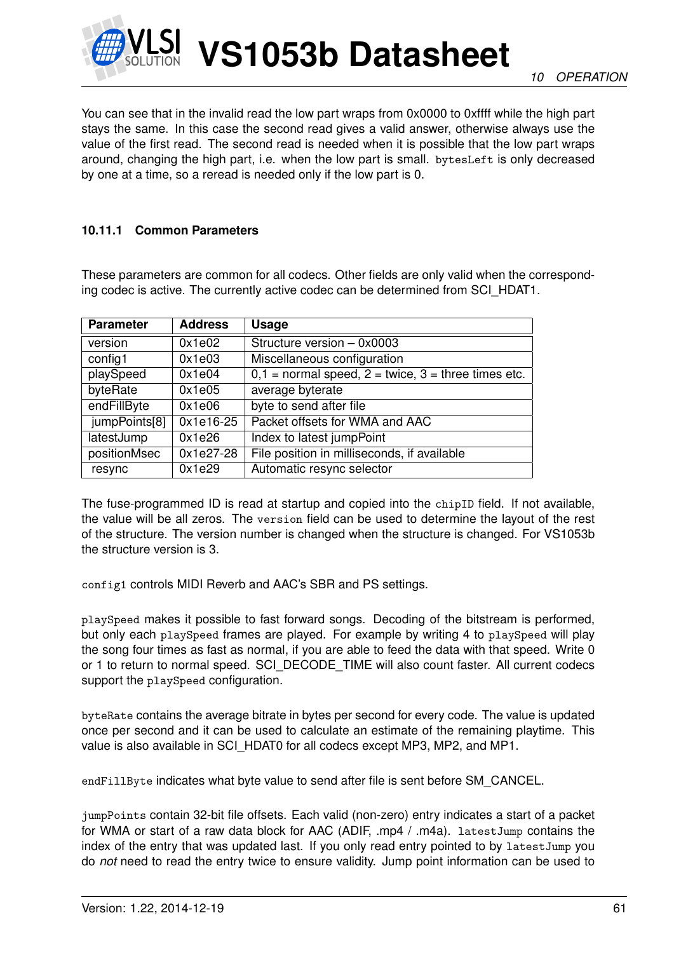

You can see that in the invalid read the low part wraps from 0x0000 to 0xffff while the high part stays the same. In this case the second read gives a valid answer, otherwise always use the value of the first read. The second read is needed when it is possible that the low part wraps around, changing the high part, i.e. when the low part is small. bytesLeft is only decreased by one at a time, so a reread is needed only if the low part is 0.

#### **10.11.1 Common Parameters**

These parameters are common for all codecs. Other fields are only valid when the corresponding codec is active. The currently active codec can be determined from SCI\_HDAT1.

| <b>Parameter</b> | <b>Address</b> | <b>Usage</b>                                              |
|------------------|----------------|-----------------------------------------------------------|
| version          | 0x1e02         | Structure version - 0x0003                                |
| config1          | 0x1e03         | Miscellaneous configuration                               |
| playSpeed        | 0x1e04         | $0,1 =$ normal speed, $2 =$ twice, $3 =$ three times etc. |
| byteRate         | 0x1e05         | average byterate                                          |
| endFillByte      | 0x1e06         | byte to send after file                                   |
| jumpPoints[8]    | 0x1e16-25      | Packet offsets for WMA and AAC                            |
| latestJump       | 0x1e26         | Index to latest jumpPoint                                 |
| positionMsec     | $0x1e27-28$    | File position in milliseconds, if available               |
| resync           | 0x1e29         | Automatic resync selector                                 |

The fuse-programmed ID is read at startup and copied into the chipID field. If not available, the value will be all zeros. The version field can be used to determine the layout of the rest of the structure. The version number is changed when the structure is changed. For VS1053b the structure version is 3.

config1 controls MIDI Reverb and AAC's SBR and PS settings.

playSpeed makes it possible to fast forward songs. Decoding of the bitstream is performed, but only each playSpeed frames are played. For example by writing 4 to playSpeed will play the song four times as fast as normal, if you are able to feed the data with that speed. Write 0 or 1 to return to normal speed. SCI\_DECODE\_TIME will also count faster. All current codecs support the playSpeed configuration.

byteRate contains the average bitrate in bytes per second for every code. The value is updated once per second and it can be used to calculate an estimate of the remaining playtime. This value is also available in SCI\_HDAT0 for all codecs except MP3, MP2, and MP1.

endFillByte indicates what byte value to send after file is sent before SM\_CANCEL.

jumpPoints contain 32-bit file offsets. Each valid (non-zero) entry indicates a start of a packet for WMA or start of a raw data block for AAC (ADIF, .mp4 / .m4a). latestJump contains the index of the entry that was updated last. If you only read entry pointed to by latestJump you do *not* need to read the entry twice to ensure validity. Jump point information can be used to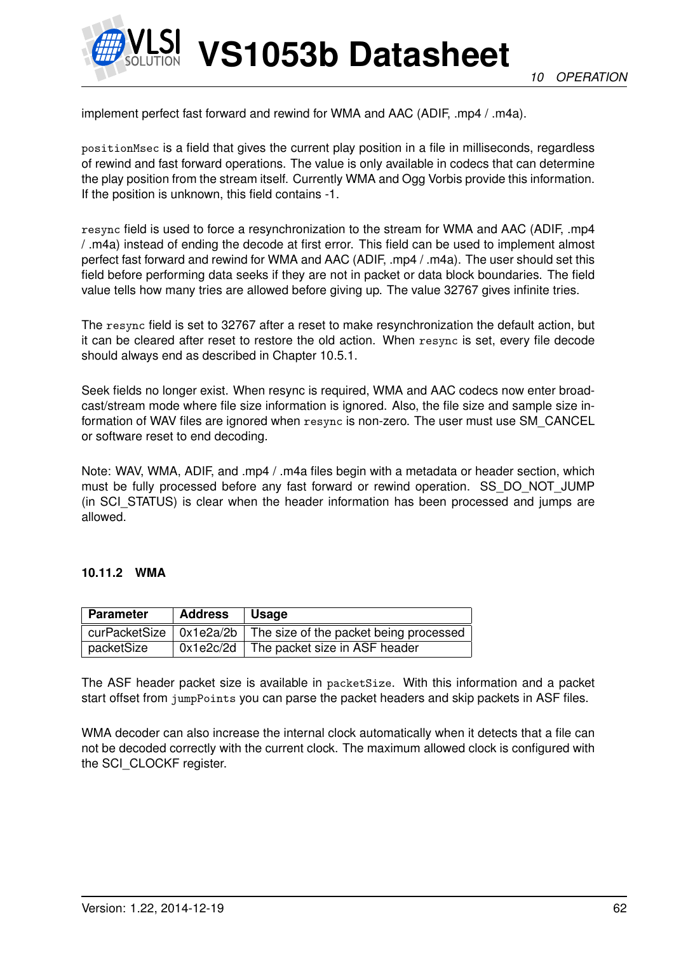

implement perfect fast forward and rewind for WMA and AAC (ADIF, .mp4 / .m4a).

positionMsec is a field that gives the current play position in a file in milliseconds, regardless of rewind and fast forward operations. The value is only available in codecs that can determine the play position from the stream itself. Currently WMA and Ogg Vorbis provide this information. If the position is unknown, this field contains -1.

resync field is used to force a resynchronization to the stream for WMA and AAC (ADIF, .mp4 / .m4a) instead of ending the decode at first error. This field can be used to implement almost perfect fast forward and rewind for WMA and AAC (ADIF, .mp4 / .m4a). The user should set this field before performing data seeks if they are not in packet or data block boundaries. The field value tells how many tries are allowed before giving up. The value 32767 gives infinite tries.

The resync field is set to 32767 after a reset to make resynchronization the default action, but it can be cleared after reset to restore the old action. When resync is set, every file decode should always end as described in Chapter 10.5.1.

Seek fields no longer exist. When resync is required, WMA and AAC codecs now enter broadcast/stream mode where file size information is ignored. Also, the file size and sample size information of WAV files are ignored when resync is non-zero. The user must use SM\_CANCEL or software reset to end decoding.

Note: WAV, WMA, ADIF, and .mp4 / .m4a files begin with a metadata or header section, which must be fully processed before any fast forward or rewind operation. SS\_DO\_NOT\_JUMP (in SCI STATUS) is clear when the header information has been processed and jumps are allowed.

#### **10.11.2 WMA**

| <b>Parameter</b> | <b>Address</b> | $\vert$ Usage                                                                  |
|------------------|----------------|--------------------------------------------------------------------------------|
|                  |                | curPacketSize $\vert$ 0x1e2a/2b $\vert$ The size of the packet being processed |
| packetSize       |                | $0x1e2c/2d$ The packet size in ASF header                                      |

The ASF header packet size is available in packetSize. With this information and a packet start offset from jumpPoints you can parse the packet headers and skip packets in ASF files.

WMA decoder can also increase the internal clock automatically when it detects that a file can not be decoded correctly with the current clock. The maximum allowed clock is configured with the SCI\_CLOCKF register.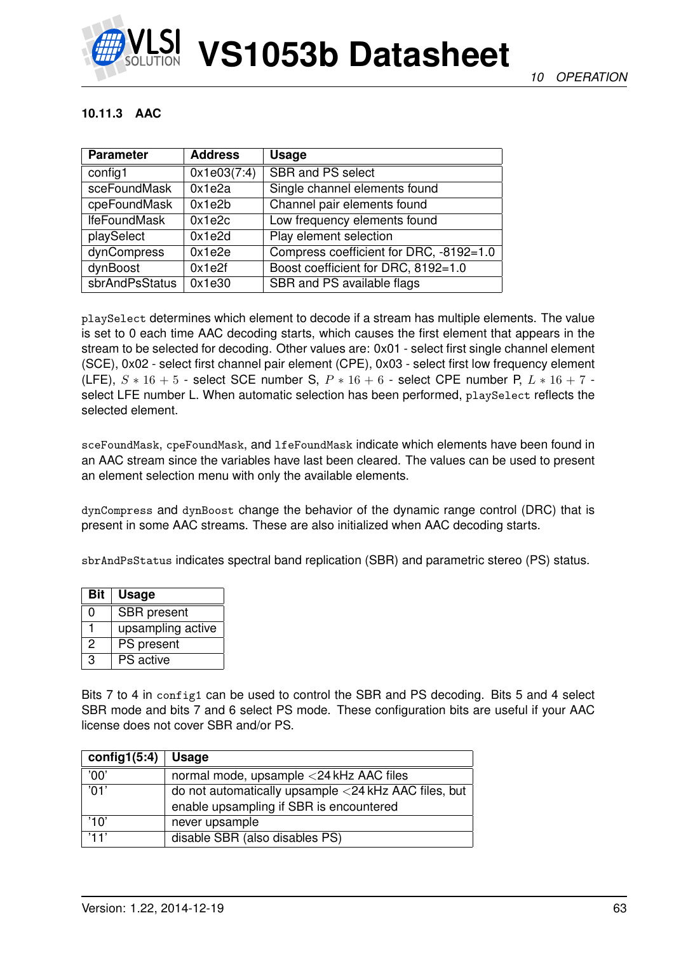

#### **10.11.3 AAC**

| <b>Parameter</b>    | <b>Address</b> | <b>Usage</b>                            |
|---------------------|----------------|-----------------------------------------|
| config1             | 0x1e03(7:4)    | <b>SBR and PS select</b>                |
| sceFoundMask        | 0x1e2a         | Single channel elements found           |
| cpeFoundMask        | 0x1e2b         | Channel pair elements found             |
| <b>IfeFoundMask</b> | 0x1e2c         | Low frequency elements found            |
| playSelect          | 0x1e2d         | Play element selection                  |
| dynCompress         | 0x1e2e         | Compress coefficient for DRC, -8192=1.0 |
| dynBoost            | 0x1e2f         | Boost coefficient for DRC, 8192=1.0     |
| sbrAndPsStatus      | 0x1e30         | SBR and PS available flags              |

playSelect determines which element to decode if a stream has multiple elements. The value is set to 0 each time AAC decoding starts, which causes the first element that appears in the stream to be selected for decoding. Other values are: 0x01 - select first single channel element (SCE), 0x02 - select first channel pair element (CPE), 0x03 - select first low frequency element (LFE),  $S * 16 + 5$  - select SCE number S,  $P * 16 + 6$  - select CPE number P,  $L * 16 + 7$  select LFE number L. When automatic selection has been performed, playSelect reflects the selected element.

sceFoundMask, cpeFoundMask, and lfeFoundMask indicate which elements have been found in an AAC stream since the variables have last been cleared. The values can be used to present an element selection menu with only the available elements.

dynCompress and dynBoost change the behavior of the dynamic range control (DRC) that is present in some AAC streams. These are also initialized when AAC decoding starts.

sbrAndPsStatus indicates spectral band replication (SBR) and parametric stereo (PS) status.

| <b>Bit</b> | <b>Usage</b>       |
|------------|--------------------|
| ი          | <b>SBR</b> present |
|            | upsampling active  |
| 2          | PS present         |
| З          | <b>PS</b> active   |

Bits 7 to 4 in config1 can be used to control the SBR and PS decoding. Bits 5 and 4 select SBR mode and bits 7 and 6 select PS mode. These configuration bits are useful if your AAC license does not cover SBR and/or PS.

| config1 $(5:4)$ | Usage                                                |
|-----------------|------------------------------------------------------|
| '00'            | normal mode, upsample <24 kHz AAC files              |
| $^{\prime}$ 01' | do not automatically upsample <24 kHz AAC files, but |
|                 | enable upsampling if SBR is encountered              |
| '10'            | never upsample                                       |
| '11'            | disable SBR (also disables PS)                       |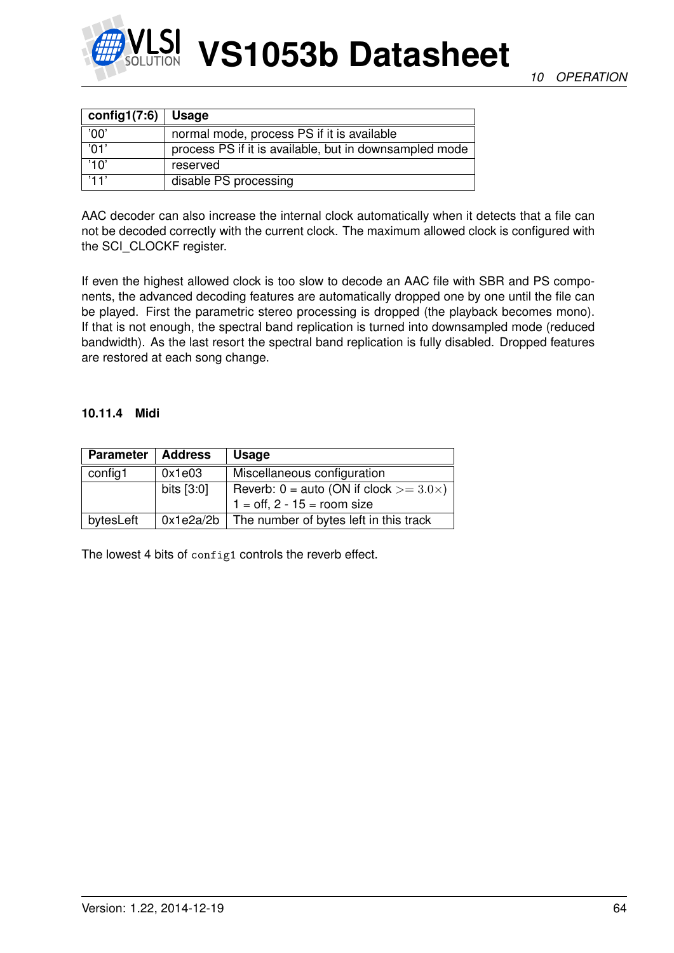

| config1(7:6) $\vert$ | <b>Usage</b>                                           |
|----------------------|--------------------------------------------------------|
| '00'                 | normal mode, process PS if it is available             |
| '01'                 | process PS if it is available, but in downsampled mode |
| '10'                 | reserved                                               |
| '11'                 | disable PS processing                                  |

AAC decoder can also increase the internal clock automatically when it detects that a file can not be decoded correctly with the current clock. The maximum allowed clock is configured with the SCI\_CLOCKF register.

If even the highest allowed clock is too slow to decode an AAC file with SBR and PS components, the advanced decoding features are automatically dropped one by one until the file can be played. First the parametric stereo processing is dropped (the playback becomes mono). If that is not enough, the spectral band replication is turned into downsampled mode (reduced bandwidth). As the last resort the spectral band replication is fully disabled. Dropped features are restored at each song change.

#### **10.11.4 Midi**

| <b>Parameter</b> | <b>Address</b> | <b>Usage</b>                                       |  |
|------------------|----------------|----------------------------------------------------|--|
| config1          | 0x1e03         | Miscellaneous configuration                        |  |
|                  | bits $[3:0]$   | Reverb: $0 =$ auto (ON if clock $> = 3.0 \times$ ) |  |
|                  |                | $1 = \text{off}, 2 - 15 = \text{room size}$        |  |
| bytesLeft        |                | $0x1e2a/2b$ The number of bytes left in this track |  |

The lowest 4 bits of config1 controls the reverb effect.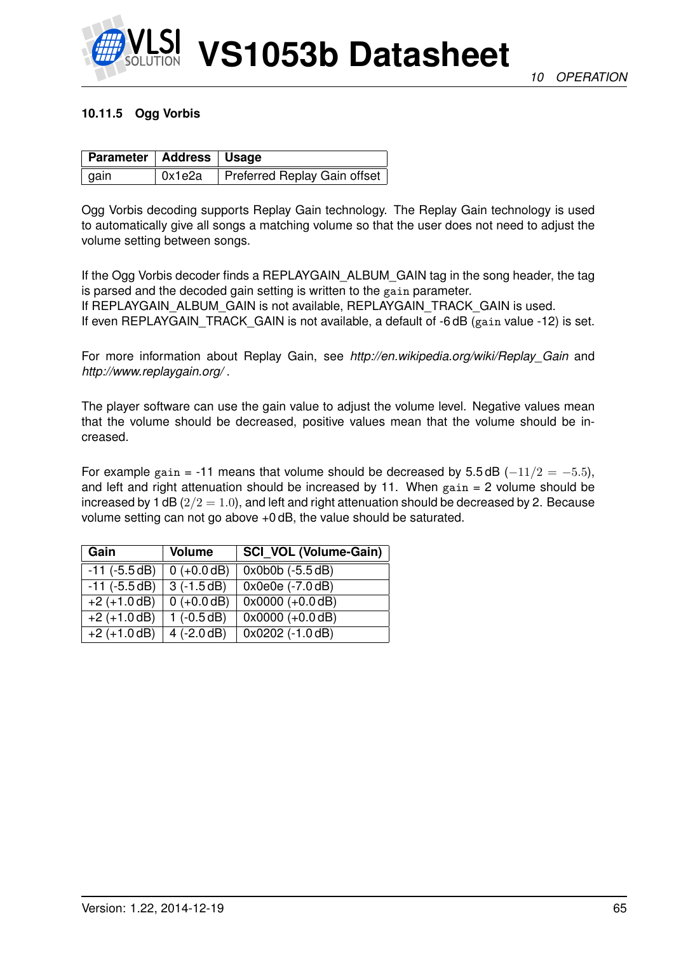

#### **10.11.5 Ogg Vorbis**

| <b>Parameter   Address   Usage</b> |        |                              |
|------------------------------------|--------|------------------------------|
| gain                               | 0x1e2a | Preferred Replay Gain offset |

Ogg Vorbis decoding supports Replay Gain technology. The Replay Gain technology is used to automatically give all songs a matching volume so that the user does not need to adjust the volume setting between songs.

If the Ogg Vorbis decoder finds a REPLAYGAIN ALBUM GAIN tag in the song header, the tag is parsed and the decoded gain setting is written to the gain parameter. If REPLAYGAIN\_ALBUM\_GAIN is not available, REPLAYGAIN\_TRACK\_GAIN is used. If even REPLAYGAIN\_TRACK\_GAIN is not available, a default of -6 dB (gain value -12) is set.

For more information about Replay Gain, see *http://en.wikipedia.org/wiki/Replay\_Gain* and *http://www.replaygain.org/* .

The player software can use the gain value to adjust the volume level. Negative values mean that the volume should be decreased, positive values mean that the volume should be increased.

For example gain = -11 means that volume should be decreased by 5.5 dB ( $-11/2 = -5.5$ ), and left and right attenuation should be increased by 11. When  $gain = 2$  volume should be increased by 1 dB ( $2/2 = 1.0$ ), and left and right attenuation should be decreased by 2. Because volume setting can not go above +0 dB, the value should be saturated.

| Gain               | <b>Volume</b> | <b>SCI_VOL (Volume-Gain)</b> |
|--------------------|---------------|------------------------------|
| $-11$ ( $-5.5$ dB) | $0 (+0.0 dB)$ | $0x0b0b (-5.5 dB)$           |
| $-11$ ( $-5.5$ dB) | $3(-1.5dB)$   | 0x0e0e (-7.0 dB)             |
| $+2 (+1.0 dB)$     | $0 (+0.0 dB)$ | $0x0000 (+0.0 dB)$           |
| $+2 (+1.0 dB)$     | $1(-0.5dB)$   | $0x0000 (+0.0 dB)$           |
| $+2 (+1.0 dB)$     | $4 (-2.0 dB)$ | $0x0202$ (-1.0 dB)           |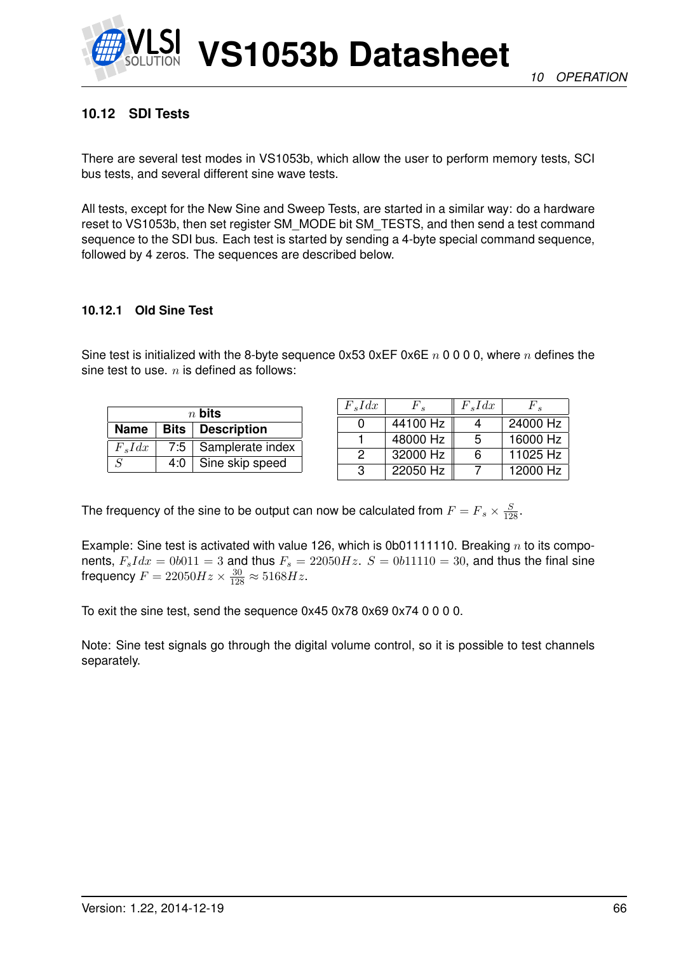

## **10.12 SDI Tests**

There are several test modes in VS1053b, which allow the user to perform memory tests, SCI bus tests, and several different sine wave tests.

All tests, except for the New Sine and Sweep Tests, are started in a similar way: do a hardware reset to VS1053b, then set register SM\_MODE bit SM\_TESTS, and then send a test command sequence to the SDI bus. Each test is started by sending a 4-byte special command sequence, followed by 4 zeros. The sequences are described below.

#### **10.12.1 Old Sine Test**

Sine test is initialized with the 8-byte sequence 0x53 0xEF 0x6E  $n$  0 0 0 0, where  $n$  defines the sine test to use.  $n$  is defined as follows:

| $n$ bits                  |     |                        |  |  |
|---------------------------|-----|------------------------|--|--|
| Name   Bits   Description |     |                        |  |  |
| $F_s I dx$                |     | 7:5   Samplerate index |  |  |
| $\mathcal{S}$             | 4:0 | Sine skip speed        |  |  |

| $F_s I dx$ | $F_{\rm e}$ | $F_s I dx$ | $F$ .    |
|------------|-------------|------------|----------|
|            | 44100 Hz    |            | 24000 Hz |
|            | 48000 Hz    | 5          | 16000 Hz |
| 2          | 32000 Hz    | ิค         | 11025 Hz |
| З          | 22050 Hz    |            | 12000 Hz |

The frequency of the sine to be output can now be calculated from  $F = F_s \times \frac{S}{128}$ .

Example: Sine test is activated with value 126, which is 0b01111110. Breaking  $n$  to its components,  $F_s I dx = 0b011 = 3$  and thus  $F_s = 22050 Hz$ .  $S = 0b11110 = 30$ , and thus the final sine frequency  $F = 22050Hz \times \frac{30}{128} \approx 5168Hz$ .

To exit the sine test, send the sequence 0x45 0x78 0x69 0x74 0 0 0 0.

Note: Sine test signals go through the digital volume control, so it is possible to test channels separately.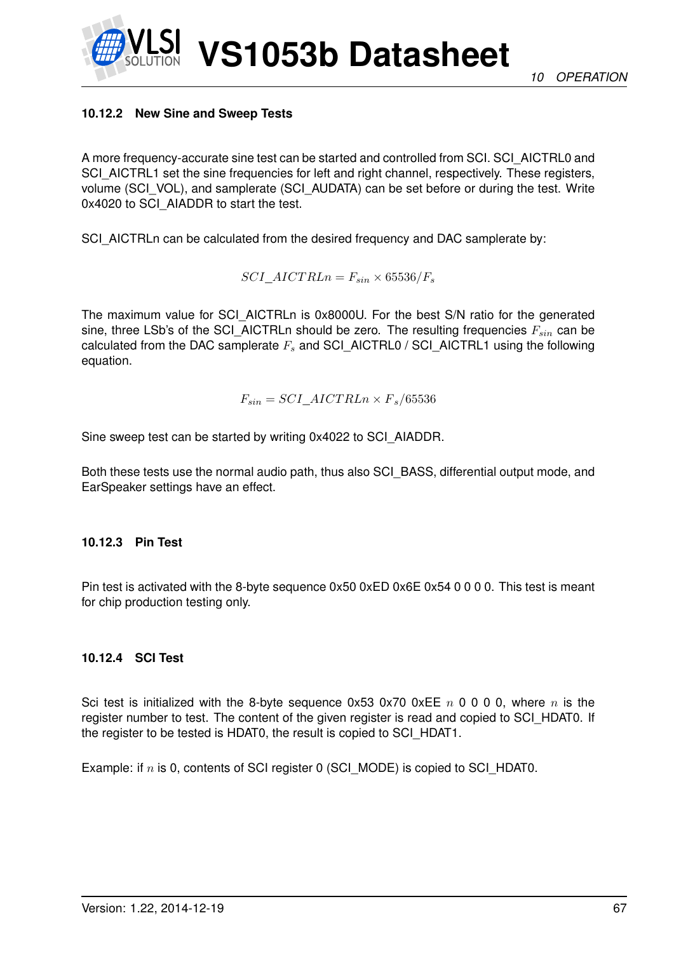*10 OPERATION*

#### **10.12.2 New Sine and Sweep Tests**

A more frequency-accurate sine test can be started and controlled from SCI. SCI\_AICTRL0 and SCI\_AICTRL1 set the sine frequencies for left and right channel, respectively. These registers, volume (SCI\_VOL), and samplerate (SCI\_AUDATA) can be set before or during the test. Write 0x4020 to SCI\_AIADDR to start the test.

**VS1053b Datasheet**

SCI\_AICTRLn can be calculated from the desired frequency and DAC samplerate by:

 $SCI\_AICT RLn = F_{sin} \times 65536/F_s$ 

The maximum value for SCI\_AICTRLn is 0x8000U. For the best S/N ratio for the generated sine, three LSb's of the SCI\_AICTRLn should be zero. The resulting frequencies  $F_{sin}$  can be calculated from the DAC samplerate  $F_s$  and SCI\_AICTRL0 / SCI\_AICTRL1 using the following equation.

$$
F_{sin} = SCI\_AICTRLn \times F_s/65536
$$

Sine sweep test can be started by writing 0x4022 to SCI\_AIADDR.

Both these tests use the normal audio path, thus also SCI BASS, differential output mode, and EarSpeaker settings have an effect.

#### **10.12.3 Pin Test**

Pin test is activated with the 8-byte sequence 0x50 0xED 0x6E 0x54 0 0 0 0. This test is meant for chip production testing only.

#### **10.12.4 SCI Test**

Sci test is initialized with the 8-byte sequence  $0x53 0x70 0xEE n 0 0 0$ , where n is the register number to test. The content of the given register is read and copied to SCI\_HDAT0. If the register to be tested is HDAT0, the result is copied to SCI\_HDAT1.

Example: if  $n$  is 0, contents of SCI register 0 (SCI\_MODE) is copied to SCI\_HDAT0.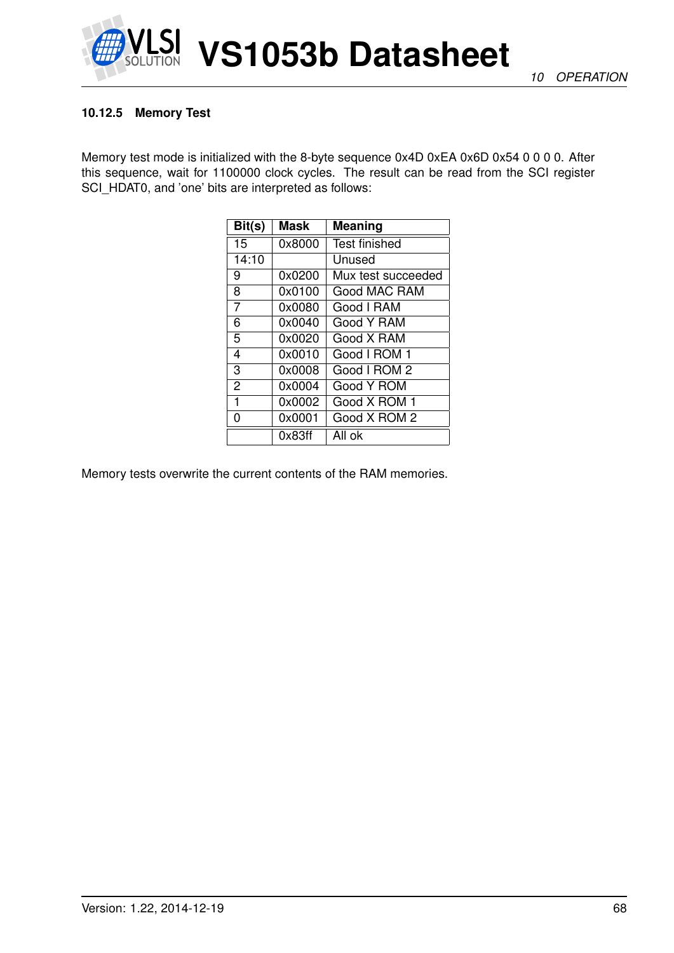

#### **10.12.5 Memory Test**

Memory test mode is initialized with the 8-byte sequence 0x4D 0xEA 0x6D 0x54 0 0 0 0. After this sequence, wait for 1100000 clock cycles. The result can be read from the SCI register SCI\_HDAT0, and 'one' bits are interpreted as follows:

| Bit(s)         | <b>Mask</b> | <b>Meaning</b>       |
|----------------|-------------|----------------------|
| 15             | 0x8000      | <b>Test finished</b> |
| 14:10          |             | Unused               |
| 9              | 0x0200      | Mux test succeeded   |
| 8              | 0x0100      | Good MAC RAM         |
| $\overline{7}$ | 0x0080      | Good I RAM           |
| 6              | 0x0040      | Good Y RAM           |
| 5              | 0x0020      | Good X RAM           |
| 4              | 0x0010      | Good I ROM 1         |
| 3              | 0x0008      | Good I ROM 2         |
| $\overline{2}$ | 0x0004      | Good Y ROM           |
| 1              | 0x0002      | Good X ROM 1         |
| 0              | 0x0001      | Good X ROM 2         |
|                | 0x83ff      | All ok               |

Memory tests overwrite the current contents of the RAM memories.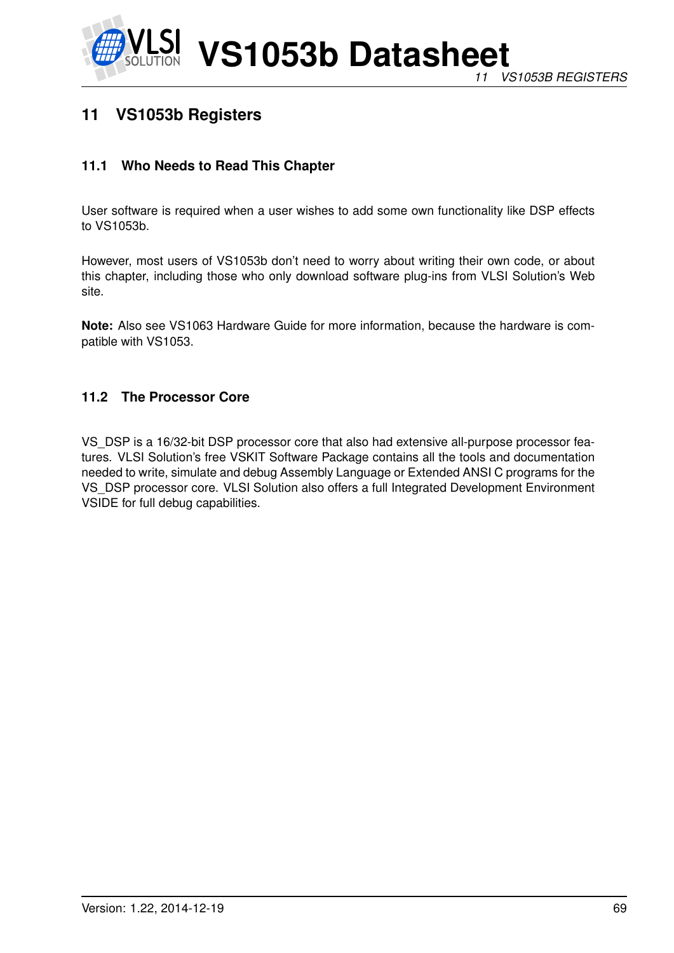

# **11 VS1053b Registers**

## **11.1 Who Needs to Read This Chapter**

User software is required when a user wishes to add some own functionality like DSP effects to VS1053b.

However, most users of VS1053b don't need to worry about writing their own code, or about this chapter, including those who only download software plug-ins from VLSI Solution's Web site.

**Note:** Also see VS1063 Hardware Guide for more information, because the hardware is compatible with VS1053.

#### **11.2 The Processor Core**

VS\_DSP is a 16/32-bit DSP processor core that also had extensive all-purpose processor features. VLSI Solution's free VSKIT Software Package contains all the tools and documentation needed to write, simulate and debug Assembly Language or Extended ANSI C programs for the VS\_DSP processor core. VLSI Solution also offers a full Integrated Development Environment VSIDE for full debug capabilities.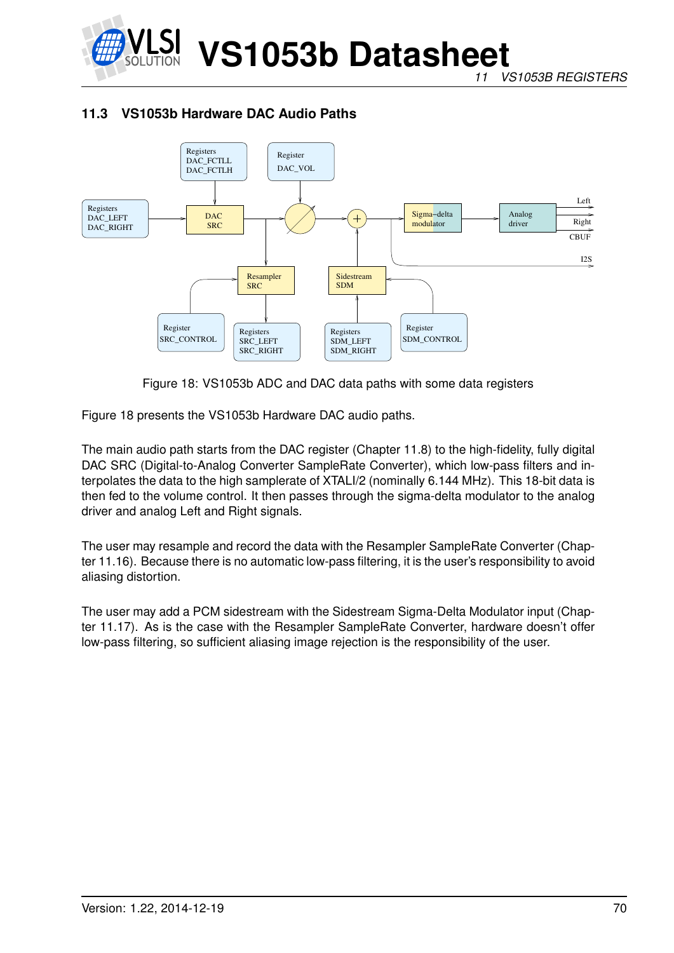

*11 VS1053B REGISTERS*

## **11.3 VS1053b Hardware DAC Audio Paths**



Figure 18: VS1053b ADC and DAC data paths with some data registers

Figure 18 presents the VS1053b Hardware DAC audio paths.

The main audio path starts from the DAC register (Chapter 11.8) to the high-fidelity, fully digital DAC SRC (Digital-to-Analog Converter SampleRate Converter), which low-pass filters and interpolates the data to the high samplerate of XTALI/2 (nominally 6.144 MHz). This 18-bit data is then fed to the volume control. It then passes through the sigma-delta modulator to the analog driver and analog Left and Right signals.

The user may resample and record the data with the Resampler SampleRate Converter (Chapter 11.16). Because there is no automatic low-pass filtering, it is the user's responsibility to avoid aliasing distortion.

The user may add a PCM sidestream with the Sidestream Sigma-Delta Modulator input (Chapter 11.17). As is the case with the Resampler SampleRate Converter, hardware doesn't offer low-pass filtering, so sufficient aliasing image rejection is the responsibility of the user.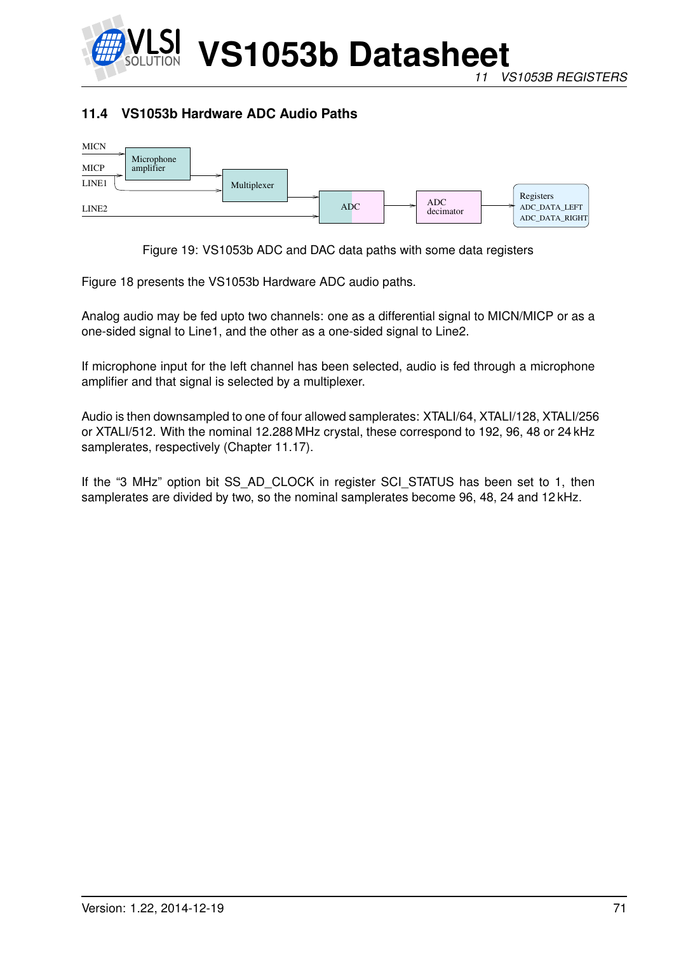

## **11.4 VS1053b Hardware ADC Audio Paths**



Figure 19: VS1053b ADC and DAC data paths with some data registers

Figure 18 presents the VS1053b Hardware ADC audio paths.

Analog audio may be fed upto two channels: one as a differential signal to MICN/MICP or as a one-sided signal to Line1, and the other as a one-sided signal to Line2.

If microphone input for the left channel has been selected, audio is fed through a microphone amplifier and that signal is selected by a multiplexer.

Audio is then downsampled to one of four allowed samplerates: XTALI/64, XTALI/128, XTALI/256 or XTALI/512. With the nominal 12.288 MHz crystal, these correspond to 192, 96, 48 or 24 kHz samplerates, respectively (Chapter 11.17).

If the "3 MHz" option bit SS\_AD\_CLOCK in register SCI\_STATUS has been set to 1, then samplerates are divided by two, so the nominal samplerates become 96, 48, 24 and 12 kHz.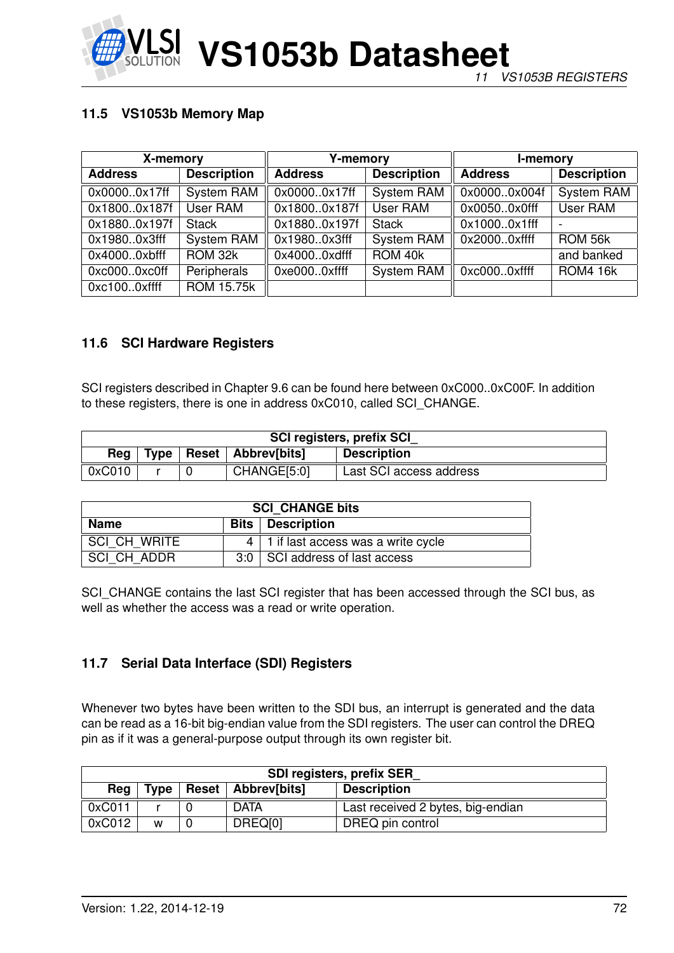

## **11.5 VS1053b Memory Map**

| X-memory       |                    | <b>Y-memory</b> |                    | I-memory       |                    |
|----------------|--------------------|-----------------|--------------------|----------------|--------------------|
| <b>Address</b> | <b>Description</b> | <b>Address</b>  | <b>Description</b> | <b>Address</b> | <b>Description</b> |
| 0x00000x17ff   | System RAM         | 0x00000x17ff    | <b>System RAM</b>  | 0x00000x004f   | <b>System RAM</b>  |
| 0x18000x187f   | User RAM           | 0x18000x187f    | User RAM           | 0x00500x0fff   | User RAM           |
| 0x18800x197f   | <b>Stack</b>       | 0x18800x197f    | <b>Stack</b>       | 0x10000x1fff   |                    |
| 0x19800x3fff   | <b>System RAM</b>  | 0x19800x3fff    | <b>System RAM</b>  | 0x20000xffff   | ROM 56k            |
| 0x40000xbfff   | ROM 32k            | 0x40000xdfff    | ROM 40k            |                | and banked         |
| 0xc0000xc0ff   | Peripherals        | 0xe0000xffff    | <b>System RAM</b>  | 0xc0000xffff   | <b>ROM4 16k</b>    |
| 0xc1000xffff   | <b>ROM 15.75k</b>  |                 |                    |                |                    |

#### **11.6 SCI Hardware Registers**

SCI registers described in Chapter 9.6 can be found here between 0xC000..0xC00F. In addition to these registers, there is one in address 0xC010, called SCI\_CHANGE.

| <b>SCI registers, prefix SCI</b> |                                                           |  |             |                         |  |  |
|----------------------------------|-----------------------------------------------------------|--|-------------|-------------------------|--|--|
| Rea                              | <b>Reset Abbrev[bits]</b><br>Type  <br><b>Description</b> |  |             |                         |  |  |
| 0xC010                           |                                                           |  | CHANGE[5:0] | Last SCI access address |  |  |

| <b>SCI CHANGE bits</b>                        |  |                                             |  |  |
|-----------------------------------------------|--|---------------------------------------------|--|--|
| <b>Bits   Description</b><br>Name             |  |                                             |  |  |
| SCI CH WRITE                                  |  | $4 \mid 1$ if last access was a write cycle |  |  |
| SCI CH ADDR<br>3:0 SCI address of last access |  |                                             |  |  |

SCI\_CHANGE contains the last SCI register that has been accessed through the SCI bus, as well as whether the access was a read or write operation.

#### **11.7 Serial Data Interface (SDI) Registers**

Whenever two bytes have been written to the SDI bus, an interrupt is generated and the data can be read as a 16-bit big-endian value from the SDI registers. The user can control the DREQ pin as if it was a general-purpose output through its own register bit.

| <b>SDI registers, prefix SER</b> |             |  |                      |                                   |
|----------------------------------|-------------|--|----------------------|-----------------------------------|
| Rea                              | <b>Type</b> |  | Reset   Abbrev[bits] | <b>Description</b>                |
| 0xC011                           |             |  | <b>DATA</b>          | Last received 2 bytes, big-endian |
| 0xC012                           | W           |  | DREQ[0]              | DREQ pin control                  |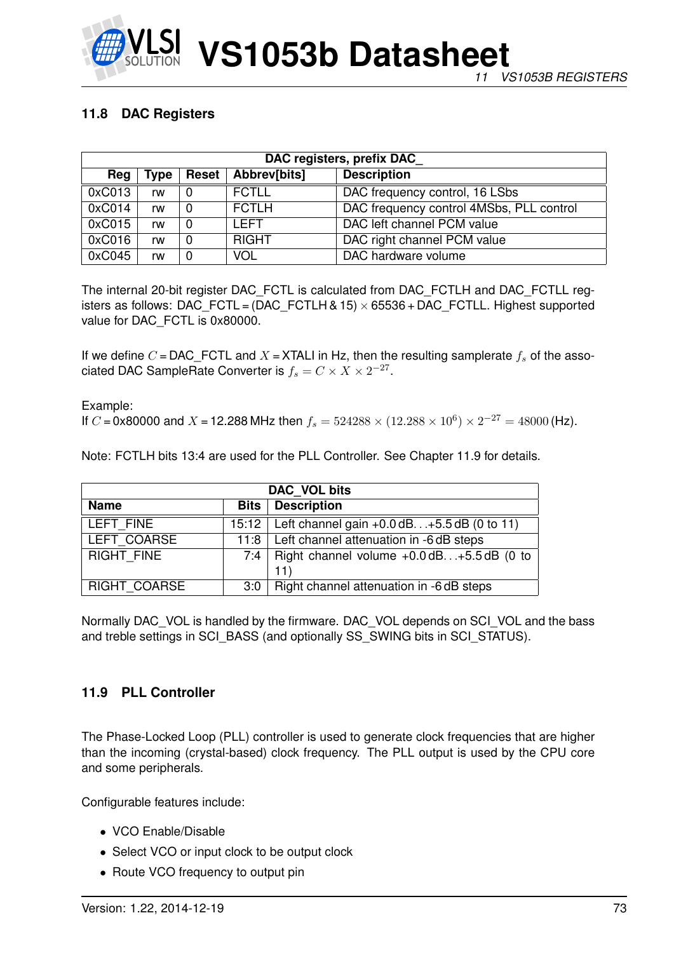

# **11.8 DAC Registers**

| DAC registers, prefix DAC                                         |    |   |              |                                          |  |  |  |  |
|-------------------------------------------------------------------|----|---|--------------|------------------------------------------|--|--|--|--|
| <b>Description</b><br>Abbrev[bits]<br>Reg<br><b>Reset</b><br>Type |    |   |              |                                          |  |  |  |  |
| 0xC013                                                            | rw |   | <b>FCTLL</b> | DAC frequency control, 16 LSbs           |  |  |  |  |
| 0xC014                                                            | rw |   | <b>FCTLH</b> | DAC frequency control 4MSbs, PLL control |  |  |  |  |
| 0xC015                                                            | rw | 0 | I FFT        | DAC left channel PCM value               |  |  |  |  |
| 0xC016                                                            | rw |   | <b>RIGHT</b> | DAC right channel PCM value              |  |  |  |  |
| 0xC045                                                            | rw |   | <b>VOL</b>   | DAC hardware volume                      |  |  |  |  |

The internal 20-bit register DAC\_FCTL is calculated from DAC\_FCTLH and DAC\_FCTLL registers as follows: DAC\_FCTL =  $(DAC_FCTLH & 15) \times 65536 + DAC_FCTLL$ . Highest supported value for DAC FCTL is 0x80000.

If we define C = DAC\_FCTL and X = XTALI in Hz, then the resulting samplerate  $f_s$  of the associated DAC SampleRate Converter is  $f_s = C \times X \times 2^{-27}$ .

Example: If C = 0x80000 and X = 12.288 MHz then  $f_s = 524288 \times (12.288 \times 10^6) \times 2^{-27} = 48000$  (Hz).

Note: FCTLH bits 13:4 are used for the PLL Controller. See Chapter 11.9 for details.

| DAC VOL bits                                                  |     |                                                             |  |  |  |  |
|---------------------------------------------------------------|-----|-------------------------------------------------------------|--|--|--|--|
| <b>Bits</b>   Description<br><b>Name</b>                      |     |                                                             |  |  |  |  |
| LEFT FINE                                                     |     | 15:12   Left channel gain +0.0 dB. +5.5 dB (0 to 11)        |  |  |  |  |
| LEFT COARSE<br>11:8   Left channel attenuation in -6 dB steps |     |                                                             |  |  |  |  |
| <b>RIGHT FINE</b>                                             |     | 7:4   Right channel volume $+0.0$ dB $+5.5$ dB (0 to<br>11) |  |  |  |  |
| <b>RIGHT COARSE</b>                                           | 3:0 | Right channel attenuation in -6 dB steps                    |  |  |  |  |

Normally DAC\_VOL is handled by the firmware. DAC\_VOL depends on SCI\_VOL and the bass and treble settings in SCI\_BASS (and optionally SS\_SWING bits in SCI\_STATUS).

# **11.9 PLL Controller**

The Phase-Locked Loop (PLL) controller is used to generate clock frequencies that are higher than the incoming (crystal-based) clock frequency. The PLL output is used by the CPU core and some peripherals.

Configurable features include:

- VCO Enable/Disable
- Select VCO or input clock to be output clock
- Route VCO frequency to output pin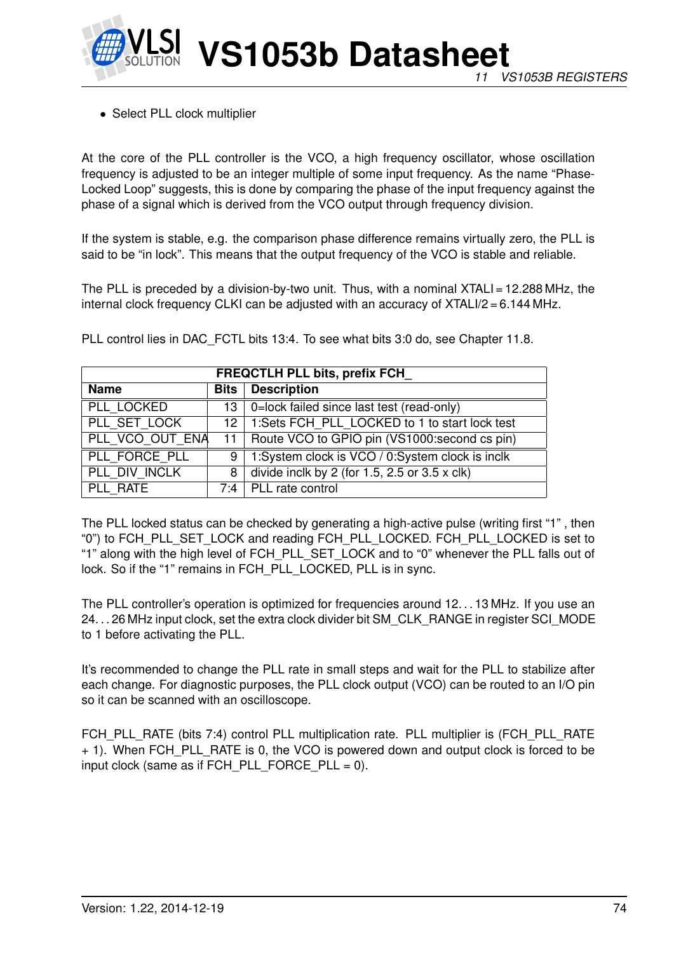

• Select PLL clock multiplier

At the core of the PLL controller is the VCO, a high frequency oscillator, whose oscillation frequency is adjusted to be an integer multiple of some input frequency. As the name "Phase-Locked Loop" suggests, this is done by comparing the phase of the input frequency against the phase of a signal which is derived from the VCO output through frequency division.

If the system is stable, e.g. the comparison phase difference remains virtually zero, the PLL is said to be "in lock". This means that the output frequency of the VCO is stable and reliable.

The PLL is preceded by a division-by-two unit. Thus, with a nominal XTALI = 12.288 MHz, the internal clock frequency CLKI can be adjusted with an accuracy of XTALI/2 = 6.144 MHz.

| <b>FREQCTLH PLL bits, prefix FCH</b> |   |                                                           |  |  |  |  |
|--------------------------------------|---|-----------------------------------------------------------|--|--|--|--|
| <b>Name</b>                          |   | <b>Bits</b> Description                                   |  |  |  |  |
| PLL LOCKED                           |   | 13   0=lock failed since last test (read-only)            |  |  |  |  |
| PLL SET LOCK                         |   | 12   1:Sets FCH_PLL_LOCKED to 1 to start lock test        |  |  |  |  |
| PLL VCO OUT ENA                      |   | 11   Route VCO to GPIO pin (VS1000: second cs pin)        |  |  |  |  |
| PLL FORCE PLL                        | 9 | 1:System clock is VCO / 0:System clock is inclk           |  |  |  |  |
| PLL DIV INCLK                        | 8 | divide inclk by 2 (for $1.5$ , $2.5$ or $3.5 \times$ clk) |  |  |  |  |
| PLL RATE                             |   | $7:4$ PLL rate control                                    |  |  |  |  |

PLL control lies in DAC\_FCTL bits 13:4. To see what bits 3:0 do, see Chapter 11.8.

The PLL locked status can be checked by generating a high-active pulse (writing first "1" , then "0") to FCH\_PLL\_SET\_LOCK and reading FCH\_PLL\_LOCKED. FCH\_PLL\_LOCKED is set to "1" along with the high level of FCH\_PLL\_SET\_LOCK and to "0" whenever the PLL falls out of lock. So if the "1" remains in FCH\_PLL\_LOCKED, PLL is in sync.

The PLL controller's operation is optimized for frequencies around 12. . . 13 MHz. If you use an 24. . . 26 MHz input clock, set the extra clock divider bit SM\_CLK\_RANGE in register SCI\_MODE to 1 before activating the PLL.

It's recommended to change the PLL rate in small steps and wait for the PLL to stabilize after each change. For diagnostic purposes, the PLL clock output (VCO) can be routed to an I/O pin so it can be scanned with an oscilloscope.

FCH\_PLL\_RATE (bits 7:4) control PLL multiplication rate. PLL multiplier is (FCH\_PLL\_RATE + 1). When FCH\_PLL\_RATE is 0, the VCO is powered down and output clock is forced to be input clock (same as if FCH\_PLL\_FORCE\_PLL = 0).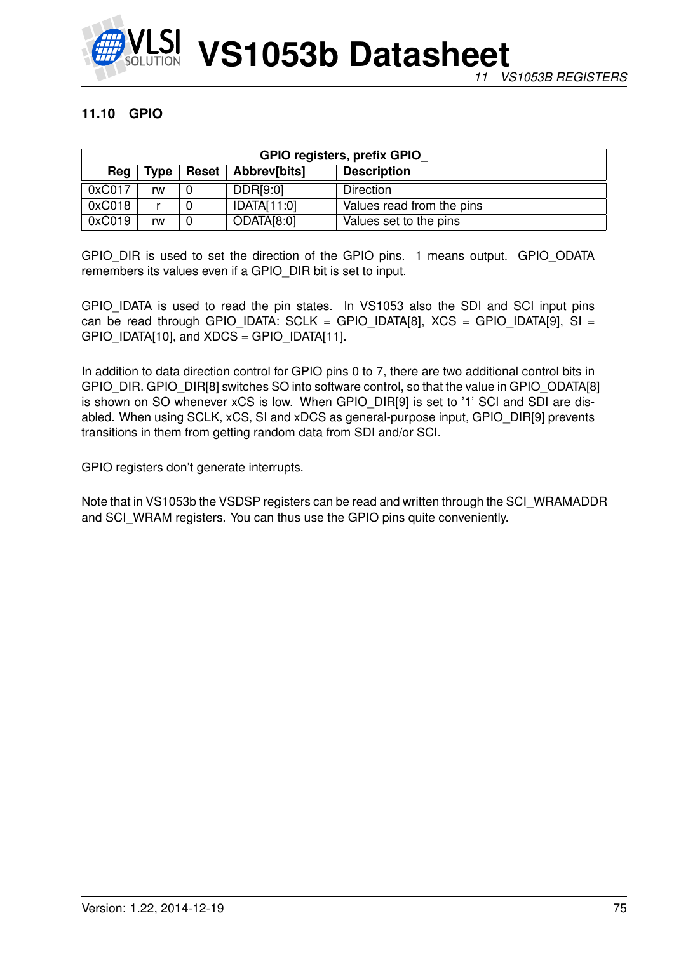

# **11.10 GPIO**

| <b>GPIO registers, prefix GPIO</b> |                    |  |             |                           |  |  |  |  |
|------------------------------------|--------------------|--|-------------|---------------------------|--|--|--|--|
| Reg                                | <b>Description</b> |  |             |                           |  |  |  |  |
| 0xC017                             | rw                 |  | DDR[9:0]    | Direction                 |  |  |  |  |
| 0xC018                             |                    |  | IDATA[11:0] | Values read from the pins |  |  |  |  |
| 0xC019                             | rw                 |  | ODATA[8:0]  | Values set to the pins    |  |  |  |  |

GPIO DIR is used to set the direction of the GPIO pins. 1 means output. GPIO ODATA remembers its values even if a GPIO\_DIR bit is set to input.

GPIO\_IDATA is used to read the pin states. In VS1053 also the SDI and SCI input pins can be read through GPIO\_IDATA: SCLK = GPIO\_IDATA[8],  $XCS = GPIO$ \_IDATA[9], SI =  $GPIO$  IDATA[10], and XDCS =  $GPIO$  IDATA[11].

In addition to data direction control for GPIO pins 0 to 7, there are two additional control bits in GPIO\_DIR. GPIO\_DIR[8] switches SO into software control, so that the value in GPIO\_ODATA[8] is shown on SO whenever xCS is low. When GPIO\_DIR[9] is set to '1' SCI and SDI are disabled. When using SCLK, xCS, SI and xDCS as general-purpose input, GPIO\_DIR[9] prevents transitions in them from getting random data from SDI and/or SCI.

GPIO registers don't generate interrupts.

Note that in VS1053b the VSDSP registers can be read and written through the SCI\_WRAMADDR and SCI\_WRAM registers. You can thus use the GPIO pins quite conveniently.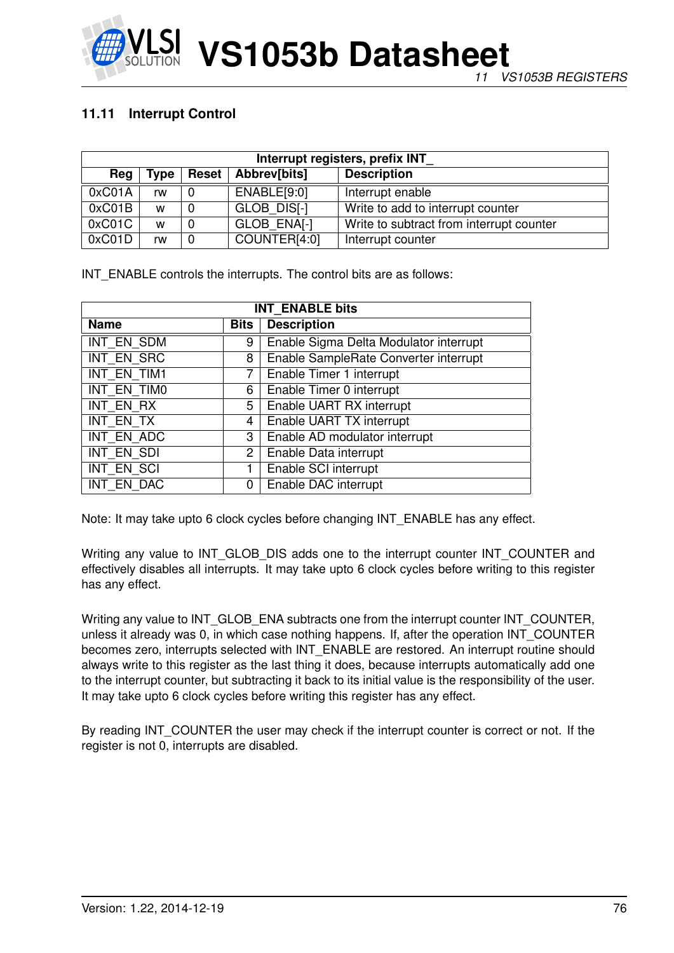

# **11.11 Interrupt Control**

| Interrupt registers, prefix INT |             |              |              |                                          |  |  |  |  |
|---------------------------------|-------------|--------------|--------------|------------------------------------------|--|--|--|--|
| Reg                             | <b>Type</b> | <b>Reset</b> | Abbrev[bits] | <b>Description</b>                       |  |  |  |  |
| 0xC01A                          | rw          |              | ENABLE[9:0]  | Interrupt enable                         |  |  |  |  |
| 0xC01B                          | W           |              | GLOB DISI-1  | Write to add to interrupt counter        |  |  |  |  |
| 0xC01C                          | W           |              | GLOB ENAI-1  | Write to subtract from interrupt counter |  |  |  |  |
| 0xCO1D                          | rw          |              | COUNTER[4:0] | Interrupt counter                        |  |  |  |  |

INT ENABLE controls the interrupts. The control bits are as follows:

| <b>INT ENABLE bits</b> |              |                                        |  |  |  |
|------------------------|--------------|----------------------------------------|--|--|--|
| <b>Name</b>            | <b>Bits</b>  | <b>Description</b>                     |  |  |  |
| INT EN SDM             | 9            | Enable Sigma Delta Modulator interrupt |  |  |  |
| INT EN SRC             | 8            | Enable SampleRate Converter interrupt  |  |  |  |
| INT EN TIM1            | 7            | Enable Timer 1 interrupt               |  |  |  |
| INT EN TIMO            | 6            | Enable Timer 0 interrupt               |  |  |  |
| INT EN RX              | 5            | Enable UART RX interrupt               |  |  |  |
| INT EN TX              | 4            | Enable UART TX interrupt               |  |  |  |
| INT EN ADC             | 3            | Enable AD modulator interrupt          |  |  |  |
| INT EN SDI             | $\mathbf{2}$ | Enable Data interrupt                  |  |  |  |
| <b>INT EN SCI</b>      | 1            | Enable SCI interrupt                   |  |  |  |
| INT EN DAC             | 0            | Enable DAC interrupt                   |  |  |  |

Note: It may take upto 6 clock cycles before changing INT\_ENABLE has any effect.

Writing any value to INT\_GLOB\_DIS adds one to the interrupt counter INT\_COUNTER and effectively disables all interrupts. It may take upto 6 clock cycles before writing to this register has any effect.

Writing any value to INT\_GLOB\_ENA subtracts one from the interrupt counter INT\_COUNTER, unless it already was 0, in which case nothing happens. If, after the operation INT\_COUNTER becomes zero, interrupts selected with INT\_ENABLE are restored. An interrupt routine should always write to this register as the last thing it does, because interrupts automatically add one to the interrupt counter, but subtracting it back to its initial value is the responsibility of the user. It may take upto 6 clock cycles before writing this register has any effect.

By reading INT COUNTER the user may check if the interrupt counter is correct or not. If the register is not 0, interrupts are disabled.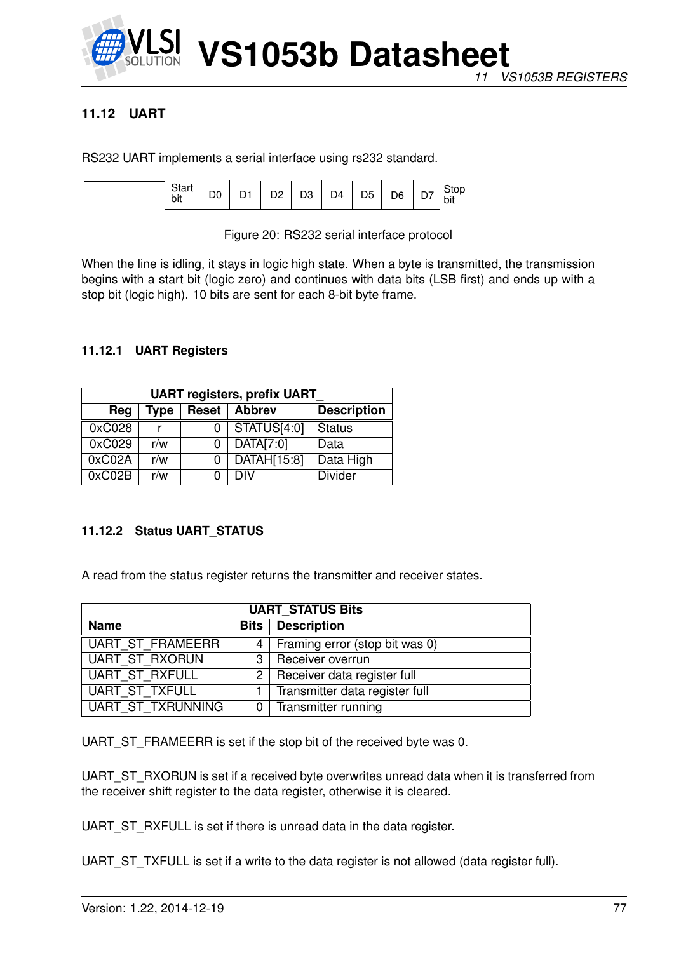

# **11.12 UART**

RS232 UART implements a serial interface using rs232 standard.

| υιαι<br>bit | - |  | n.<br>-- | צינ<br>◡ | D4 | D <sub>5</sub> | D <sub>6</sub> | _ | Stop<br>⊺bit |
|-------------|---|--|----------|----------|----|----------------|----------------|---|--------------|
|-------------|---|--|----------|----------|----|----------------|----------------|---|--------------|

Figure 20: RS232 serial interface protocol

When the line is idling, it stays in logic high state. When a byte is transmitted, the transmission begins with a start bit (logic zero) and continues with data bits (LSB first) and ends up with a stop bit (logic high). 10 bits are sent for each 8-bit byte frame.

### **11.12.1 UART Registers**

| <b>UART registers, prefix UART</b>                          |     |   |             |                |  |  |  |  |
|-------------------------------------------------------------|-----|---|-------------|----------------|--|--|--|--|
| <b>Abbrev</b><br><b>Description</b><br>Reset<br>Type<br>Reg |     |   |             |                |  |  |  |  |
| 0xC028                                                      |     |   | STATUS[4:0] | <b>Status</b>  |  |  |  |  |
| 0xC029                                                      | r/w | 0 | DATA[7:0]   | Data           |  |  |  |  |
| 0xC02A                                                      | r/w | 0 | DATAH[15:8] | Data High      |  |  |  |  |
| 0xC02B                                                      | r/w |   | DIV         | <b>Divider</b> |  |  |  |  |

### **11.12.2 Status UART\_STATUS**

A read from the status register returns the transmitter and receiver states.

| <b>UART STATUS Bits</b>  |  |                                    |  |  |  |  |
|--------------------------|--|------------------------------------|--|--|--|--|
| <b>Name</b>              |  | <b>Bits</b> Description            |  |  |  |  |
| UART ST FRAMEERR         |  | 4   Framing error (stop bit was 0) |  |  |  |  |
| UART ST RXORUN           |  | 3   Receiver overrun               |  |  |  |  |
| UART ST RXFULL           |  | $2$ Receiver data register full    |  |  |  |  |
| UART ST_TXFULL           |  | 1   Transmitter data register full |  |  |  |  |
| <b>UART ST TXRUNNING</b> |  | 0 Transmitter running              |  |  |  |  |

UART\_ST\_FRAMEERR is set if the stop bit of the received byte was 0.

UART\_ST\_RXORUN is set if a received byte overwrites unread data when it is transferred from the receiver shift register to the data register, otherwise it is cleared.

UART\_ST\_RXFULL is set if there is unread data in the data register.

UART\_ST\_TXFULL is set if a write to the data register is not allowed (data register full).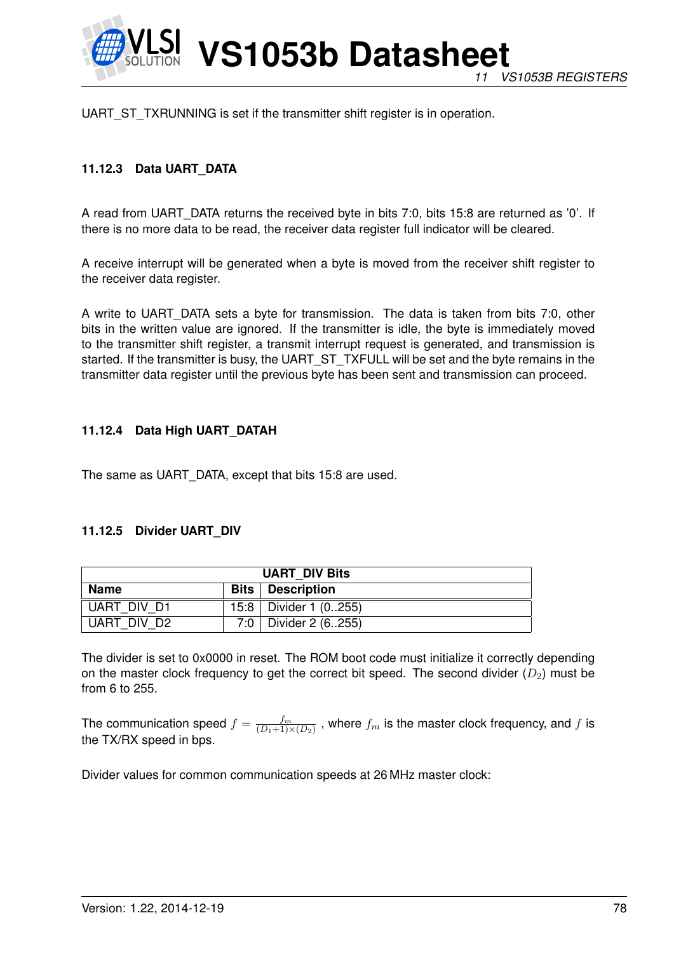

UART\_ST\_TXRUNNING is set if the transmitter shift register is in operation.

## **11.12.3 Data UART\_DATA**

A read from UART\_DATA returns the received byte in bits 7:0, bits 15:8 are returned as '0'. If there is no more data to be read, the receiver data register full indicator will be cleared.

A receive interrupt will be generated when a byte is moved from the receiver shift register to the receiver data register.

A write to UART\_DATA sets a byte for transmission. The data is taken from bits 7:0, other bits in the written value are ignored. If the transmitter is idle, the byte is immediately moved to the transmitter shift register, a transmit interrupt request is generated, and transmission is started. If the transmitter is busy, the UART\_ST\_TXFULL will be set and the byte remains in the transmitter data register until the previous byte has been sent and transmission can proceed.

### **11.12.4 Data High UART\_DATAH**

The same as UART\_DATA, except that bits 15:8 are used.

#### **11.12.5 Divider UART\_DIV**

| <b>UART DIV Bits</b>              |  |                           |  |  |  |
|-----------------------------------|--|---------------------------|--|--|--|
| Name<br><b>Bits</b>   Description |  |                           |  |  |  |
| UART DIV D1                       |  | 15:8   Divider 1 $(0255)$ |  |  |  |
| UART DIV D2                       |  | 7:0   Divider 2 (6255)    |  |  |  |

The divider is set to 0x0000 in reset. The ROM boot code must initialize it correctly depending on the master clock frequency to get the correct bit speed. The second divider  $(D_2)$  must be from 6 to 255.

The communication speed  $f = \frac{fm}{(D_1+1)^3}$  $\frac{J^m}{(D_1+1)\times(D_2)}$  , where  $f_m$  is the master clock frequency, and  $f$  is the TX/RX speed in bps.

Divider values for common communication speeds at 26 MHz master clock: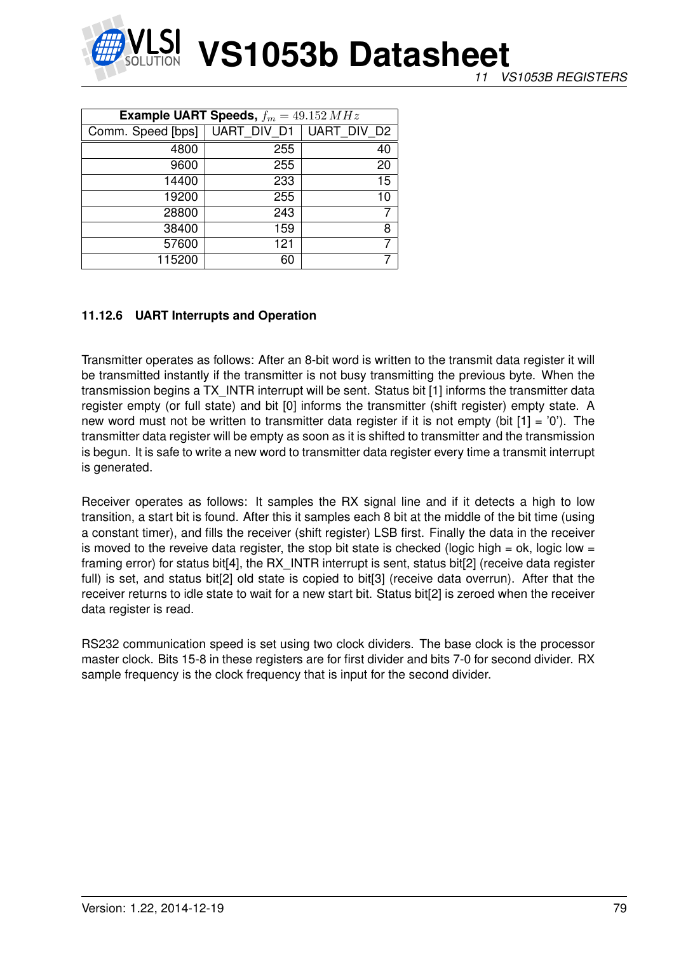

| <b>Example UART Speeds,</b> $f_m = 49.152 MHz$ |             |                    |  |  |  |  |
|------------------------------------------------|-------------|--------------------|--|--|--|--|
| Comm. Speed [bps]                              | UART_DIV_D1 | <b>UART DIV D2</b> |  |  |  |  |
| 4800                                           | 255         | 40                 |  |  |  |  |
| 9600                                           | 255         | 20                 |  |  |  |  |
| 14400                                          | 233         | 15                 |  |  |  |  |
| 19200                                          | 255         | 10                 |  |  |  |  |
| 28800                                          | 243         | $\overline{7}$     |  |  |  |  |
| 38400                                          | 159         | 8                  |  |  |  |  |
| 57600                                          | 121         |                    |  |  |  |  |
| 115200                                         | 60          |                    |  |  |  |  |

### **11.12.6 UART Interrupts and Operation**

Transmitter operates as follows: After an 8-bit word is written to the transmit data register it will be transmitted instantly if the transmitter is not busy transmitting the previous byte. When the transmission begins a TX\_INTR interrupt will be sent. Status bit [1] informs the transmitter data register empty (or full state) and bit [0] informs the transmitter (shift register) empty state. A new word must not be written to transmitter data register if it is not empty (bit  $[1] = '0'$ ). The transmitter data register will be empty as soon as it is shifted to transmitter and the transmission is begun. It is safe to write a new word to transmitter data register every time a transmit interrupt is generated.

Receiver operates as follows: It samples the RX signal line and if it detects a high to low transition, a start bit is found. After this it samples each 8 bit at the middle of the bit time (using a constant timer), and fills the receiver (shift register) LSB first. Finally the data in the receiver is moved to the reveive data register, the stop bit state is checked (logic high = ok, logic low = framing error) for status bit<sup>[4]</sup>, the RX INTR interrupt is sent, status bit<sup>[2]</sup> (receive data register full) is set, and status bit[2] old state is copied to bit[3] (receive data overrun). After that the receiver returns to idle state to wait for a new start bit. Status bit[2] is zeroed when the receiver data register is read.

RS232 communication speed is set using two clock dividers. The base clock is the processor master clock. Bits 15-8 in these registers are for first divider and bits 7-0 for second divider. RX sample frequency is the clock frequency that is input for the second divider.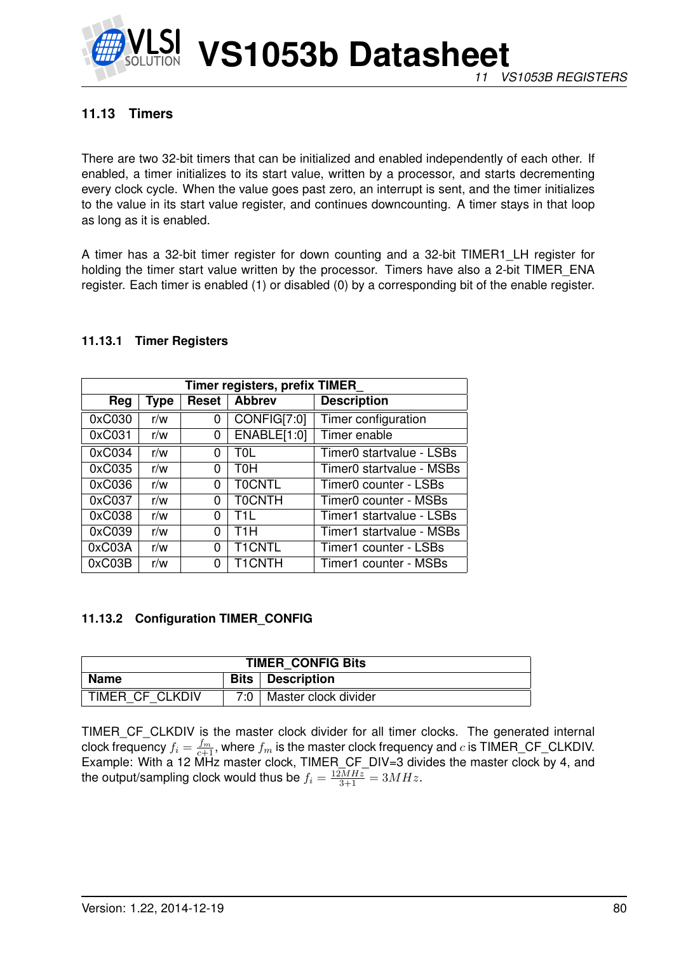

# **11.13 Timers**

There are two 32-bit timers that can be initialized and enabled independently of each other. If enabled, a timer initializes to its start value, written by a processor, and starts decrementing every clock cycle. When the value goes past zero, an interrupt is sent, and the timer initializes to the value in its start value register, and continues downcounting. A timer stays in that loop as long as it is enabled.

A timer has a 32-bit timer register for down counting and a 32-bit TIMER1\_LH register for holding the timer start value written by the processor. Timers have also a 2-bit TIMER\_ENA register. Each timer is enabled (1) or disabled (0) by a corresponding bit of the enable register.

### **11.13.1 Timer Registers**

| Timer registers, prefix TIMER |      |       |                  |                          |  |  |  |  |
|-------------------------------|------|-------|------------------|--------------------------|--|--|--|--|
| Reg                           | Type | Reset | <b>Abbrev</b>    | <b>Description</b>       |  |  |  |  |
| 0xC030                        | r/w  | 0     | CONFIG[7:0]      | Timer configuration      |  |  |  |  |
| 0xC031                        | r/w  | 0     | ENABLE[1:0]      | Timer enable             |  |  |  |  |
| 0xC034                        | r/w  | 0     | T0L              | Timer0 startvalue - LSBs |  |  |  |  |
| 0xC035                        | r/w  | 0     | тон              | Timer0 startvalue - MSBs |  |  |  |  |
| 0xC036                        | r/w  | 0     | <b>TOCNTL</b>    | Timer0 counter - LSBs    |  |  |  |  |
| 0xC037                        | r/w  | 0     | <b>TOCNTH</b>    | Timer0 counter - MSBs    |  |  |  |  |
| 0xC038                        | r/w  | 0     | T11.             | Timer1 startvalue - LSBs |  |  |  |  |
| 0xC039                        | r/w  | 0     | T <sub>1</sub> H | Timer1 startvalue - MSBs |  |  |  |  |
| 0xC03A                        | r/w  | 0     | <b>T1CNTL</b>    | Timer1 counter - LSBs    |  |  |  |  |
| 0xC03B                        | r/w  | 0     | <b>T1CNTH</b>    | Timer1 counter - MSBs    |  |  |  |  |

#### **11.13.2 Configuration TIMER\_CONFIG**

| <b>TIMER CONFIG Bits</b>          |        |                      |  |
|-----------------------------------|--------|----------------------|--|
| <b>Bits</b>   Description<br>Name |        |                      |  |
| TIMER CF CLKDIV                   | ר ∩י 7 | Master clock divider |  |

TIMER\_CF\_CLKDIV is the master clock divider for all timer clocks. The generated internal clock frequency  $f_i = \frac{f_m}{c+1}$ , where  $f_m$  is the master clock frequency and  $c$  is TIMER\_CF\_CLKDIV. Example: With a 12 MHz master clock, TIMER\_CF\_DIV=3 divides the master clock by 4, and the output/sampling clock would thus be  $f_i = \frac{12MHz}{3+1} = 3MHz$ .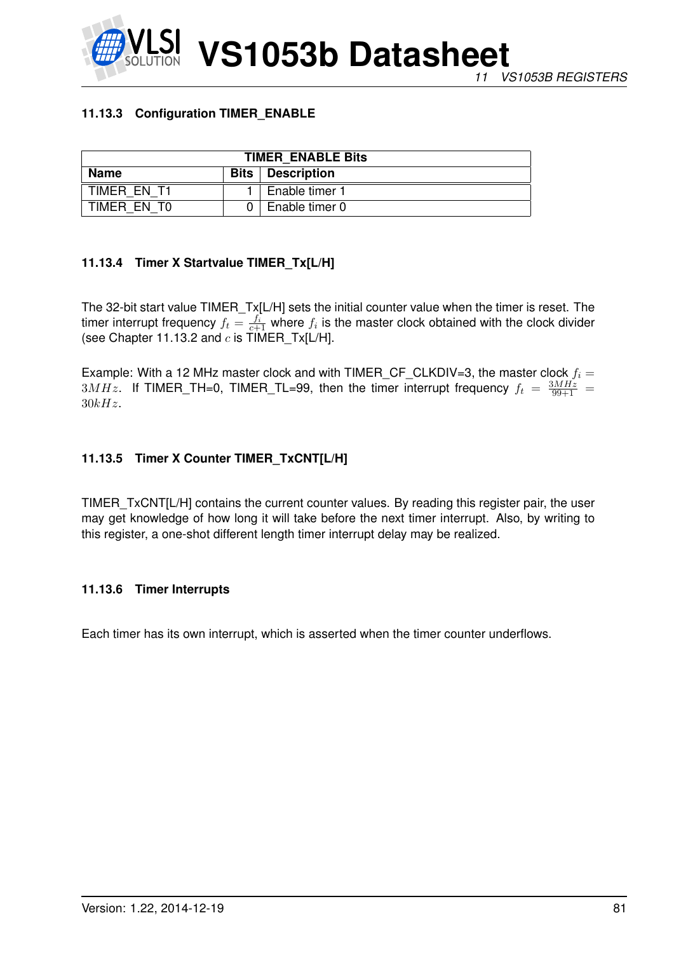## **11.13.3 Configuration TIMER\_ENABLE**

| <b>TIMER ENABLE Bits</b>                         |  |                |  |
|--------------------------------------------------|--|----------------|--|
| <b>Name</b><br><b>Bits</b><br><b>Description</b> |  |                |  |
| TIMER EN T1                                      |  | Enable timer 1 |  |
| TIMER EN TO                                      |  | Enable timer 0 |  |

# **11.13.4 Timer X Startvalue TIMER\_Tx[L/H]**

The 32-bit start value TIMER\_Tx[L/H] sets the initial counter value when the timer is reset. The timer interrupt frequency  $f_t = \frac{f_i}{c+1}$  where  $f_i$  is the master clock obtained with the clock divider (see Chapter 11.13.2 and  $c$  is  $\text{TIMER}_\text{I}$ X[L/H].

Example: With a 12 MHz master clock and with TIMER\_CF\_CLKDIV=3, the master clock  $f_i =$  $3MHz$ . If TIMER\_TH=0, TIMER\_TL=99, then the timer interrupt frequency  $f_t = \frac{3MHz}{99+1}$  =  $30kHz.$ 

# **11.13.5 Timer X Counter TIMER\_TxCNT[L/H]**

TIMER\_TxCNT[L/H] contains the current counter values. By reading this register pair, the user may get knowledge of how long it will take before the next timer interrupt. Also, by writing to this register, a one-shot different length timer interrupt delay may be realized.

### **11.13.6 Timer Interrupts**

Each timer has its own interrupt, which is asserted when the timer counter underflows.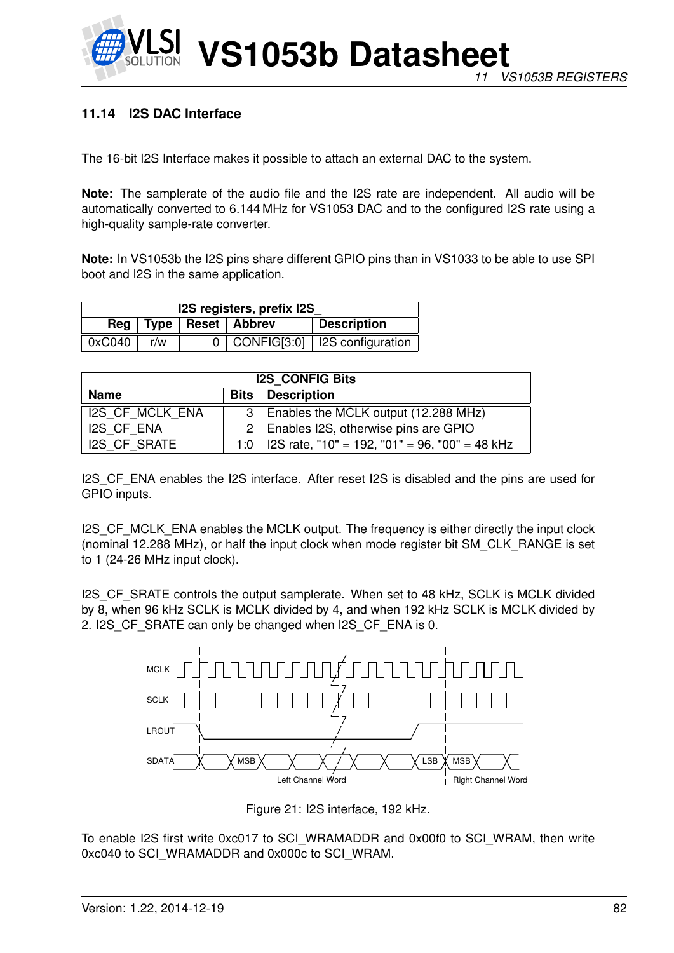

# **11.14 I2S DAC Interface**

The 16-bit I2S Interface makes it possible to attach an external DAC to the system.

**Note:** The samplerate of the audio file and the I2S rate are independent. All audio will be automatically converted to 6.144 MHz for VS1053 DAC and to the configured I2S rate using a high-quality sample-rate converter.

**Note:** In VS1053b the I2S pins share different GPIO pins than in VS1033 to be able to use SPI boot and I2S in the same application.

| I2S registers, prefix I2S |     |  |                             |                                       |
|---------------------------|-----|--|-----------------------------|---------------------------------------|
|                           |     |  | Reg   Type   Reset   Abbrev | Description                           |
| 0xC040                    | r/w |  |                             | $0$   CONFIG[3:0]   I2S configuration |

| <b>I2S CONFIG Bits</b>               |  |                                                      |  |  |
|--------------------------------------|--|------------------------------------------------------|--|--|
| Description<br><b>Name</b><br>Bits l |  |                                                      |  |  |
| <b>I2S CF MCLK ENA</b>               |  | 3   Enables the MCLK output (12.288 MHz)             |  |  |
| I2S CF ENA                           |  | 2   Enables I2S, otherwise pins are GPIO             |  |  |
| <b>I2S CF SRATE</b>                  |  | 1:0   I2S rate, "10" = 192, "01" = 96, "00" = 48 kHz |  |  |

I2S CF ENA enables the I2S interface. After reset I2S is disabled and the pins are used for GPIO inputs.

I2S CF MCLK ENA enables the MCLK output. The frequency is either directly the input clock (nominal 12.288 MHz), or half the input clock when mode register bit SM\_CLK\_RANGE is set to 1 (24-26 MHz input clock).

I2S\_CF\_SRATE controls the output samplerate. When set to 48 kHz, SCLK is MCLK divided by 8, when 96 kHz SCLK is MCLK divided by 4, and when 192 kHz SCLK is MCLK divided by 2. I2S CF SRATE can only be changed when I2S CF ENA is 0.



Figure 21: I2S interface, 192 kHz.

To enable I2S first write 0xc017 to SCI\_WRAMADDR and 0x00f0 to SCI\_WRAM, then write 0xc040 to SCI\_WRAMADDR and 0x000c to SCI\_WRAM.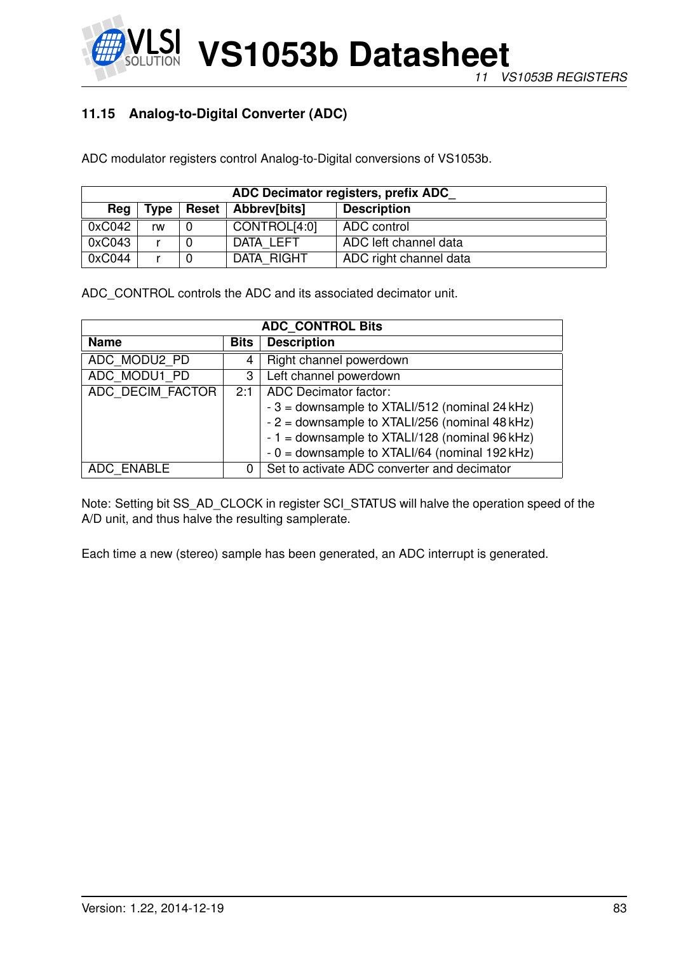# **11.15 Analog-to-Digital Converter (ADC)**

ADC modulator registers control Analog-to-Digital conversions of VS1053b.

| ADC Decimator registers, prefix ADC |             |  |                      |                        |  |  |
|-------------------------------------|-------------|--|----------------------|------------------------|--|--|
| Rea                                 | <b>Type</b> |  | Reset   Abbrev[bits] | <b>Description</b>     |  |  |
| 0xC042                              | rw          |  | CONTROL[4:0]         | ADC control            |  |  |
| 0xC043                              |             |  | DATA LEFT            | ADC left channel data  |  |  |
| 0xC044                              |             |  | DATA RIGHT           | ADC right channel data |  |  |

ADC\_CONTROL controls the ADC and its associated decimator unit.

| <b>ADC CONTROL Bits</b>    |     |                                                 |  |
|----------------------------|-----|-------------------------------------------------|--|
| <b>Name</b><br><b>Bits</b> |     | <b>Description</b>                              |  |
| ADC MODU2 PD               | 4   | Right channel powerdown                         |  |
| ADC MODU1 PD               | 3   | Left channel powerdown                          |  |
| ADC DECIM FACTOR           | 2:1 | <b>ADC</b> Decimator factor:                    |  |
|                            |     | $-3$ = downsample to XTALI/512 (nominal 24 kHz) |  |
|                            |     | - 2 = downsample to XTALI/256 (nominal 48 kHz)  |  |
|                            |     | $-1$ = downsample to XTALI/128 (nominal 96 kHz) |  |
|                            |     | $-0$ = downsample to XTALI/64 (nominal 192 kHz) |  |
| ADC ENABLE                 | 0   | Set to activate ADC converter and decimator     |  |

Note: Setting bit SS\_AD\_CLOCK in register SCI\_STATUS will halve the operation speed of the A/D unit, and thus halve the resulting samplerate.

Each time a new (stereo) sample has been generated, an ADC interrupt is generated.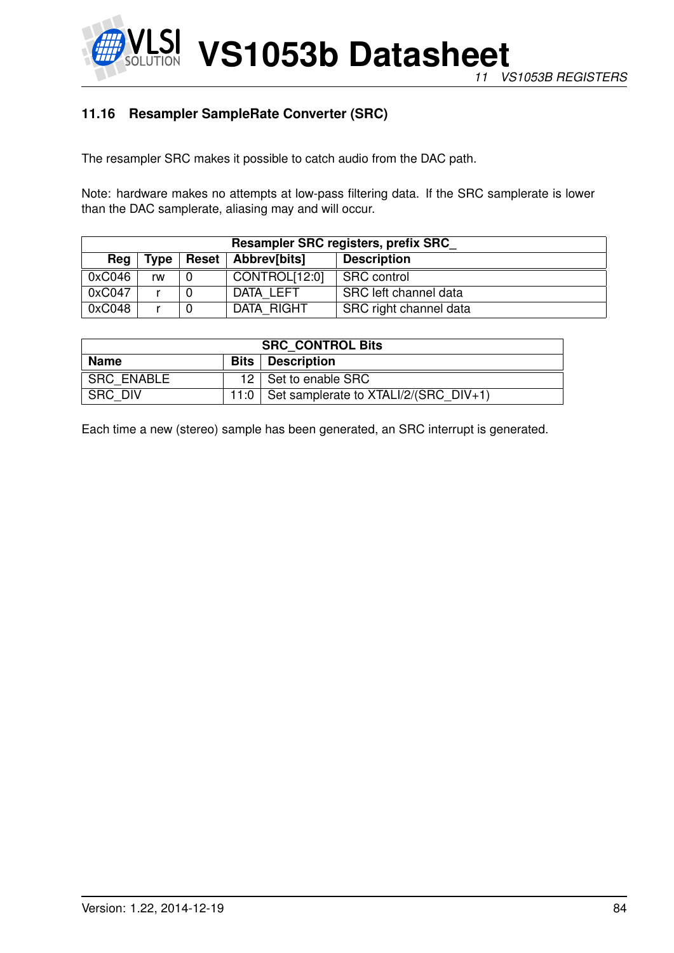

# **11.16 Resampler SampleRate Converter (SRC)**

The resampler SRC makes it possible to catch audio from the DAC path.

Note: hardware makes no attempts at low-pass filtering data. If the SRC samplerate is lower than the DAC samplerate, aliasing may and will occur.

| Resampler SRC registers, prefix SRC |      |              |               |                        |  |  |  |
|-------------------------------------|------|--------------|---------------|------------------------|--|--|--|
| Reg                                 | Type | <b>Reset</b> | Abbrev[bits]  | <b>Description</b>     |  |  |  |
| 0xC046                              | rw   |              | CONTROL[12:0] | <b>SRC</b> control     |  |  |  |
| 0xC047                              |      |              | DATA LEFT     | SRC left channel data  |  |  |  |
| 0xC048                              |      |              | DATA RIGHT    | SRC right channel data |  |  |  |

| <b>SRC CONTROL Bits</b>                  |      |                                         |  |
|------------------------------------------|------|-----------------------------------------|--|
| <b>Name</b><br><b>Bits</b>   Description |      |                                         |  |
| <b>SRC ENABLE</b>                        |      | 12   Set to enable SRC                  |  |
| SRC DIV                                  | 11:0 | Set samplerate to $XTALI/2/(SRC DIV+1)$ |  |

Each time a new (stereo) sample has been generated, an SRC interrupt is generated.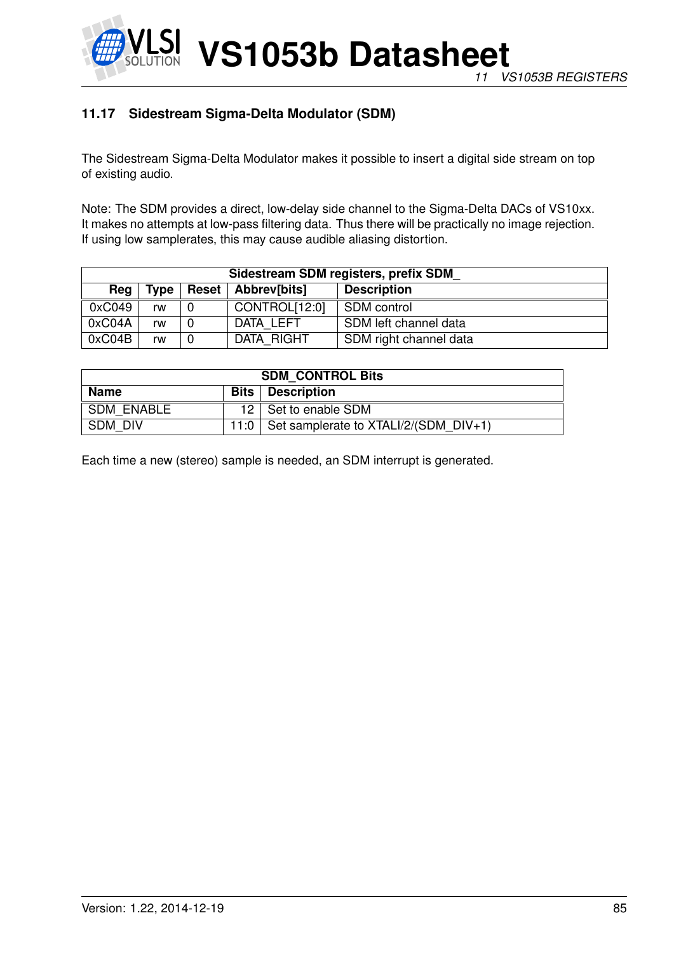

# **11.17 Sidestream Sigma-Delta Modulator (SDM)**

The Sidestream Sigma-Delta Modulator makes it possible to insert a digital side stream on top of existing audio.

Note: The SDM provides a direct, low-delay side channel to the Sigma-Delta DACs of VS10xx. It makes no attempts at low-pass filtering data. Thus there will be practically no image rejection. If using low samplerates, this may cause audible aliasing distortion.

| Sidestream SDM registers, prefix SDM |      |              |               |                        |  |  |  |
|--------------------------------------|------|--------------|---------------|------------------------|--|--|--|
| Reg                                  | Type | <b>Reset</b> | Abbrev[bits]  | <b>Description</b>     |  |  |  |
| 0xC049                               | rw   |              | CONTROL[12:0] | SDM control            |  |  |  |
| 0xC04A                               | rw   |              | DATA LEFT     | SDM left channel data  |  |  |  |
| 0xC04B                               | rw   |              | DATA RIGHT    | SDM right channel data |  |  |  |

| <b>SDM CONTROL Bits</b>                  |  |                                                |  |
|------------------------------------------|--|------------------------------------------------|--|
| <b>Name</b><br><b>Bits</b>   Description |  |                                                |  |
| <b>SDM ENABLE</b>                        |  | 12   Set to enable SDM                         |  |
| SDM DIV                                  |  | 11:0   Set samplerate to $XTALI/2/(SDM DIV+1)$ |  |

Each time a new (stereo) sample is needed, an SDM interrupt is generated.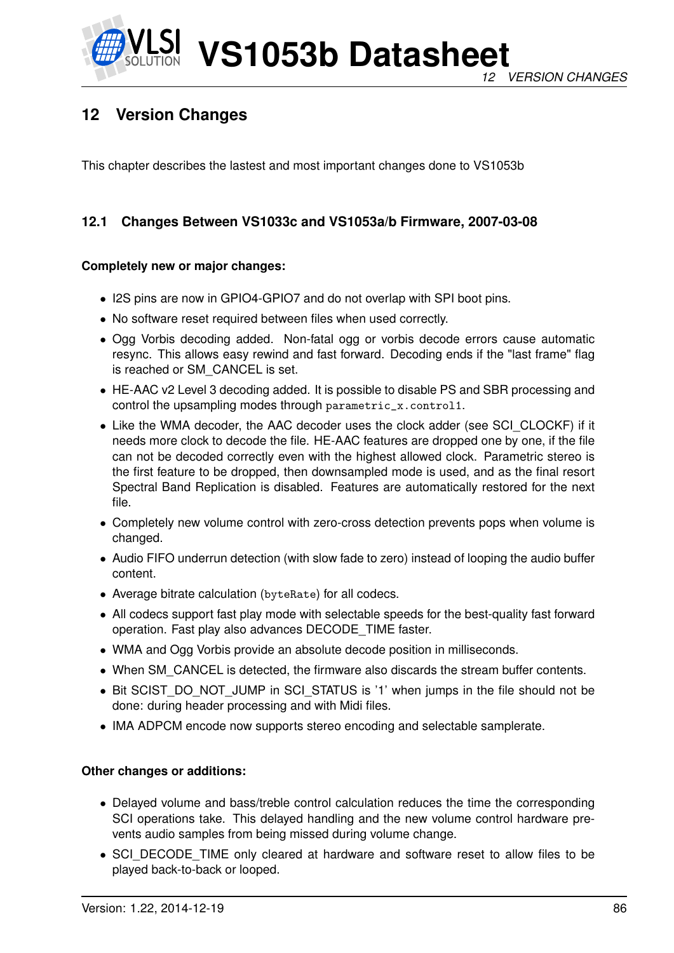

# **12 Version Changes**

This chapter describes the lastest and most important changes done to VS1053b

# **12.1 Changes Between VS1033c and VS1053a/b Firmware, 2007-03-08**

### **Completely new or major changes:**

- I2S pins are now in GPIO4-GPIO7 and do not overlap with SPI boot pins.
- No software reset required between files when used correctly.
- Ogg Vorbis decoding added. Non-fatal ogg or vorbis decode errors cause automatic resync. This allows easy rewind and fast forward. Decoding ends if the "last frame" flag is reached or SM\_CANCEL is set.
- HE-AAC v2 Level 3 decoding added. It is possible to disable PS and SBR processing and control the upsampling modes through parametric\_x.control1.
- Like the WMA decoder, the AAC decoder uses the clock adder (see SCI\_CLOCKF) if it needs more clock to decode the file. HE-AAC features are dropped one by one, if the file can not be decoded correctly even with the highest allowed clock. Parametric stereo is the first feature to be dropped, then downsampled mode is used, and as the final resort Spectral Band Replication is disabled. Features are automatically restored for the next file.
- Completely new volume control with zero-cross detection prevents pops when volume is changed.
- Audio FIFO underrun detection (with slow fade to zero) instead of looping the audio buffer content.
- Average bitrate calculation (byteRate) for all codecs.
- All codecs support fast play mode with selectable speeds for the best-quality fast forward operation. Fast play also advances DECODE\_TIME faster.
- WMA and Ogg Vorbis provide an absolute decode position in milliseconds.
- When SM\_CANCEL is detected, the firmware also discards the stream buffer contents.
- Bit SCIST\_DO\_NOT\_JUMP in SCI\_STATUS is '1' when jumps in the file should not be done: during header processing and with Midi files.
- IMA ADPCM encode now supports stereo encoding and selectable samplerate.

#### **Other changes or additions:**

- Delayed volume and bass/treble control calculation reduces the time the corresponding SCI operations take. This delayed handling and the new volume control hardware prevents audio samples from being missed during volume change.
- SCI\_DECODE\_TIME only cleared at hardware and software reset to allow files to be played back-to-back or looped.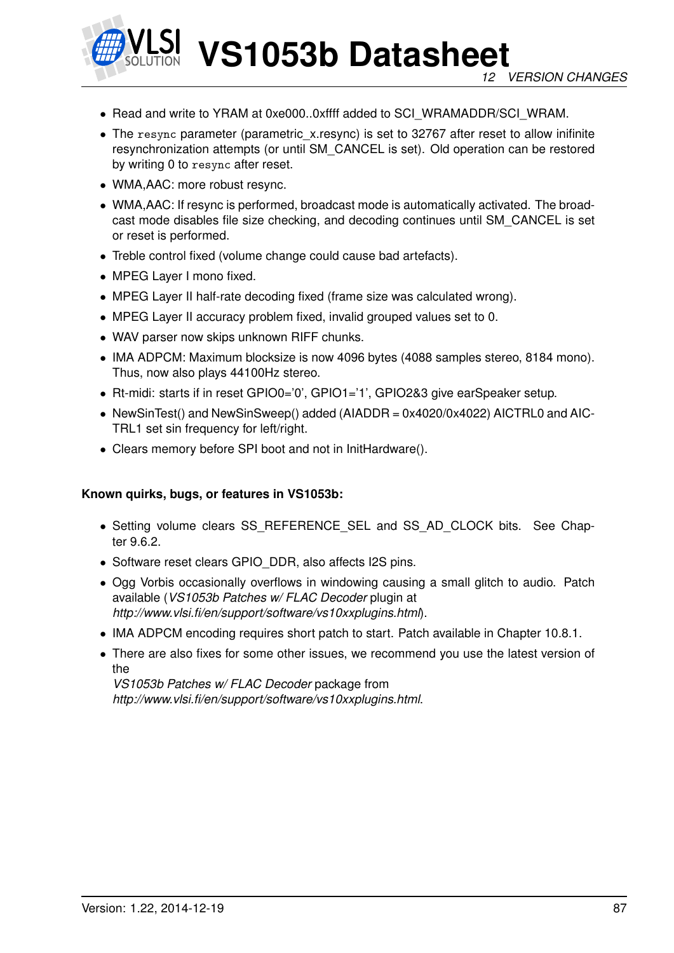

- Read and write to YRAM at 0xe000..0xffff added to SCI\_WRAMADDR/SCI\_WRAM.
- The resync parameter (parametric\_x.resync) is set to 32767 after reset to allow inifinite resynchronization attempts (or until SM\_CANCEL is set). Old operation can be restored by writing 0 to resync after reset.
- WMA,AAC: more robust resync.
- WMA,AAC: If resync is performed, broadcast mode is automatically activated. The broadcast mode disables file size checking, and decoding continues until SM\_CANCEL is set or reset is performed.
- Treble control fixed (volume change could cause bad artefacts).
- MPEG Layer I mono fixed.
- MPEG Layer II half-rate decoding fixed (frame size was calculated wrong).
- MPEG Layer II accuracy problem fixed, invalid grouped values set to 0.
- WAV parser now skips unknown RIFF chunks.
- IMA ADPCM: Maximum blocksize is now 4096 bytes (4088 samples stereo, 8184 mono). Thus, now also plays 44100Hz stereo.
- Rt-midi: starts if in reset GPIO0='0', GPIO1='1', GPIO2&3 give earSpeaker setup.
- NewSinTest() and NewSinSweep() added (AIADDR = 0x4020/0x4022) AICTRL0 and AIC-TRL1 set sin frequency for left/right.
- Clears memory before SPI boot and not in InitHardware().

#### **Known quirks, bugs, or features in VS1053b:**

- Setting volume clears SS\_REFERENCE\_SEL and SS\_AD\_CLOCK bits. See Chapter 9.6.2.
- Software reset clears GPIO DDR, also affects I2S pins.
- Ogg Vorbis occasionally overflows in windowing causing a small glitch to audio. Patch available (*VS1053b Patches w/ FLAC Decoder* plugin at *http://www.vlsi.fi/en/support/software/vs10xxplugins.html*).
- IMA ADPCM encoding requires short patch to start. Patch available in Chapter 10.8.1.
- There are also fixes for some other issues, we recommend you use the latest version of the

*VS1053b Patches w/ FLAC Decoder* package from *http://www.vlsi.fi/en/support/software/vs10xxplugins.html*.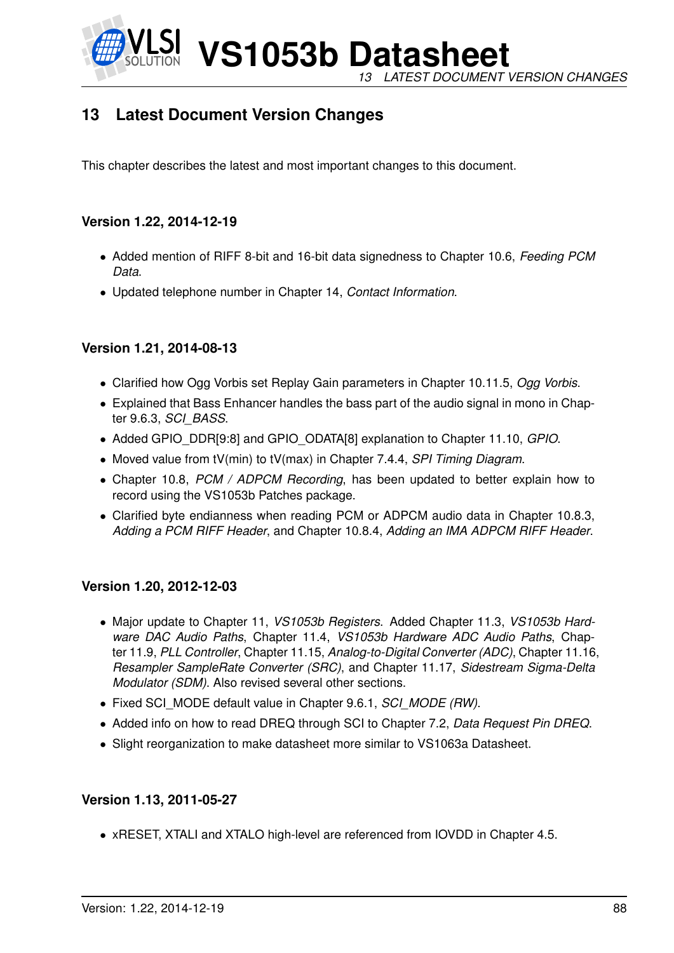

**VS1053b Datasheet** *13 LATEST DOCUMENT VERSION CHANGES*

# **13 Latest Document Version Changes**

This chapter describes the latest and most important changes to this document.

# **Version 1.22, 2014-12-19**

- Added mention of RIFF 8-bit and 16-bit data signedness to Chapter 10.6, *Feeding PCM Data*.
- Updated telephone number in Chapter 14, *Contact Information*.

### **Version 1.21, 2014-08-13**

- Clarified how Ogg Vorbis set Replay Gain parameters in Chapter 10.11.5, *Ogg Vorbis*.
- Explained that Bass Enhancer handles the bass part of the audio signal in mono in Chapter 9.6.3, *SCI\_BASS*.
- Added GPIO\_DDR[9:8] and GPIO\_ODATA[8] explanation to Chapter 11.10, *GPIO*.
- Moved value from tV(min) to tV(max) in Chapter 7.4.4, *SPI Timing Diagram*.
- Chapter 10.8, *PCM / ADPCM Recording*, has been updated to better explain how to record using the VS1053b Patches package.
- Clarified byte endianness when reading PCM or ADPCM audio data in Chapter 10.8.3, *Adding a PCM RIFF Header*, and Chapter 10.8.4, *Adding an IMA ADPCM RIFF Header*.

### **Version 1.20, 2012-12-03**

- Major update to Chapter 11, *VS1053b Registers*. Added Chapter 11.3, *VS1053b Hardware DAC Audio Paths*, Chapter 11.4, *VS1053b Hardware ADC Audio Paths*, Chapter 11.9, *PLL Controller*, Chapter 11.15, *Analog-to-Digital Converter (ADC)*, Chapter 11.16, *Resampler SampleRate Converter (SRC)*, and Chapter 11.17, *Sidestream Sigma-Delta Modulator (SDM)*. Also revised several other sections.
- Fixed SCI\_MODE default value in Chapter 9.6.1, *SCI\_MODE (RW)*.
- Added info on how to read DREQ through SCI to Chapter 7.2, *Data Request Pin DREQ*.
- Slight reorganization to make datasheet more similar to VS1063a Datasheet.

### **Version 1.13, 2011-05-27**

• xRESET, XTALI and XTALO high-level are referenced from IOVDD in Chapter 4.5.